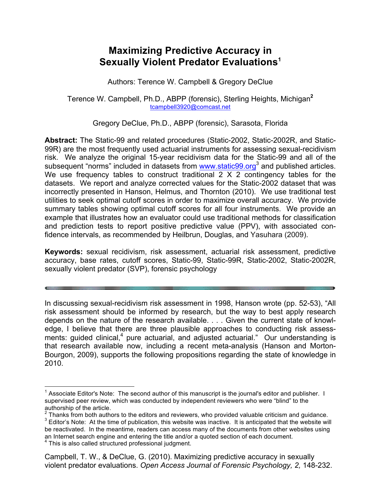# **Maximizing Predictive Accuracy in Sexually Violent Predator Evaluations1**

Authors: Terence W. Campbell & Gregory DeClue

Terence W. Campbell, Ph.D., ABPP (forensic), Sterling Heights, Michigan**<sup>2</sup>** tcampbell3920@comcast.net

Gregory DeClue, Ph.D., ABPP (forensic), Sarasota, Florida

**Abstract:** The Static-99 and related procedures (Static-2002, Static-2002R, and Static-99R) are the most frequently used actuarial instruments for assessing sexual-recidivism risk. We analyze the original 15-year recidivism data for the Static-99 and all of the subsequent "norms" included in datasets from www.static99.org<sup>3</sup> and published articles. We use frequency tables to construct traditional 2 X 2 contingency tables for the datasets. We report and analyze corrected values for the Static-2002 dataset that was incorrectly presented in Hanson, Helmus, and Thornton (2010). We use traditional test utilities to seek optimal cutoff scores in order to maximize overall accuracy. We provide summary tables showing optimal cutoff scores for all four instruments. We provide an example that illustrates how an evaluator could use traditional methods for classification and prediction tests to report positive predictive value (PPV), with associated confidence intervals, as recommended by Heilbrun, Douglas, and Yasuhara (2009).

**Keywords:** sexual recidivism, risk assessment, actuarial risk assessment, predictive accuracy, base rates, cutoff scores, Static-99, Static-99R, Static-2002, Static-2002R, sexually violent predator (SVP), forensic psychology

In discussing sexual-recidivism risk assessment in 1998, Hanson wrote (pp. 52-53), "All risk assessment should be informed by research, but the way to best apply research depends on the nature of the research available. . . . Given the current state of knowledge, I believe that there are three plausible approaches to conducting risk assessments: guided clinical, $4$  pure actuarial, and adjusted actuarial." Our understanding is that research available now, including a recent meta-analysis (Hanson and Morton-Bourgon, 2009), supports the following propositions regarding the state of knowledge in 2010.

<sup>&</sup>lt;sup>1</sup> Associate Editor's Note: The second author of this manuscript is the journal's editor and publisher. I supervised peer review, which was conducted by independent reviewers who were "blind" to the authorship of the article.<br><sup>2</sup> Thanks from both authors to the editors and reviewers, who provided valuable criticism and guidance.

<sup>&</sup>lt;sup>3</sup> Editor's Note: At the time of publication, this website was inactive. It is anticipated that the website will be reactivated. In the meantime, readers can access many of the documents from other websites using an Internet search engine and entering the title and/or a quoted section of each document.

 $4$  This is also called structured professional judgment.

Campbell, T. W., & DeClue, G. (2010). Maximizing predictive accuracy in sexually violent predator evaluations. *Open Access Journal of Forensic Psychology, 2,* 148-232.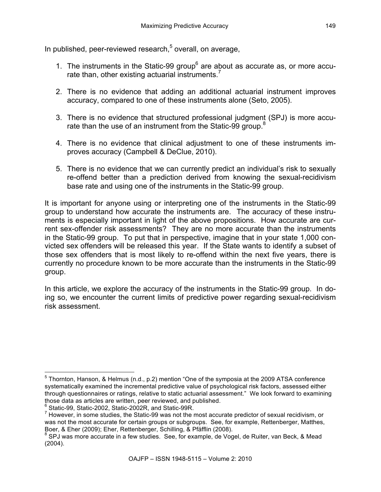In published, peer-reviewed research,<sup>5</sup> overall, on average,

- 1. The instruments in the Static-99 group<sup>6</sup> are about as accurate as, or more accurate than, other existing actuarial instruments. $<sup>7</sup>$ </sup>
- 2. There is no evidence that adding an additional actuarial instrument improves accuracy, compared to one of these instruments alone (Seto, 2005).
- 3. There is no evidence that structured professional judgment (SPJ) is more accurate than the use of an instrument from the Static-99 group. $8$
- 4. There is no evidence that clinical adjustment to one of these instruments improves accuracy (Campbell & DeClue, 2010).
- 5. There is no evidence that we can currently predict an individual's risk to sexually re-offend better than a prediction derived from knowing the sexual-recidivism base rate and using one of the instruments in the Static-99 group.

It is important for anyone using or interpreting one of the instruments in the Static-99 group to understand how accurate the instruments are. The accuracy of these instruments is especially important in light of the above propositions. How accurate are current sex-offender risk assessments? They are no more accurate than the instruments in the Static-99 group. To put that in perspective, imagine that in your state 1,000 convicted sex offenders will be released this year. If the State wants to identify a subset of those sex offenders that is most likely to re-offend within the next five years, there is currently no procedure known to be more accurate than the instruments in the Static-99 group.

In this article, we explore the accuracy of the instruments in the Static-99 group. In doing so, we encounter the current limits of predictive power regarding sexual-recidivism risk assessment.

 <sup>5</sup> Thornton, Hanson, & Helmus (n.d., p.2) mention "One of the symposia at the 2009 ATSA conference systematically examined the incremental predictive value of psychological risk factors, assessed either through questionnaires or ratings, relative to static actuarial assessment." We look forward to examining those data as articles are written, peer reviewed, and published.

Static-99, Static-2002, Static-2002R, and Static-99R.

 $7$  However, in some studies, the Static-99 was not the most accurate predictor of sexual recidivism, or was not the most accurate for certain groups or subgroups. See, for example, Rettenberger, Matthes, Boer, & Eher (2009); Eher, Rettenberger, Schilling, & Pfäfflin (2008).

<sup>&</sup>lt;sup>8</sup> SPJ was more accurate in a few studies. See, for example, de Vogel, de Ruiter, van Beck, & Mead (2004).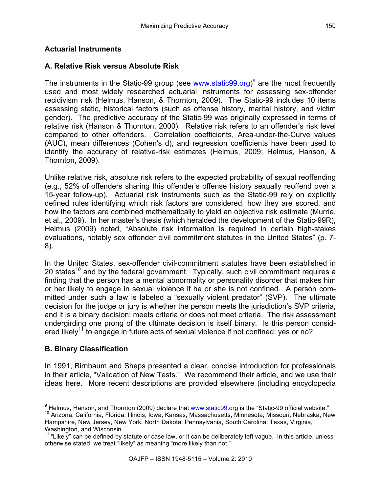# **Actuarial Instruments**

# **A. Relative Risk versus Absolute Risk**

The instruments in the Static-99 group (see www.static99.org)<sup>9</sup> are the most frequently used and most widely researched actuarial instruments for assessing sex-offender recidivism risk (Helmus, Hanson, & Thornton, 2009). The Static-99 includes 10 items assessing static, historical factors (such as offense history, marital history, and victim gender). The predictive accuracy of the Static-99 was originally expressed in terms of relative risk (Hanson & Thornton, 2000). Relative risk refers to an offender's risk level compared to other offenders. Correlation coefficients, Area-under-the-Curve values (AUC), mean differences (Cohen's d), and regression coefficients have been used to identify the accuracy of relative-risk estimates (Helmus, 2009; Helmus, Hanson, & Thornton, 2009).

Unlike relative risk, absolute risk refers to the expected probability of sexual reoffending (e.g., 52% of offenders sharing this offender's offense history sexually reoffend over a 15-year follow-up). Actuarial risk instruments such as the Static-99 rely on explicitly defined rules identifying which risk factors are considered, how they are scored, and how the factors are combined mathematically to yield an objective risk estimate (Murrie, et al., 2009). In her master's thesis (which heralded the development of the Static-99R), Helmus (2009) noted, "Absolute risk information is required in certain high-stakes evaluations, notably sex offender civil commitment statutes in the United States" (p. 7- 8).

In the United States, sex-offender civil-commitment statutes have been established in 20 states<sup>10</sup> and by the federal government. Typically, such civil commitment requires a finding that the person has a mental abnormality or personality disorder that makes him or her likely to engage in sexual violence if he or she is not confined. A person committed under such a law is labeled a "sexually violent predator" (SVP). The ultimate decision for the judge or jury is whether the person meets the jurisdiction's SVP criteria, and it is a binary decision: meets criteria or does not meet criteria. The risk assessment undergirding one prong of the ultimate decision is itself binary. Is this person considered likely<sup>11</sup> to engage in future acts of sexual violence if not confined: yes or no?

## **B. Binary Classification**

In 1991, Birnbaum and Sheps presented a clear, concise introduction for professionals in their article, "Validation of New Tests." We recommend their article, and we use their ideas here. More recent descriptions are provided elsewhere (including encyclopedia

<sup>&</sup>lt;sup>9</sup> Helmus, Hanson, and Thornton (2009) declare that www.static99.org is the "Static-99 official website."

<sup>10</sup> Arizona, California, Florida, Illinois, Iowa, Kansas, Massachusetts, Minnesota, Missouri, Nebraska, New Hampshire, New Jersey, New York, North Dakota, Pennsylvania, South Carolina, Texas, Virginia, Washington, and Wisconsin.

 $11$  "Likely" can be defined by statute or case law, or it can be deliberately left vague. In this article, unless otherwise stated, we treat "likely" as meaning "more likely than not."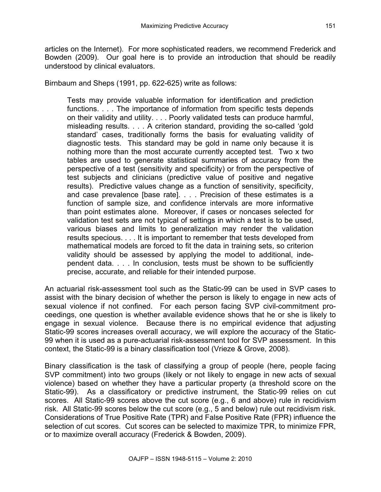articles on the Internet). For more sophisticated readers, we recommend Frederick and Bowden (2009). Our goal here is to provide an introduction that should be readily understood by clinical evaluators.

Birnbaum and Sheps (1991, pp. 622-625) write as follows:

Tests may provide valuable information for identification and prediction functions. . . . The importance of information from specific tests depends on their validity and utility. . . . Poorly validated tests can produce harmful, misleading results. . . . A criterion standard, providing the so-called 'gold standard' cases, traditionally forms the basis for evaluating validity of diagnostic tests. This standard may be gold in name only because it is nothing more than the most accurate currently accepted test. Two x two tables are used to generate statistical summaries of accuracy from the perspective of a test (sensitivity and specificity) or from the perspective of test subjects and clinicians (predictive value of positive and negative results). Predictive values change as a function of sensitivity, specificity, and case prevalence [base rate]. . . . Precision of these estimates is a function of sample size, and confidence intervals are more informative than point estimates alone. Moreover, if cases or noncases selected for validation test sets are not typical of settings in which a test is to be used, various biases and limits to generalization may render the validation results specious. . . . It is important to remember that tests developed from mathematical models are forced to fit the data in training sets, so criterion validity should be assessed by applying the model to additional, independent data. . . . In conclusion, tests must be shown to be sufficiently precise, accurate, and reliable for their intended purpose.

An actuarial risk-assessment tool such as the Static-99 can be used in SVP cases to assist with the binary decision of whether the person is likely to engage in new acts of sexual violence if not confined. For each person facing SVP civil-commitment proceedings, one question is whether available evidence shows that he or she is likely to engage in sexual violence. Because there is no empirical evidence that adjusting Static-99 scores increases overall accuracy, we will explore the accuracy of the Static-99 when it is used as a pure-actuarial risk-assessment tool for SVP assessment. In this context, the Static-99 is a binary classification tool (Vrieze & Grove, 2008).

Binary classification is the task of classifying a group of people (here, people facing SVP commitment) into two groups (likely or not likely to engage in new acts of sexual violence) based on whether they have a particular property (a threshold score on the Static-99). As a classificatory or predictive instrument, the Static-99 relies on cut scores. All Static-99 scores above the cut score (e.g., 6 and above) rule in recidivism risk. All Static-99 scores below the cut score (e.g., 5 and below) rule out recidivism risk. Considerations of True Positive Rate (TPR) and False Positive Rate (FPR) influence the selection of cut scores. Cut scores can be selected to maximize TPR, to minimize FPR, or to maximize overall accuracy (Frederick & Bowden, 2009).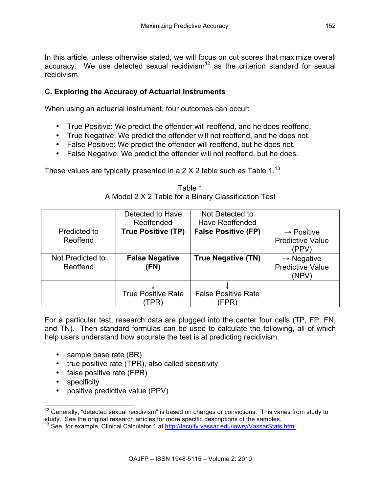In this article, unless otherwise stated, we will focus on cut scores that maximize overall accuracy. We use detected sexual recidivism<sup>12</sup> as the criterion standard for sexual recidivism.

## **C. Exploring the Accuracy of Actuarial Instruments**

When using an actuarial instrument, four outcomes can occur:

- True Positive: We predict the offender will reoffend, and he does reoffend.
- True Negative: We predict the offender will not reoffend, and he does not.
- False Positive: We predict the offender will reoffend, but he does not.
- False Negative: We predict the offender will not reoffend, but he does.

These values are typically presented in a  $2 \times 2$  table such as Table 1.<sup>13</sup>

|                              | Detected to Have                  | Not Detected to                     |                                                            |
|------------------------------|-----------------------------------|-------------------------------------|------------------------------------------------------------|
|                              | Reoffended                        | <b>Have Reoffended</b>              |                                                            |
| Predicted to                 | <b>True Positive (TP)</b>         | <b>False Positive (FP)</b>          | $\rightarrow$ Positive                                     |
| Reoffend                     |                                   |                                     | <b>Predictive Value</b><br>(PPV)                           |
| Not Predicted to<br>Reoffend | <b>False Negative</b><br>(FN)     | <b>True Negative (TN)</b>           | $\rightarrow$ Negative<br><b>Predictive Value</b><br>(NPV) |
|                              | <b>True Positive Rate</b><br>TPR` | <b>False Positive Rate</b><br>(FPR) |                                                            |

Table 1 A Model 2 X 2 Table for a Binary Classification Test

For a particular test, research data are plugged into the center four cells (TP, FP, FN, and TN). Then standard formulas can be used to calculate the following, all of which help users understand how accurate the test is at predicting recidivism.

- sample base rate (BR)
- true positive rate (TPR), also called sensitivity
- false positive rate (FPR)
- specificity
- positive predictive value (PPV)

 $12$  Generally, "detected sexual recidivism" is based on charges or convictions. This varies from study to study to study. See the original research articles for more specific descriptions of the samples.

<sup>&</sup>lt;sup>13</sup> See, for example, Clinical Calculator 1 at http://faculty.vassar.edu/lowry/VassarStats.html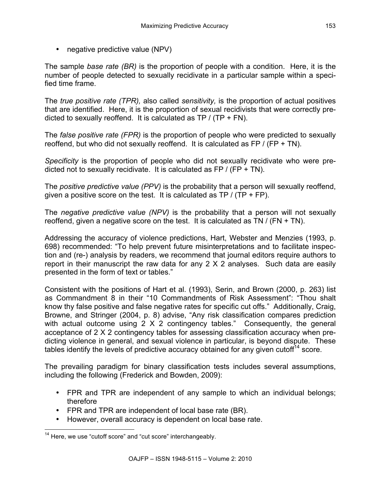• negative predictive value (NPV)

The sample *base rate (BR)* is the proportion of people with a condition. Here, it is the number of people detected to sexually recidivate in a particular sample within a specified time frame.

The *true positive rate (TPR),* also called *sensitivity,* is the proportion of actual positives that are identified. Here, it is the proportion of sexual recidivists that were correctly predicted to sexually reoffend. It is calculated as  $TP / (TP + FN)$ .

The *false positive rate (FPR)* is the proportion of people who were predicted to sexually reoffend, but who did not sexually reoffend. It is calculated as  $FP / (FP + TN)$ .

*Specificity* is the proportion of people who did not sexually recidivate who were predicted not to sexually recidivate. It is calculated as  $FP / (FP + TN)$ .

The *positive predictive value (PPV)* is the probability that a person will sexually reoffend, given a positive score on the test. It is calculated as  $TP / (TP + FP)$ .

The *negative predictive value (NPV)* is the probability that a person will not sexually reoffend, given a negative score on the test. It is calculated as TN  $/$  (FN + TN).

Addressing the accuracy of violence predictions, Hart, Webster and Menzies (1993, p. 698) recommended: "To help prevent future misinterpretations and to facilitate inspection and (re-) analysis by readers, we recommend that journal editors require authors to report in their manuscript the raw data for any 2 X 2 analyses. Such data are easily presented in the form of text or tables."

Consistent with the positions of Hart et al. (1993), Serin, and Brown (2000, p. 263) list as Commandment 8 in their "10 Commandments of Risk Assessment": "Thou shalt know thy false positive and false negative rates for specific cut offs." Additionally, Craig, Browne, and Stringer (2004, p. 8) advise, "Any risk classification compares prediction with actual outcome using 2 X 2 contingency tables." Consequently, the general acceptance of 2 X 2 contingency tables for assessing classification accuracy when predicting violence in general, and sexual violence in particular, is beyond dispute. These tables identify the levels of predictive accuracy obtained for any given cutoff $14$  score.

The prevailing paradigm for binary classification tests includes several assumptions, including the following (Frederick and Bowden, 2009):

- FPR and TPR are independent of any sample to which an individual belongs; therefore
- FPR and TPR are independent of local base rate (BR).
- However, overall accuracy is dependent on local base rate.

<sup>&</sup>lt;sup>14</sup> Here, we use "cutoff score" and "cut score" interchangeably.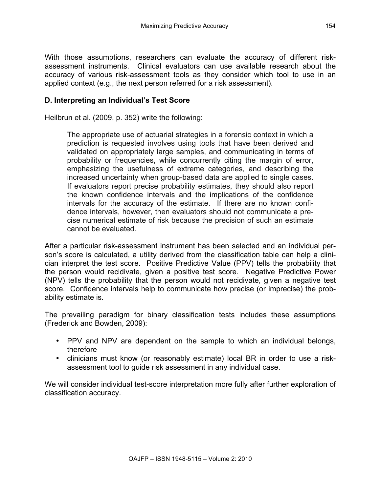With those assumptions, researchers can evaluate the accuracy of different riskassessment instruments. Clinical evaluators can use available research about the accuracy of various risk-assessment tools as they consider which tool to use in an applied context (e.g., the next person referred for a risk assessment).

## **D. Interpreting an Individual's Test Score**

Heilbrun et al. (2009, p. 352) write the following:

The appropriate use of actuarial strategies in a forensic context in which a prediction is requested involves using tools that have been derived and validated on appropriately large samples, and communicating in terms of probability or frequencies, while concurrently citing the margin of error, emphasizing the usefulness of extreme categories, and describing the increased uncertainty when group-based data are applied to single cases. If evaluators report precise probability estimates, they should also report the known confidence intervals and the implications of the confidence intervals for the accuracy of the estimate. If there are no known confidence intervals, however, then evaluators should not communicate a precise numerical estimate of risk because the precision of such an estimate cannot be evaluated.

After a particular risk-assessment instrument has been selected and an individual person's score is calculated, a utility derived from the classification table can help a clinician interpret the test score. Positive Predictive Value (PPV) tells the probability that the person would recidivate, given a positive test score. Negative Predictive Power (NPV) tells the probability that the person would not recidivate, given a negative test score. Confidence intervals help to communicate how precise (or imprecise) the probability estimate is.

The prevailing paradigm for binary classification tests includes these assumptions (Frederick and Bowden, 2009):

- PPV and NPV are dependent on the sample to which an individual belongs, therefore
- clinicians must know (or reasonably estimate) local BR in order to use a riskassessment tool to guide risk assessment in any individual case.

We will consider individual test-score interpretation more fully after further exploration of classification accuracy.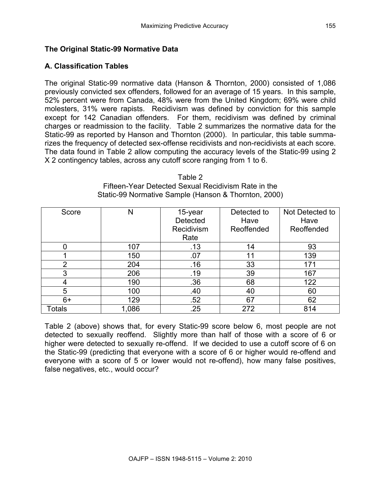#### **The Original Static-99 Normative Data**

#### **A. Classification Tables**

The original Static-99 normative data (Hanson & Thornton, 2000) consisted of 1,086 previously convicted sex offenders, followed for an average of 15 years. In this sample, 52% percent were from Canada, 48% were from the United Kingdom; 69% were child molesters, 31% were rapists. Recidivism was defined by conviction for this sample except for 142 Canadian offenders. For them, recidivism was defined by criminal charges or readmission to the facility. Table 2 summarizes the normative data for the Static-99 as reported by Hanson and Thornton (2000). In particular, this table summarizes the frequency of detected sex-offense recidivists and non-recidivists at each score. The data found in Table 2 allow computing the accuracy levels of the Static-99 using 2 X 2 contingency tables, across any cutoff score ranging from 1 to 6.

| Score         | N     | 15-year         | Detected to | Not Detected to |
|---------------|-------|-----------------|-------------|-----------------|
|               |       | <b>Detected</b> | Have        | Have            |
|               |       | Recidivism      | Reoffended  | Reoffended      |
|               |       | Rate            |             |                 |
|               | 107   | .13             | 14          | 93              |
|               | 150   | .07             | 11          | 139             |
| $\mathcal{P}$ | 204   | .16             | 33          | 171             |
| 3             | 206   | .19             | 39          | 167             |
|               | 190   | .36             | 68          | 122             |
| 5             | 100   | .40             | 40          | 60              |
| $6+$          | 129   | .52             | 67          | 62              |
| Totals        | 1,086 | .25             | 272         | 814             |

Table 2 Fifteen-Year Detected Sexual Recidivism Rate in the Static-99 Normative Sample (Hanson & Thornton, 2000)

Table 2 (above) shows that, for every Static-99 score below 6, most people are not detected to sexually reoffend. Slightly more than half of those with a score of 6 or higher were detected to sexually re-offend. If we decided to use a cutoff score of 6 on the Static-99 (predicting that everyone with a score of 6 or higher would re-offend and everyone with a score of 5 or lower would not re-offend), how many false positives, false negatives, etc., would occur?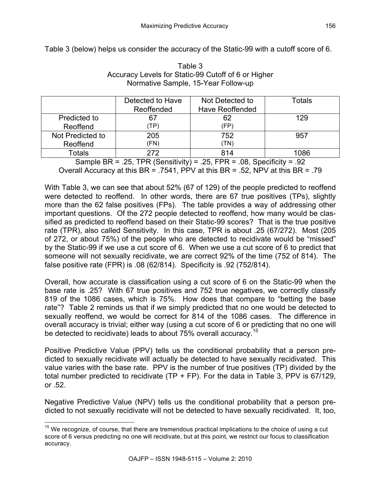Table 3 (below) helps us consider the accuracy of the Static-99 with a cutoff score of 6.

|                  | Detected to Have | Not Detected to        | Totals |
|------------------|------------------|------------------------|--------|
|                  | Reoffended       | <b>Have Reoffended</b> |        |
| Predicted to     | 67               | 62                     | 129    |
| Reoffend         | TP)              | (FP)                   |        |
| Not Predicted to | 205              | 752                    | 957    |
| Reoffend         | (FN)             | (TN)                   |        |
| Totals           | 272              | 814                    | 086    |

Table 3 Accuracy Levels for Static-99 Cutoff of 6 or Higher Normative Sample, 15-Year Follow-up

Sample BR = .25, TPR (Sensitivity) = .25, FPR = .08, Specificity = .92 Overall Accuracy at this BR = .7541, PPV at this BR = .52, NPV at this BR = .79

With Table 3, we can see that about 52% (67 of 129) of the people predicted to reoffend were detected to reoffend. In other words, there are 67 true positives (TPs), slightly more than the 62 false positives (FPs). The table provides a way of addressing other important questions. Of the 272 people detected to reoffend, how many would be classified as predicted to reoffend based on their Static-99 scores? That is the true positive rate (TPR), also called Sensitivity. In this case, TPR is about .25 (67/272). Most (205 of 272, or about 75%) of the people who are detected to recidivate would be "missed" by the Static-99 if we use a cut score of 6. When we use a cut score of 6 to predict that someone will not sexually recidivate, we are correct 92% of the time (752 of 814). The false positive rate (FPR) is .08 (62/814). Specificity is .92 (752/814).

Overall, how accurate is classification using a cut score of 6 on the Static-99 when the base rate is .25? With 67 true positives and 752 true negatives, we correctly classify 819 of the 1086 cases, which is 75%. How does that compare to "betting the base rate"? Table 2 reminds us that if we simply predicted that no one would be detected to sexually reoffend, we would be correct for 814 of the 1086 cases. The difference in overall accuracy is trivial; either way (using a cut score of 6 or predicting that no one will be detected to recidivate) leads to about 75% overall accuracy.<sup>15</sup>

Positive Predictive Value (PPV) tells us the conditional probability that a person predicted to sexually recidivate will actually be detected to have sexually recidivated. This value varies with the base rate. PPV is the number of true positives (TP) divided by the total number predicted to recidivate (TP + FP). For the data in Table 3, PPV is 67/129, or .52.

Negative Predictive Value (NPV) tells us the conditional probability that a person predicted to not sexually recidivate will not be detected to have sexually recidivated. It, too,

 $15$  We recognize, of course, that there are tremendous practical implications to the choice of using a cut score of 6 versus predicting no one will recidivate, but at this point, we restrict our focus to classification accuracy.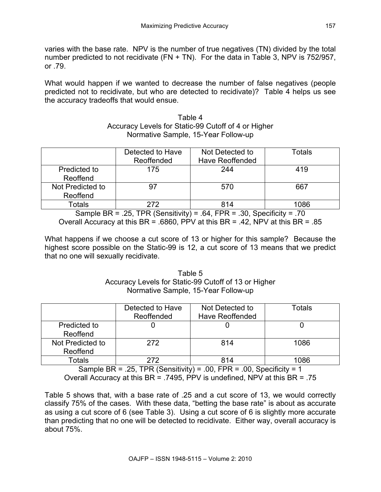varies with the base rate. NPV is the number of true negatives (TN) divided by the total number predicted to not recidivate  $(FN + TN)$ . For the data in Table 3, NPV is 752/957, or .79.

What would happen if we wanted to decrease the number of false negatives (people predicted not to recidivate, but who are detected to recidivate)? Table 4 helps us see the accuracy tradeoffs that would ensue.

| Table 4                                             |
|-----------------------------------------------------|
| Accuracy Levels for Static-99 Cutoff of 4 or Higher |
| Normative Sample, 15-Year Follow-up                 |

|                  | Detected to Have | Not Detected to        | Totals |
|------------------|------------------|------------------------|--------|
|                  | Reoffended       | <b>Have Reoffended</b> |        |
| Predicted to     | 175              | 244                    | 419    |
| Reoffend         |                  |                        |        |
| Not Predicted to | 97               | 570                    | 667    |
| Reoffend         |                  |                        |        |
| Totals           | 272              | 814                    | 1086   |

Sample BR = .25, TPR (Sensitivity) = .64, FPR = .30, Specificity = .70 Overall Accuracy at this BR = .6860, PPV at this BR = .42, NPV at this BR = .85

What happens if we choose a cut score of 13 or higher for this sample? Because the highest score possible on the Static-99 is 12, a cut score of 13 means that we predict that no one will sexually recidivate.

> Table 5 Accuracy Levels for Static-99 Cutoff of 13 or Higher Normative Sample, 15-Year Follow-up

|                  | Detected to Have<br>Reoffended | Not Detected to<br><b>Have Reoffended</b> | Totals |
|------------------|--------------------------------|-------------------------------------------|--------|
| Predicted to     |                                |                                           |        |
| Reoffend         |                                |                                           |        |
| Not Predicted to | 272                            | 814                                       | 1086   |
| Reoffend         |                                |                                           |        |
| Totals           | 272                            | 814                                       | 1086   |

Sample BR = .25, TPR (Sensitivity) = .00, FPR = .00, Specificity = 1 Overall Accuracy at this BR = .7495, PPV is undefined, NPV at this BR = .75

Table 5 shows that, with a base rate of .25 and a cut score of 13, we would correctly classify 75% of the cases. With these data, "betting the base rate" is about as accurate as using a cut score of 6 (see Table 3). Using a cut score of 6 is slightly more accurate than predicting that no one will be detected to recidivate. Either way, overall accuracy is about 75%.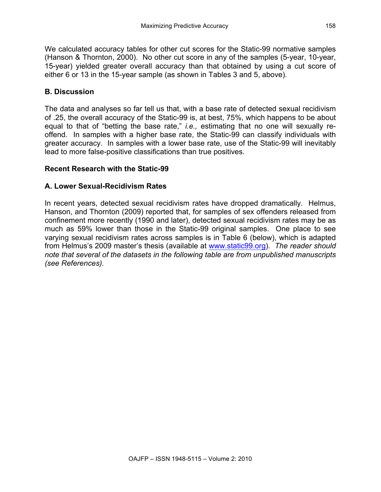We calculated accuracy tables for other cut scores for the Static-99 normative samples (Hanson & Thornton, 2000). No other cut score in any of the samples (5-year, 10-year, 15-year) yielded greater overall accuracy than that obtained by using a cut score of either 6 or 13 in the 15-year sample (as shown in Tables 3 and 5, above).

# **B. Discussion**

The data and analyses so far tell us that, with a base rate of detected sexual recidivism of .25, the overall accuracy of the Static-99 is, at best, 75%, which happens to be about equal to that of "betting the base rate," *i.e.,* estimating that no one will sexually reoffend. In samples with a higher base rate, the Static-99 can classify individuals with greater accuracy. In samples with a lower base rate, use of the Static-99 will inevitably lead to more false-positive classifications than true positives.

## **Recent Research with the Static-99**

#### **A. Lower Sexual-Recidivism Rates**

In recent years, detected sexual recidivism rates have dropped dramatically. Helmus, Hanson, and Thornton (2009) reported that, for samples of sex offenders released from confinement more recently (1990 and later), detected sexual recidivism rates may be as much as 59% lower than those in the Static-99 original samples. One place to see varying sexual recidivism rates across samples is in Table 6 (below), which is adapted from Helmus's 2009 master's thesis (available at www.static99.org). *The reader should note that several of the datasets in the following table are from unpublished manuscripts (see References).*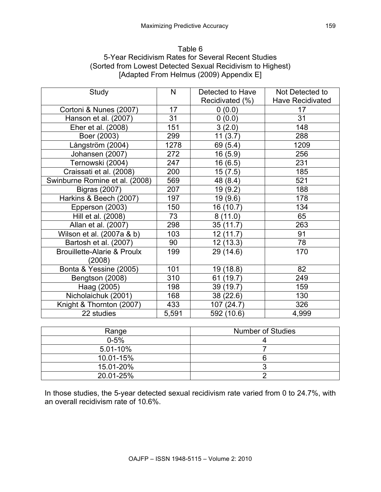#### Table 6 5-Year Recidivism Rates for Several Recent Studies (Sorted from Lowest Detected Sexual Recidivism to Highest) [Adapted From Helmus (2009) Appendix E]

| Study                                            | N     | Detected to Have<br>Recidivated (%) | Not Detected to<br><b>Have Recidivated</b> |
|--------------------------------------------------|-------|-------------------------------------|--------------------------------------------|
| Cortoni & Nunes (2007)                           | 17    | 0(0.0)                              | 17                                         |
| Hanson et al. (2007)                             | 31    | 0(0.0)                              | 31                                         |
| Eher et al. (2008)                               | 151   | 3(2.0)                              | 148                                        |
| Boer (2003)                                      | 299   | 11(3.7)                             | 288                                        |
| Långström (2004)                                 | 1278  | 69 (5.4)                            | 1209                                       |
| Johansen (2007)                                  | 272   | 16(5.9)                             | 256                                        |
| Ternowski (2004)                                 | 247   | 16 (6.5)                            | 231                                        |
| Craissati et al. (2008)                          | 200   | 15(7.5)                             | 185                                        |
| Swinburne Romine et al. (2008)                   | 569   | 48 (8.4)                            | 521                                        |
| <b>Bigras (2007)</b>                             | 207   | 19 (9.2)                            | 188                                        |
| Harkins & Beech (2007)                           | 197   | 19 (9.6)                            | 178                                        |
| Epperson (2003)                                  | 150   | 16 (10.7)                           | 134                                        |
| Hill et al. (2008)                               | 73    | 8(11.0)                             | 65                                         |
| Allan et al. (2007)                              | 298   | 35(11.7)                            | 263                                        |
| Wilson et al. (2007a & b)                        | 103   | 12(11.7)                            | 91                                         |
| Bartosh et al. (2007)                            | 90    | 12(13.3)                            | 78                                         |
| <b>Brouillette-Alarie &amp; Proulx</b><br>(2008) | 199   | 29 (14.6)                           | 170                                        |
| Bonta & Yessine (2005)                           | 101   | 19 (18.8)                           | 82                                         |
| Bengtson (2008)                                  | 310   | 61 (19.7)                           | 249                                        |
| Haag (2005)                                      | 198   | 39 (19.7)                           | 159                                        |
| Nicholaichuk (2001)                              | 168   | 38 (22.6)                           | 130                                        |
| Knight & Thornton (2007)                         | 433   | 107 (24.7)                          | 326                                        |
| 22 studies                                       | 5,591 | 592 (10.6)                          | 4,999                                      |

| Range        | <b>Number of Studies</b> |
|--------------|--------------------------|
| $0 - 5%$     |                          |
| $5.01 - 10%$ |                          |
| 10.01-15%    |                          |
| 15.01-20%    |                          |
| 20.01-25%    |                          |

In those studies, the 5-year detected sexual recidivism rate varied from 0 to 24.7%, with an overall recidivism rate of 10.6%.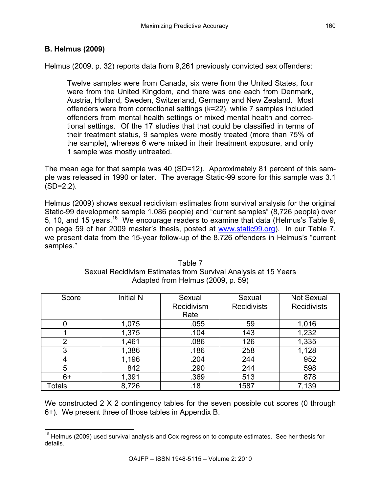# **B. Helmus (2009)**

Helmus (2009, p. 32) reports data from 9,261 previously convicted sex offenders:

Twelve samples were from Canada, six were from the United States, four were from the United Kingdom, and there was one each from Denmark, Austria, Holland, Sweden, Switzerland, Germany and New Zealand. Most offenders were from correctional settings (k=22), while 7 samples included offenders from mental health settings or mixed mental health and correctional settings. Of the 17 studies that that could be classified in terms of their treatment status, 9 samples were mostly treated (more than 75% of the sample), whereas 6 were mixed in their treatment exposure, and only 1 sample was mostly untreated.

The mean age for that sample was 40 (SD=12). Approximately 81 percent of this sample was released in 1990 or later. The average Static-99 score for this sample was 3.1  $(SD=2.2)$ .

Helmus (2009) shows sexual recidivism estimates from survival analysis for the original Static-99 development sample 1,086 people) and "current samples" (8,726 people) over 5, 10, and 15 years.16 We encourage readers to examine that data (Helmus's Table 9, on page 59 of her 2009 master's thesis, posted at www.static99.org). In our Table 7, we present data from the 15-year follow-up of the 8,726 offenders in Helmus's "current samples."

| Score  | <b>Initial N</b> | Sexual<br>Recidivism<br>Rate | Sexual<br><b>Recidivists</b> | <b>Not Sexual</b><br><b>Recidivists</b> |
|--------|------------------|------------------------------|------------------------------|-----------------------------------------|
|        | 1,075            | .055                         | 59                           | 1,016                                   |
|        | 1,375            | .104                         | 143                          | 1,232                                   |
| 2      | 1,461            | .086                         | 126                          | 1,335                                   |
| 3      | 1,386            | .186                         | 258                          | 1,128                                   |
| 4      | 1,196            | .204                         | 244                          | 952                                     |
| 5      | 842              | .290                         | 244                          | 598                                     |
| 6+     | 1,391            | .369                         | 513                          | 878                                     |
| Totals | 8,726            | .18                          | 1587                         | 7,139                                   |

#### Table 7 Sexual Recidivism Estimates from Survival Analysis at 15 Years Adapted from Helmus (2009, p. 59)

We constructed 2 X 2 contingency tables for the seven possible cut scores (0 through 6+). We present three of those tables in Appendix B.

 $16$  Helmus (2009) used survival analysis and Cox regression to compute estimates. See her thesis for details.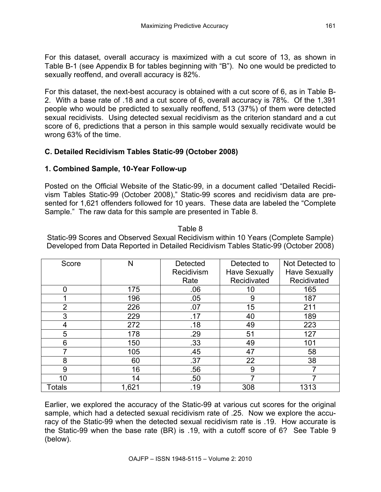For this dataset, overall accuracy is maximized with a cut score of 13, as shown in Table B-1 (see Appendix B for tables beginning with "B"). No one would be predicted to sexually reoffend, and overall accuracy is 82%.

For this dataset, the next-best accuracy is obtained with a cut score of 6, as in Table B-2. With a base rate of .18 and a cut score of 6, overall accuracy is 78%. Of the 1,391 people who would be predicted to sexually reoffend, 513 (37%) of them were detected sexual recidivists. Using detected sexual recidivism as the criterion standard and a cut score of 6, predictions that a person in this sample would sexually recidivate would be wrong 63% of the time.

# **C. Detailed Recidivism Tables Static-99 (October 2008)**

## **1. Combined Sample, 10-Year Follow-up**

Posted on the Official Website of the Static-99, in a document called "Detailed Recidivism Tables Static-99 (October 2008)," Static-99 scores and recidivism data are presented for 1,621 offenders followed for 10 years. These data are labeled the "Complete Sample." The raw data for this sample are presented in Table 8.

Score N Detected Recidivism Rate Detected to Have Sexually Recidivated Not Detected to Have Sexually Recidivated 0 | 175 | .06 | 10 | 165 1 196 .05 9 187 2 226 .07 15 211 3 229 .17 40 189 4 | 272 | .18 | 49 | 223 5 178 .29 51 127 6 150 .33 49 101 7 105 .45 47 58 8 | 60 | .37 | 22 | 38 9 | 16 | .56 | 9 | 7 10 14 50 7 7 Totals | 1,621 | .19 | 308 | 1313

Static-99 Scores and Observed Sexual Recidivism within 10 Years (Complete Sample) Developed from Data Reported in Detailed Recidivism Tables Static-99 (October 2008)

Table 8

Earlier, we explored the accuracy of the Static-99 at various cut scores for the original sample, which had a detected sexual recidivism rate of .25. Now we explore the accuracy of the Static-99 when the detected sexual recidivism rate is .19. How accurate is the Static-99 when the base rate (BR) is .19, with a cutoff score of 6? See Table 9 (below).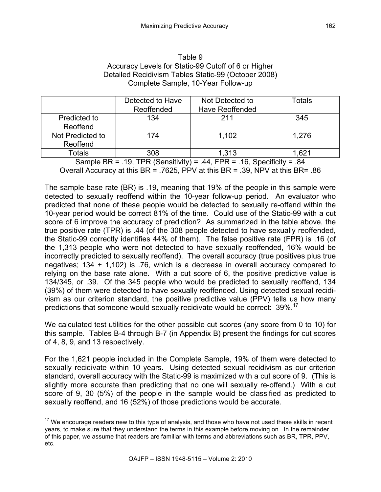| Table 9                                             |
|-----------------------------------------------------|
| Accuracy Levels for Static-99 Cutoff of 6 or Higher |
| Detailed Recidivism Tables Static-99 (October 2008) |
| Complete Sample, 10-Year Follow-up                  |

|                  | Detected to Have | Not Detected to        | Totals |
|------------------|------------------|------------------------|--------|
|                  | Reoffended       | <b>Have Reoffended</b> |        |
| Predicted to     | 134              | 211                    | 345    |
| Reoffend         |                  |                        |        |
| Not Predicted to | 174              | 1,102                  | 1,276  |
| Reoffend         |                  |                        |        |
| Totals           | 308              | 1,313                  | .621   |

Sample BR = .19, TPR (Sensitivity) = .44, FPR = .16, Specificity = .84 Overall Accuracy at this BR = .7625, PPV at this BR = .39, NPV at this BR= .86

The sample base rate (BR) is .19, meaning that 19% of the people in this sample were detected to sexually reoffend within the 10-year follow-up period. An evaluator who predicted that none of these people would be detected to sexually re-offend within the 10-year period would be correct 81% of the time. Could use of the Static-99 with a cut score of 6 improve the accuracy of prediction? As summarized in the table above, the true positive rate (TPR) is .44 (of the 308 people detected to have sexually reoffended, the Static-99 correctly identifies 44% of them). The false positive rate (FPR) is .16 (of the 1,313 people who were not detected to have sexually reoffended, 16% would be incorrectly predicted to sexually reoffend). The overall accuracy (true positives plus true negatives; 134 + 1,102) is .76, which is a decrease in overall accuracy compared to relying on the base rate alone. With a cut score of 6, the positive predictive value is 134/345, or .39. Of the 345 people who would be predicted to sexually reoffend, 134 (39%) of them were detected to have sexually reoffended. Using detected sexual recidivism as our criterion standard, the positive predictive value (PPV) tells us how many predictions that someone would sexually recidivate would be correct:  $39\%$ <sup>1</sup>

We calculated test utilities for the other possible cut scores (any score from 0 to 10) for this sample. Tables B-4 through B-7 (in Appendix B) present the findings for cut scores of 4, 8, 9, and 13 respectively.

For the 1,621 people included in the Complete Sample, 19% of them were detected to sexually recidivate within 10 years. Using detected sexual recidivism as our criterion standard, overall accuracy with the Static-99 is maximized with a cut score of 9. (This is slightly more accurate than predicting that no one will sexually re-offend.) With a cut score of 9, 30 (5%) of the people in the sample would be classified as predicted to sexually reoffend, and 16 (52%) of those predictions would be accurate.

 $17$  We encourage readers new to this type of analysis, and those who have not used these skills in recent years, to make sure that they understand the terms in this example before moving on. In the remainder of this paper, we assume that readers are familiar with terms and abbreviations such as BR, TPR, PPV, etc.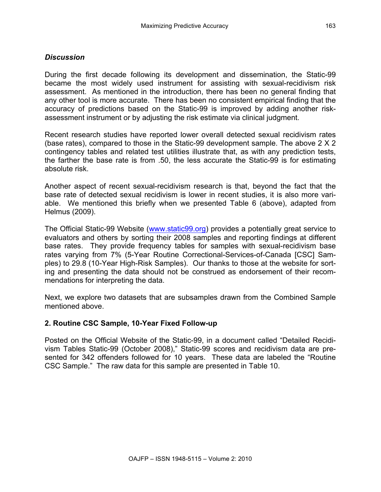#### *Discussion*

During the first decade following its development and dissemination, the Static-99 became the most widely used instrument for assisting with sexual-recidivism risk assessment. As mentioned in the introduction, there has been no general finding that any other tool is more accurate. There has been no consistent empirical finding that the accuracy of predictions based on the Static-99 is improved by adding another riskassessment instrument or by adjusting the risk estimate via clinical judgment.

Recent research studies have reported lower overall detected sexual recidivism rates (base rates), compared to those in the Static-99 development sample. The above 2 X 2 contingency tables and related test utilities illustrate that, as with any prediction tests, the farther the base rate is from .50, the less accurate the Static-99 is for estimating absolute risk.

Another aspect of recent sexual-recidivism research is that, beyond the fact that the base rate of detected sexual recidivism is lower in recent studies, it is also more variable. We mentioned this briefly when we presented Table 6 (above), adapted from Helmus (2009).

The Official Static-99 Website (www.static99.org) provides a potentially great service to evaluators and others by sorting their 2008 samples and reporting findings at different base rates. They provide frequency tables for samples with sexual-recidivism base rates varying from 7% (5-Year Routine Correctional-Services-of-Canada [CSC] Samples) to 29.8 (10-Year High-Risk Samples). Our thanks to those at the website for sorting and presenting the data should not be construed as endorsement of their recommendations for interpreting the data.

Next, we explore two datasets that are subsamples drawn from the Combined Sample mentioned above.

#### **2. Routine CSC Sample, 10-Year Fixed Follow-up**

Posted on the Official Website of the Static-99, in a document called "Detailed Recidivism Tables Static-99 (October 2008)," Static-99 scores and recidivism data are presented for 342 offenders followed for 10 years. These data are labeled the "Routine CSC Sample." The raw data for this sample are presented in Table 10.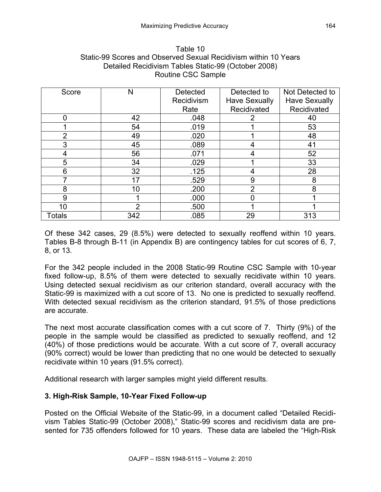| Table 10                                                        |
|-----------------------------------------------------------------|
| Static-99 Scores and Observed Sexual Recidivism within 10 Years |
| Detailed Recidivism Tables Static-99 (October 2008)             |
| Routine CSC Sample                                              |

| Score          | Ν   | <b>Detected</b> | Detected to          | Not Detected to      |
|----------------|-----|-----------------|----------------------|----------------------|
|                |     | Recidivism      | <b>Have Sexually</b> | <b>Have Sexually</b> |
|                |     | Rate            | Recidivated          | Recidivated          |
|                | 42  | .048            |                      | 40                   |
|                | 54  | .019            |                      | 53                   |
| $\overline{2}$ | 49  | .020            |                      | 48                   |
| 3              | 45  | .089            |                      | 41                   |
| 4              | 56  | .071            |                      | 52                   |
| 5              | 34  | .029            |                      | 33                   |
| 6              | 32  | .125            | 4                    | 28                   |
|                | 17  | .529            | 9                    | 8                    |
| 8              | 10  | .200            | っ                    | 8                    |
| 9              |     | .000            |                      |                      |
| 10             | າ   | .500            |                      |                      |
| Totals         | 342 | .085            | 29                   | 313                  |

Of these 342 cases, 29 (8.5%) were detected to sexually reoffend within 10 years. Tables B-8 through B-11 (in Appendix B) are contingency tables for cut scores of 6, 7, 8, or 13.

For the 342 people included in the 2008 Static-99 Routine CSC Sample with 10-year fixed follow-up, 8.5% of them were detected to sexually recidivate within 10 years. Using detected sexual recidivism as our criterion standard, overall accuracy with the Static-99 is maximized with a cut score of 13. No one is predicted to sexually reoffend. With detected sexual recidivism as the criterion standard, 91.5% of those predictions are accurate.

The next most accurate classification comes with a cut score of 7. Thirty (9%) of the people in the sample would be classified as predicted to sexually reoffend, and 12 (40%) of those predictions would be accurate. With a cut score of 7, overall accuracy (90% correct) would be lower than predicting that no one would be detected to sexually recidivate within 10 years (91.5% correct).

Additional research with larger samples might yield different results.

## **3. High-Risk Sample, 10-Year Fixed Follow-up**

Posted on the Official Website of the Static-99, in a document called "Detailed Recidivism Tables Static-99 (October 2008)," Static-99 scores and recidivism data are presented for 735 offenders followed for 10 years. These data are labeled the "High-Risk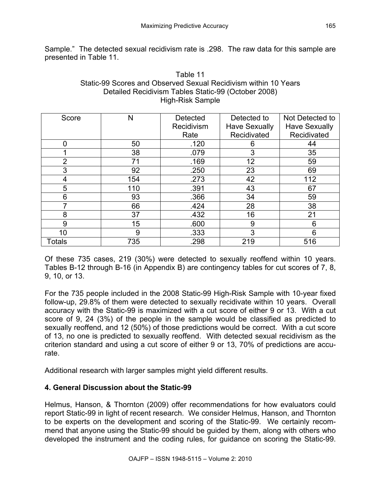Sample." The detected sexual recidivism rate is .298. The raw data for this sample are presented in Table 11.

| Table 11                                                        |
|-----------------------------------------------------------------|
| Static-99 Scores and Observed Sexual Recidivism within 10 Years |
| Detailed Recidivism Tables Static-99 (October 2008)             |
| High-Risk Sample                                                |

| Score          | Ν   | <b>Detected</b> | Detected to          | Not Detected to      |
|----------------|-----|-----------------|----------------------|----------------------|
|                |     | Recidivism      | <b>Have Sexually</b> | <b>Have Sexually</b> |
|                |     | Rate            | Recidivated          | Recidivated          |
|                | 50  | .120            | 6                    | 44                   |
|                | 38  | .079            | 3                    | 35                   |
| $\overline{2}$ | 71  | .169            | 12                   | 59                   |
| 3              | 92  | .250            | 23                   | 69                   |
|                | 154 | .273            | 42                   | 112                  |
| 5              | 110 | .391            | 43                   | 67                   |
| 6              | 93  | .366            | 34                   | 59                   |
|                | 66  | .424            | 28                   | 38                   |
| 8              | 37  | .432            | 16                   | 21                   |
| 9              | 15  | .600            | 9                    | 6                    |
| 10             | 9   | .333            | 3                    | 6                    |
| Totals         | 735 | .298            | 219                  | 516                  |

Of these 735 cases, 219 (30%) were detected to sexually reoffend within 10 years. Tables B-12 through B-16 (in Appendix B) are contingency tables for cut scores of 7, 8, 9, 10, or 13.

For the 735 people included in the 2008 Static-99 High-Risk Sample with 10-year fixed follow-up, 29.8% of them were detected to sexually recidivate within 10 years. Overall accuracy with the Static-99 is maximized with a cut score of either 9 or 13. With a cut score of 9, 24 (3%) of the people in the sample would be classified as predicted to sexually reoffend, and 12 (50%) of those predictions would be correct. With a cut score of 13, no one is predicted to sexually reoffend. With detected sexual recidivism as the criterion standard and using a cut score of either 9 or 13, 70% of predictions are accurate.

Additional research with larger samples might yield different results.

## **4. General Discussion about the Static-99**

Helmus, Hanson, & Thornton (2009) offer recommendations for how evaluators could report Static-99 in light of recent research. We consider Helmus, Hanson, and Thornton to be experts on the development and scoring of the Static-99. We certainly recommend that anyone using the Static-99 should be guided by them, along with others who developed the instrument and the coding rules, for guidance on scoring the Static-99.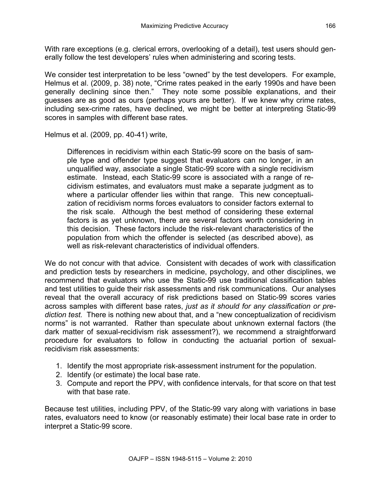With rare exceptions (e.g. clerical errors, overlooking of a detail), test users should generally follow the test developers' rules when administering and scoring tests.

We consider test interpretation to be less "owned" by the test developers. For example, Helmus et al. (2009, p. 38) note, "Crime rates peaked in the early 1990s and have been generally declining since then." They note some possible explanations, and their guesses are as good as ours (perhaps yours are better). If we knew why crime rates, including sex-crime rates, have declined, we might be better at interpreting Static-99 scores in samples with different base rates.

Helmus et al. (2009, pp. 40-41) write,

Differences in recidivism within each Static-99 score on the basis of sample type and offender type suggest that evaluators can no longer, in an unqualified way, associate a single Static-99 score with a single recidivism estimate. Instead, each Static-99 score is associated with a range of recidivism estimates, and evaluators must make a separate judgment as to where a particular offender lies within that range. This new conceptualization of recidivism norms forces evaluators to consider factors external to the risk scale. Although the best method of considering these external factors is as yet unknown, there are several factors worth considering in this decision. These factors include the risk-relevant characteristics of the population from which the offender is selected (as described above), as well as risk-relevant characteristics of individual offenders.

We do not concur with that advice. Consistent with decades of work with classification and prediction tests by researchers in medicine, psychology, and other disciplines, we recommend that evaluators who use the Static-99 use traditional classification tables and test utilities to guide their risk assessments and risk communications. Our analyses reveal that the overall accuracy of risk predictions based on Static-99 scores varies across samples with different base rates, *just as it should for any classification or prediction test.* There is nothing new about that, and a "new conceptualization of recidivism norms" is not warranted. Rather than speculate about unknown external factors (the dark matter of sexual-recidivism risk assessment?), we recommend a straightforward procedure for evaluators to follow in conducting the actuarial portion of sexualrecidivism risk assessments:

- 1. Identify the most appropriate risk-assessment instrument for the population.
- 2. Identify (or estimate) the local base rate.
- 3. Compute and report the PPV, with confidence intervals, for that score on that test with that base rate.

Because test utilities, including PPV, of the Static-99 vary along with variations in base rates, evaluators need to know (or reasonably estimate) their local base rate in order to interpret a Static-99 score.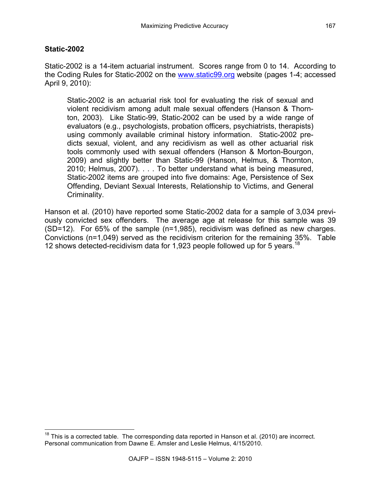#### **Static-2002**

Static-2002 is a 14-item actuarial instrument. Scores range from 0 to 14. According to the Coding Rules for Static-2002 on the www.static99.org website (pages 1-4; accessed April 9, 2010):

Static-2002 is an actuarial risk tool for evaluating the risk of sexual and violent recidivism among adult male sexual offenders (Hanson & Thornton, 2003). Like Static-99, Static-2002 can be used by a wide range of evaluators (e.g., psychologists, probation officers, psychiatrists, therapists) using commonly available criminal history information. Static-2002 predicts sexual, violent, and any recidivism as well as other actuarial risk tools commonly used with sexual offenders (Hanson & Morton-Bourgon, 2009) and slightly better than Static-99 (Hanson, Helmus, & Thornton, 2010; Helmus, 2007). . . . To better understand what is being measured, Static-2002 items are grouped into five domains: Age, Persistence of Sex Offending, Deviant Sexual Interests, Relationship to Victims, and General Criminality.

Hanson et al. (2010) have reported some Static-2002 data for a sample of 3,034 previously convicted sex offenders. The average age at release for this sample was 39 (SD=12). For 65% of the sample (n=1,985), recidivism was defined as new charges. Convictions (n=1,049) served as the recidivism criterion for the remaining 35%. Table 12 shows detected-recidivism data for 1,923 people followed up for 5 years.<sup>18</sup>

 $18$  This is a corrected table. The corresponding data reported in Hanson et al. (2010) are incorrect. Personal communication from Dawne E. Amsler and Leslie Helmus, 4/15/2010.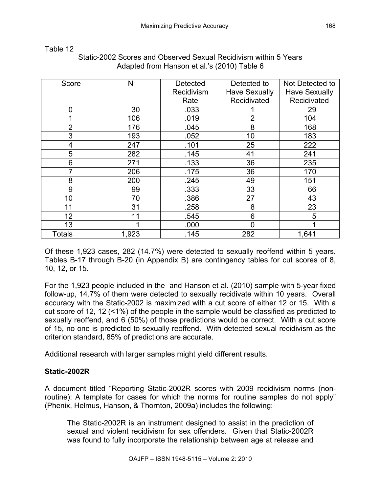| Score          | N     | <b>Detected</b> | Detected to          | Not Detected to      |
|----------------|-------|-----------------|----------------------|----------------------|
|                |       | Recidivism      | <b>Have Sexually</b> | <b>Have Sexually</b> |
|                |       | Rate            | Recidivated          | Recidivated          |
| $\overline{0}$ | 30    | .033            |                      | 29                   |
|                | 106   | .019            | $\overline{2}$       | 104                  |
| $\overline{2}$ | 176   | .045            | 8                    | 168                  |
| 3              | 193   | .052            | 10                   | 183                  |
| $\overline{4}$ | 247   | .101            | 25                   | 222                  |
| 5              | 282   | .145            | 41                   | 241                  |
| 6              | 271   | .133            | 36                   | 235                  |
| 7              | 206   | .175            | 36                   | 170                  |
| 8              | 200   | .245            | 49                   | 151                  |
| 9              | 99    | .333            | 33                   | 66                   |
| 10             | 70    | .386            | 27                   | 43                   |
| 11             | 31    | .258            | 8                    | 23                   |
| 12             | 11    | .545            | 6                    | 5                    |
| 13             |       | .000            | $\mathbf 0$          |                      |
| <b>Totals</b>  | 1,923 | .145            | 282                  | 1,641                |

# Static-2002 Scores and Observed Sexual Recidivism within 5 Years Adapted from Hanson et al.'s (2010) Table 6

Of these 1,923 cases, 282 (14.7%) were detected to sexually reoffend within 5 years. Tables B-17 through B-20 (in Appendix B) are contingency tables for cut scores of 8, 10, 12, or 15.

For the 1,923 people included in the and Hanson et al. (2010) sample with 5-year fixed follow-up, 14.7% of them were detected to sexually recidivate within 10 years. Overall accuracy with the Static-2002 is maximized with a cut score of either 12 or 15. With a cut score of 12, 12 (<1%) of the people in the sample would be classified as predicted to sexually reoffend, and 6 (50%) of those predictions would be correct. With a cut score of 15, no one is predicted to sexually reoffend. With detected sexual recidivism as the criterion standard, 85% of predictions are accurate.

Additional research with larger samples might yield different results.

## **Static-2002R**

Table 12

A document titled "Reporting Static-2002R scores with 2009 recidivism norms (nonroutine): A template for cases for which the norms for routine samples do not apply" (Phenix, Helmus, Hanson, & Thornton, 2009a) includes the following:

The Static-2002R is an instrument designed to assist in the prediction of sexual and violent recidivism for sex offenders. Given that Static-2002R was found to fully incorporate the relationship between age at release and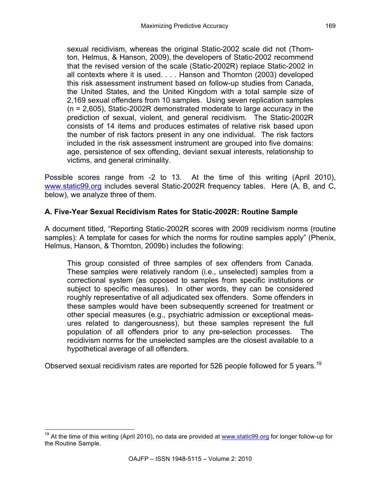sexual recidivism, whereas the original Static-2002 scale did not (Thornton, Helmus, & Hanson, 2009), the developers of Static-2002 recommend that the revised version of the scale (Static-2002R) replace Static-2002 in all contexts where it is used. . . . Hanson and Thornton (2003) developed this risk assessment instrument based on follow-up studies from Canada, the United States, and the United Kingdom with a total sample size of 2,169 sexual offenders from 10 samples. Using seven replication samples (n = 2,605), Static-2002R demonstrated moderate to large accuracy in the prediction of sexual, violent, and general recidivism. The Static-2002R consists of 14 items and produces estimates of relative risk based upon the number of risk factors present in any one individual. The risk factors included in the risk assessment instrument are grouped into five domains: age, persistence of sex offending, deviant sexual interests, relationship to victims, and general criminality.

Possible scores range from -2 to 13. At the time of this writing (April 2010), www.static99.org includes several Static-2002R frequency tables. Here (A, B, and C, below), we analyze three of them.

# **A. Five-Year Sexual Recidivism Rates for Static-2002R: Routine Sample**

A document titled, "Reporting Static-2002R scores with 2009 recidivism norms (routine samples): A template for cases for which the norms for routine samples apply" (Phenix, Helmus, Hanson, & Thornton, 2009b) includes the following:

This group consisted of three samples of sex offenders from Canada. These samples were relatively random (i.e., unselected) samples from a correctional system (as opposed to samples from specific institutions or subject to specific measures). In other words, they can be considered roughly representative of all adjudicated sex offenders. Some offenders in these samples would have been subsequently screened for treatment or other special measures (e.g., psychiatric admission or exceptional measures related to dangerousness), but these samples represent the full population of all offenders prior to any pre-selection processes. The recidivism norms for the unselected samples are the closest available to a hypothetical average of all offenders.

Observed sexual recidivism rates are reported for 526 people followed for 5 years.<sup>19</sup>

 $19$  At the time of this writing (April 2010), no data are provided at www.static99.org for longer follow-up for the Routine Sample.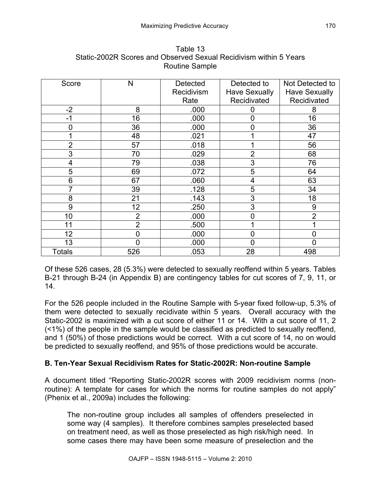| Score          | N              | Detected<br>Recidivism | Detected to<br><b>Have Sexually</b> | Not Detected to<br><b>Have Sexually</b> |
|----------------|----------------|------------------------|-------------------------------------|-----------------------------------------|
|                |                | Rate                   | Recidivated                         | Recidivated                             |
| $-2$           | 8              | .000                   |                                     | 8                                       |
| $-1$           | 16             | .000                   | $\Omega$                            | 16                                      |
| 0              | 36             | .000                   | ი                                   | 36                                      |
|                | 48             | .021                   |                                     | 47                                      |
| $\overline{2}$ | 57             | .018                   |                                     | 56                                      |
| 3              | 70             | .029                   | $\overline{2}$                      | 68                                      |
| 4              | 79             | .038                   | 3                                   | 76                                      |
| 5              | 69             | .072                   | 5                                   | 64                                      |
| 6              | 67             | .060                   | 4                                   | 63                                      |
| 7              | 39             | .128                   | 5                                   | 34                                      |
| 8              | 21             | .143                   | 3                                   | 18                                      |
| 9              | 12             | .250                   | 3                                   | 9                                       |
| 10             | $\overline{2}$ | .000                   | $\overline{0}$                      | $\overline{2}$                          |
| 11             | $\overline{2}$ | .500                   |                                     |                                         |
| 12             | 0              | .000                   | $\overline{0}$                      | $\overline{0}$                          |
| 13             | 0              | .000                   |                                     | 0                                       |
| <b>Totals</b>  | 526            | .053                   | 28                                  | 498                                     |

Table 13 Static-2002R Scores and Observed Sexual Recidivism within 5 Years Routine Sample

Of these 526 cases, 28 (5.3%) were detected to sexually reoffend within 5 years. Tables B-21 through B-24 (in Appendix B) are contingency tables for cut scores of 7, 9, 11, or 14.

For the 526 people included in the Routine Sample with 5-year fixed follow-up, 5.3% of them were detected to sexually recidivate within 5 years. Overall accuracy with the Static-2002 is maximized with a cut score of either 11 or 14. With a cut score of 11, 2 (<1%) of the people in the sample would be classified as predicted to sexually reoffend, and 1 (50%) of those predictions would be correct. With a cut score of 14, no on would be predicted to sexually reoffend, and 95% of those predictions would be accurate.

# **B. Ten-Year Sexual Recidivism Rates for Static-2002R: Non-routine Sample**

A document titled "Reporting Static-2002R scores with 2009 recidivism norms (nonroutine): A template for cases for which the norms for routine samples do not apply" (Phenix et al., 2009a) includes the following:

The non-routine group includes all samples of offenders preselected in some way (4 samples). It therefore combines samples preselected based on treatment need, as well as those preselected as high risk/high need. In some cases there may have been some measure of preselection and the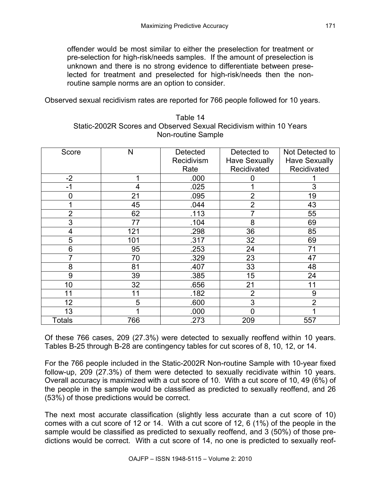offender would be most similar to either the preselection for treatment or pre-selection for high-risk/needs samples. If the amount of preselection is unknown and there is no strong evidence to differentiate between preselected for treatment and preselected for high-risk/needs then the nonroutine sample norms are an option to consider.

Observed sexual recidivism rates are reported for 766 people followed for 10 years.

| Score          | N   | <b>Detected</b> | Detected to          | Not Detected to      |
|----------------|-----|-----------------|----------------------|----------------------|
|                |     | Recidivism      | <b>Have Sexually</b> | <b>Have Sexually</b> |
|                |     | Rate            | Recidivated          | Recidivated          |
| $-2$           |     | .000            | 0                    |                      |
| -1             | 4   | .025            |                      | 3                    |
| 0              | 21  | .095            | $\overline{2}$       | 19                   |
|                | 45  | .044            | $\overline{2}$       | 43                   |
| $\overline{2}$ | 62  | .113            | 7                    | 55                   |
| 3              | 77  | .104            | 8                    | 69                   |
| 4              | 121 | .298            | 36                   | 85                   |
| 5              | 101 | .317            | 32                   | 69                   |
| 6              | 95  | .253            | 24                   | 71                   |
| 7              | 70  | .329            | 23                   | 47                   |
| 8              | 81  | .407            | 33                   | 48                   |
| 9              | 39  | .385            | 15                   | 24                   |
| 10             | 32  | .656            | 21                   | 11                   |
| 11             | 11  | .182            | $\overline{2}$       | 9                    |
| 12             | 5   | .600            | 3                    | $\overline{2}$       |
| 13             |     | .000            | $\Omega$             |                      |
| Totals         | 766 | .273            | 209                  | 557                  |

Table 14 Static-2002R Scores and Observed Sexual Recidivism within 10 Years Non-routine Sample

Of these 766 cases, 209 (27.3%) were detected to sexually reoffend within 10 years. Tables B-25 through B-28 are contingency tables for cut scores of 8, 10, 12, or 14.

For the 766 people included in the Static-2002R Non-routine Sample with 10-year fixed follow-up, 209 (27.3%) of them were detected to sexually recidivate within 10 years. Overall accuracy is maximized with a cut score of 10. With a cut score of 10, 49 (6%) of the people in the sample would be classified as predicted to sexually reoffend, and 26 (53%) of those predictions would be correct.

The next most accurate classification (slightly less accurate than a cut score of 10) comes with a cut score of 12 or 14. With a cut score of 12, 6 (1%) of the people in the sample would be classified as predicted to sexually reoffend, and 3 (50%) of those predictions would be correct. With a cut score of 14, no one is predicted to sexually reof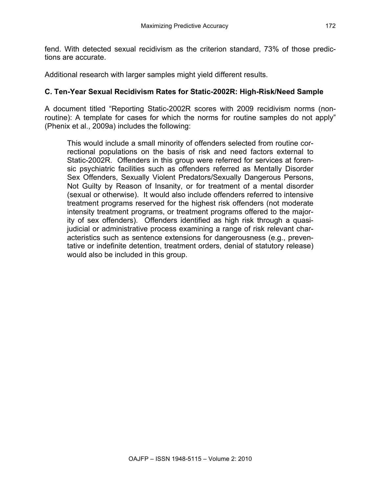fend. With detected sexual recidivism as the criterion standard, 73% of those predictions are accurate.

Additional research with larger samples might yield different results.

#### **C. Ten-Year Sexual Recidivism Rates for Static-2002R: High-Risk/Need Sample**

A document titled "Reporting Static-2002R scores with 2009 recidivism norms (nonroutine): A template for cases for which the norms for routine samples do not apply" (Phenix et al., 2009a) includes the following:

This would include a small minority of offenders selected from routine correctional populations on the basis of risk and need factors external to Static-2002R. Offenders in this group were referred for services at forensic psychiatric facilities such as offenders referred as Mentally Disorder Sex Offenders, Sexually Violent Predators/Sexually Dangerous Persons, Not Guilty by Reason of Insanity, or for treatment of a mental disorder (sexual or otherwise). It would also include offenders referred to intensive treatment programs reserved for the highest risk offenders (not moderate intensity treatment programs, or treatment programs offered to the majority of sex offenders). Offenders identified as high risk through a quasijudicial or administrative process examining a range of risk relevant characteristics such as sentence extensions for dangerousness (e.g., preventative or indefinite detention, treatment orders, denial of statutory release) would also be included in this group.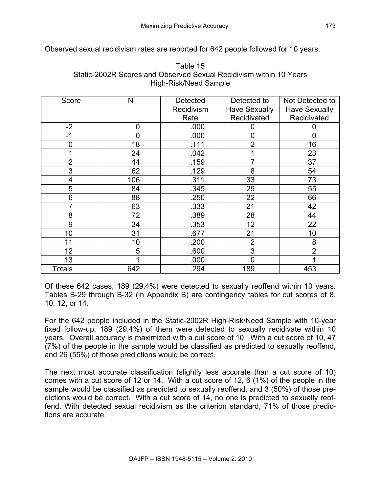Observed sexual recidivism rates are reported for 642 people followed for 10 years.

| Score          | N   | <b>Detected</b> | Detected to          | Not Detected to      |
|----------------|-----|-----------------|----------------------|----------------------|
|                |     | Recidivism      | <b>Have Sexually</b> | <b>Have Sexually</b> |
|                |     | Rate            | Recidivated          | Recidivated          |
| $-2$           | 0   | .000            | 0                    | 0                    |
| $-1$           | 0   | .000            | $\overline{0}$       | $\mathbf 0$          |
| $\overline{0}$ | 18  | .111            | $\overline{2}$       | 16                   |
|                | 24  | .042            |                      | 23                   |
| $\overline{2}$ | 44  | .159            | 7                    | 37                   |
| 3              | 62  | .129            | 8                    | 54                   |
| 4              | 106 | .311            | 33                   | 73                   |
| 5              | 84  | .345            | 29                   | 55                   |
| 6              | 88  | .250            | 22                   | 66                   |
| 7              | 63  | .333            | 21                   | 42                   |
| 8              | 72  | .389            | 28                   | 44                   |
| 9              | 34  | .353            | 12                   | 22                   |
| 10             | 31  | .677            | 21                   | 10                   |
| 11             | 10  | .200            | $\overline{2}$       | 8                    |
| 12             | 5   | .600            | 3                    | $\overline{2}$       |
| 13             | 1   | .000            | $\Omega$             | 4                    |
| Totals         | 642 | .294            | 189                  | 453                  |

Table 15 Static-2002R Scores and Observed Sexual Recidivism within 10 Years High-Risk/Need Sample

Of these 642 cases, 189 (29.4%) were detected to sexually reoffend within 10 years. Tables B-29 through B-32 (in Appendix B) are contingency tables for cut scores of 8, 10, 12, or 14.

For the 642 people included in the Static-2002R High-Risk/Need Sample with 10-year fixed follow-up, 189 (29.4%) of them were detected to sexually recidivate within 10 years. Overall accuracy is maximized with a cut score of 10. With a cut score of 10, 47 (7%) of the people in the sample would be classified as predicted to sexually reoffend, and 26 (55%) of those predictions would be correct.

The next most accurate classification (slightly less accurate than a cut score of 10) comes with a cut score of 12 or 14. With a cut score of 12, 6 (1%) of the people in the sample would be classified as predicted to sexually reoffend, and 3 (50%) of those predictions would be correct. With a cut score of 14, no one is predicted to sexually reoffend. With detected sexual recidivism as the criterion standard, 71% of those predictions are accurate.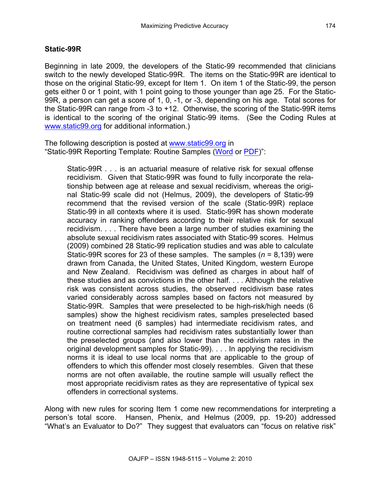#### **Static-99R**

Beginning in late 2009, the developers of the Static-99 recommended that clinicians switch to the newly developed Static-99R. The items on the Static-99R are identical to those on the original Static-99, except for Item 1. On item 1 of the Static-99, the person gets either 0 or 1 point, with 1 point going to those younger than age 25. For the Static-99R, a person can get a score of 1, 0, -1, or -3, depending on his age. Total scores for the Static-99R can range from -3 to +12. Otherwise, the scoring of the Static-99R items is identical to the scoring of the original Static-99 items. (See the Coding Rules at www.static99.org for additional information.)

The following description is posted at www.static99.org in "Static-99R Reporting Template: Routine Samples (Word or PDF)":

Static-99R . . . is an actuarial measure of relative risk for sexual offense recidivism. Given that Static-99R was found to fully incorporate the relationship between age at release and sexual recidivism, whereas the original Static-99 scale did not (Helmus, 2009), the developers of Static-99 recommend that the revised version of the scale (Static-99R) replace Static-99 in all contexts where it is used. Static-99R has shown moderate accuracy in ranking offenders according to their relative risk for sexual recidivism. . . . There have been a large number of studies examining the absolute sexual recidivism rates associated with Static-99 scores. Helmus (2009) combined 28 Static-99 replication studies and was able to calculate Static-99R scores for 23 of these samples. The samples (*n* = 8,139) were drawn from Canada, the United States, United Kingdom, western Europe and New Zealand. Recidivism was defined as charges in about half of these studies and as convictions in the other half. . . . Although the relative risk was consistent across studies, the observed recidivism base rates varied considerably across samples based on factors not measured by Static-99R. Samples that were preselected to be high-risk/high needs (6 samples) show the highest recidivism rates, samples preselected based on treatment need (6 samples) had intermediate recidivism rates, and routine correctional samples had recidivism rates substantially lower than the preselected groups (and also lower than the recidivism rates in the original development samples for Static-99). . . . In applying the recidivism norms it is ideal to use local norms that are applicable to the group of offenders to which this offender most closely resembles. Given that these norms are not often available, the routine sample will usually reflect the most appropriate recidivism rates as they are representative of typical sex offenders in correctional systems.

Along with new rules for scoring Item 1 come new recommendations for interpreting a person's total score. Hansen, Phenix, and Helmus (2009, pp. 19-20) addressed "What's an Evaluator to Do?" They suggest that evaluators can "focus on relative risk"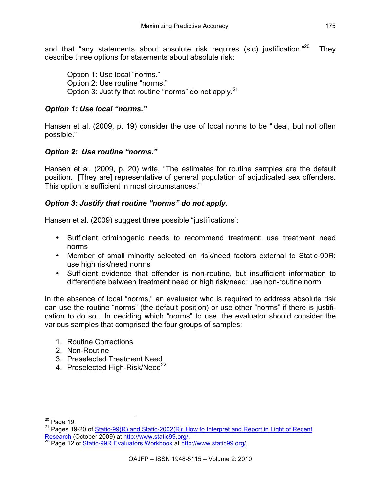and that "any statements about absolute risk requires (sic) justification."<sup>20</sup> They describe three options for statements about absolute risk:

Option 1: Use local "norms." Option 2: Use routine "norms." Option 3: Justify that routine "norms" do not apply.<sup>21</sup>

## *Option 1: Use local "norms."*

Hansen et al. (2009, p. 19) consider the use of local norms to be "ideal, but not often possible."

# *Option 2: Use routine "norms."*

Hansen et al. (2009, p. 20) write, "The estimates for routine samples are the default position. [They are] representative of general population of adjudicated sex offenders. This option is sufficient in most circumstances."

# *Option 3: Justify that routine "norms" do not apply.*

Hansen et al. (2009) suggest three possible "justifications":

- Sufficient criminogenic needs to recommend treatment: use treatment need norms
- Member of small minority selected on risk/need factors external to Static-99R: use high risk/need norms
- Sufficient evidence that offender is non-routine, but insufficient information to differentiate between treatment need or high risk/need: use non-routine norm

In the absence of local "norms," an evaluator who is required to address absolute risk can use the routine "norms" (the default position) or use other "norms" if there is justification to do so. In deciding which "norms" to use, the evaluator should consider the various samples that comprised the four groups of samples:

- 1. Routine Corrections
- 2. Non-Routine
- 3. Preselected Treatment Need
- 4. Preselected High-Risk/Need<sup>22</sup>

<sup>&</sup>lt;sup>20</sup> Page 19.<br><sup>21</sup> Pages 19-20 of Static-<u>99(R) and Static-2002(R): How to Interpret and Report in Light of Recent</u> Research (October 2009) at http://www.static99.org/.<br><sup>22</sup> Page 12 of <u>Static-99R Evaluators Workbook at http://www.static99.org/.</u>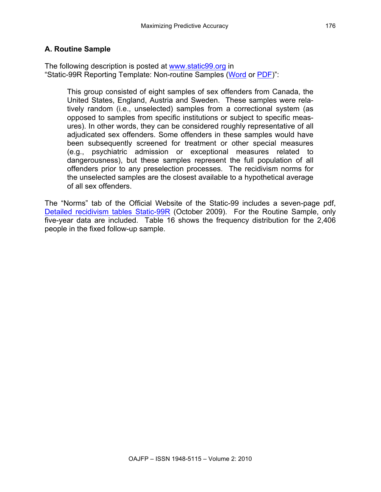#### **A. Routine Sample**

The following description is posted at www.static99.org in "Static-99R Reporting Template: Non-routine Samples (Word or PDF)":

This group consisted of eight samples of sex offenders from Canada, the United States, England, Austria and Sweden. These samples were relatively random (i.e., unselected) samples from a correctional system (as opposed to samples from specific institutions or subject to specific measures). In other words, they can be considered roughly representative of all adjudicated sex offenders. Some offenders in these samples would have been subsequently screened for treatment or other special measures (e.g., psychiatric admission or exceptional measures related to dangerousness), but these samples represent the full population of all offenders prior to any preselection processes. The recidivism norms for the unselected samples are the closest available to a hypothetical average of all sex offenders.

The "Norms" tab of the Official Website of the Static-99 includes a seven-page pdf, Detailed recidivism tables Static-99R (October 2009). For the Routine Sample, only five-year data are included. Table 16 shows the frequency distribution for the 2,406 people in the fixed follow-up sample.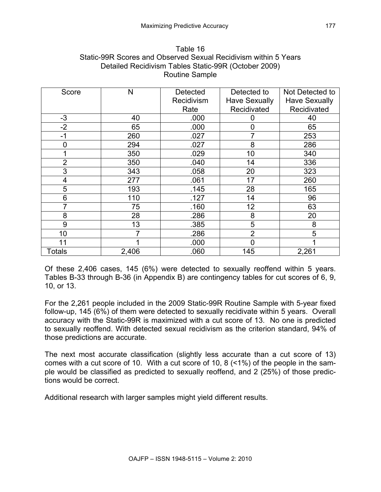| Table 16                                                        |
|-----------------------------------------------------------------|
| Static-99R Scores and Observed Sexual Recidivism within 5 Years |
| Detailed Recidivism Tables Static-99R (October 2009)            |
| Routine Sample                                                  |

| Score          | N     | <b>Detected</b> | Detected to          | Not Detected to      |
|----------------|-------|-----------------|----------------------|----------------------|
|                |       | Recidivism      | <b>Have Sexually</b> | <b>Have Sexually</b> |
|                |       | Rate            | Recidivated          | Recidivated          |
| $-3$           | 40    | .000            | 0                    | 40                   |
| $-2$           | 65    | .000            | $\overline{0}$       | 65                   |
| $-1$           | 260   | .027            |                      | 253                  |
| 0              | 294   | .027            | 8                    | 286                  |
|                | 350   | .029            | 10                   | 340                  |
| $\overline{2}$ | 350   | .040            | 14                   | 336                  |
| 3              | 343   | .058            | 20                   | 323                  |
| 4              | 277   | .061            | 17                   | 260                  |
| 5              | 193   | .145            | 28                   | 165                  |
| 6              | 110   | .127            | 14                   | 96                   |
|                | 75    | .160            | 12                   | 63                   |
| 8              | 28    | .286            | 8                    | 20                   |
| 9              | 13    | .385            | 5                    | 8                    |
| 10             | 7     | .286            | $\overline{2}$       | 5                    |
| 11             |       | .000            |                      |                      |
| <b>Totals</b>  | 2,406 | .060            | 145                  | 2,261                |

Of these 2,406 cases, 145 (6%) were detected to sexually reoffend within 5 years. Tables B-33 through B-36 (in Appendix B) are contingency tables for cut scores of 6, 9, 10, or 13.

For the 2,261 people included in the 2009 Static-99R Routine Sample with 5-year fixed follow-up, 145 (6%) of them were detected to sexually recidivate within 5 years. Overall accuracy with the Static-99R is maximized with a cut score of 13. No one is predicted to sexually reoffend. With detected sexual recidivism as the criterion standard, 94% of those predictions are accurate.

The next most accurate classification (slightly less accurate than a cut score of 13) comes with a cut score of 10. With a cut score of 10, 8 (<1%) of the people in the sample would be classified as predicted to sexually reoffend, and 2 (25%) of those predictions would be correct.

Additional research with larger samples might yield different results.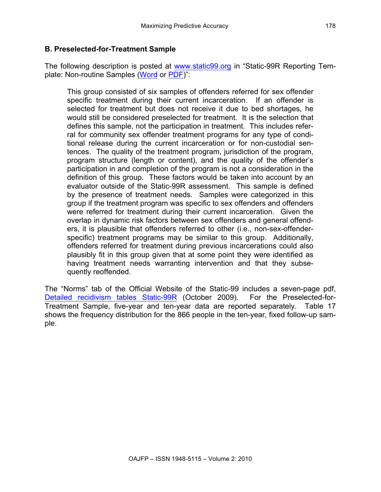#### **B. Preselected-for-Treatment Sample**

The following description is posted at www.static99.org in "Static-99R Reporting Template: Non-routine Samples (Word or PDF)":

This group consisted of six samples of offenders referred for sex offender specific treatment during their current incarceration. If an offender is selected for treatment but does not receive it due to bed shortages, he would still be considered preselected for treatment. It is the selection that defines this sample, not the participation in treatment. This includes referral for community sex offender treatment programs for any type of conditional release during the current incarceration or for non-custodial sentences. The quality of the treatment program, jurisdiction of the program, program structure (length or content), and the quality of the offender's participation in and completion of the program is not a consideration in the definition of this group. These factors would be taken into account by an evaluator outside of the Static-99R assessment. This sample is defined by the presence of treatment needs. Samples were categorized in this group if the treatment program was specific to sex offenders and offenders were referred for treatment during their current incarceration. Given the overlap in dynamic risk factors between sex offenders and general offenders, it is plausible that offenders referred to other (i.e., non-sex-offenderspecific) treatment programs may be similar to this group. Additionally, offenders referred for treatment during previous incarcerations could also plausibly fit in this group given that at some point they were identified as having treatment needs warranting intervention and that they subsequently reoffended.

The "Norms" tab of the Official Website of the Static-99 includes a seven-page pdf, Detailed recidivism tables Static-99R (October 2009). For the Preselected-for-Treatment Sample, five-year and ten-year data are reported separately. Table 17 shows the frequency distribution for the 866 people in the ten-year, fixed follow-up sample.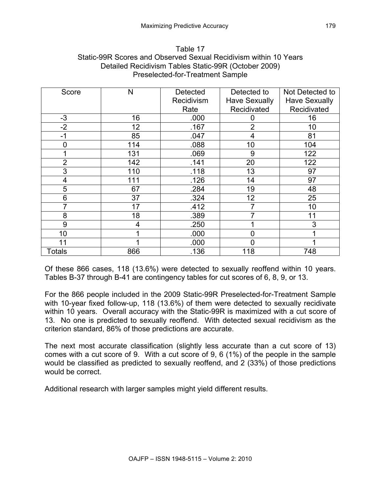| Table 17                                                         |
|------------------------------------------------------------------|
| Static-99R Scores and Observed Sexual Recidivism within 10 Years |
| Detailed Recidivism Tables Static-99R (October 2009)             |
| Preselected-for-Treatment Sample                                 |

| Score          | N   | <b>Detected</b> | Detected to          | Not Detected to      |
|----------------|-----|-----------------|----------------------|----------------------|
|                |     | Recidivism      | <b>Have Sexually</b> | <b>Have Sexually</b> |
|                |     | Rate            | Recidivated          | Recidivated          |
| $-3$           | 16  | .000            | 0                    | 16                   |
| $-2$           | 12  | .167            | $\overline{2}$       | 10                   |
| $-1$           | 85  | .047            | 4                    | 81                   |
| 0              | 114 | .088            | 10                   | 104                  |
|                | 131 | .069            | 9                    | 122                  |
| $\overline{2}$ | 142 | .141            | 20                   | 122                  |
| 3              | 110 | .118            | 13                   | 97                   |
| 4              | 111 | .126            | 14                   | 97                   |
| 5              | 67  | .284            | 19                   | 48                   |
| 6              | 37  | .324            | 12                   | 25                   |
|                | 17  | .412            |                      | 10                   |
| 8              | 18  | .389            | 7                    | 11                   |
| 9              | 4   | .250            |                      | 3                    |
| 10             |     | .000            |                      |                      |
| 11             |     | .000            |                      |                      |
| <b>Totals</b>  | 866 | .136            | 118                  | 748                  |

Of these 866 cases, 118 (13.6%) were detected to sexually reoffend within 10 years. Tables B-37 through B-41 are contingency tables for cut scores of 6, 8, 9, or 13.

For the 866 people included in the 2009 Static-99R Preselected-for-Treatment Sample with 10-year fixed follow-up, 118 (13.6%) of them were detected to sexually recidivate within 10 years. Overall accuracy with the Static-99R is maximized with a cut score of 13. No one is predicted to sexually reoffend. With detected sexual recidivism as the criterion standard, 86% of those predictions are accurate.

The next most accurate classification (slightly less accurate than a cut score of 13) comes with a cut score of 9. With a cut score of 9, 6 (1%) of the people in the sample would be classified as predicted to sexually reoffend, and 2 (33%) of those predictions would be correct.

Additional research with larger samples might yield different results.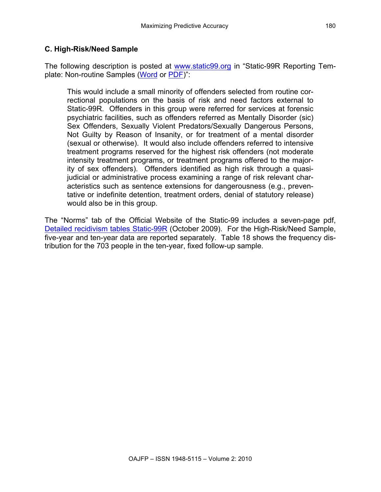## **C. High-Risk/Need Sample**

The following description is posted at www.static99.org in "Static-99R Reporting Template: Non-routine Samples (Word or PDF)":

This would include a small minority of offenders selected from routine correctional populations on the basis of risk and need factors external to Static-99R. Offenders in this group were referred for services at forensic psychiatric facilities, such as offenders referred as Mentally Disorder (sic) Sex Offenders, Sexually Violent Predators/Sexually Dangerous Persons, Not Guilty by Reason of Insanity, or for treatment of a mental disorder (sexual or otherwise). It would also include offenders referred to intensive treatment programs reserved for the highest risk offenders (not moderate intensity treatment programs, or treatment programs offered to the majority of sex offenders). Offenders identified as high risk through a quasijudicial or administrative process examining a range of risk relevant characteristics such as sentence extensions for dangerousness (e.g., preventative or indefinite detention, treatment orders, denial of statutory release) would also be in this group.

The "Norms" tab of the Official Website of the Static-99 includes a seven-page pdf, Detailed recidivism tables Static-99R (October 2009). For the High-Risk/Need Sample, five-year and ten-year data are reported separately. Table 18 shows the frequency distribution for the 703 people in the ten-year, fixed follow-up sample.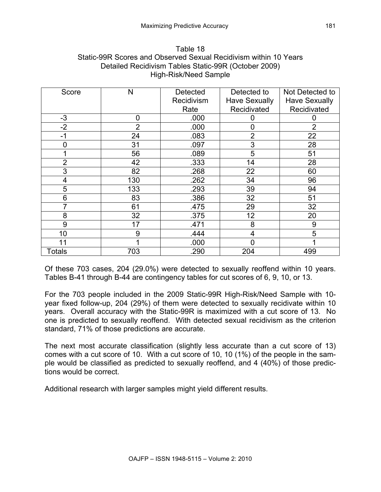| Table 18                                                         |
|------------------------------------------------------------------|
| Static-99R Scores and Observed Sexual Recidivism within 10 Years |
| Detailed Recidivism Tables Static-99R (October 2009)             |
| High-Risk/Need Sample                                            |

| Score          | N              | <b>Detected</b> | Detected to          | Not Detected to      |
|----------------|----------------|-----------------|----------------------|----------------------|
|                |                | Recidivism      | <b>Have Sexually</b> | <b>Have Sexually</b> |
|                |                | Rate            | Recidivated          | Recidivated          |
| $-3$           | 0              | .000            | 0                    | 0                    |
| $-2$           | $\overline{2}$ | .000            | $\overline{0}$       | $\overline{2}$       |
| $-1$           | 24             | .083            | $\overline{2}$       | 22                   |
| ∩              | 31             | .097            | 3                    | 28                   |
|                | 56             | .089            | 5                    | 51                   |
| $\overline{2}$ | 42             | .333            | 14                   | 28                   |
| 3              | 82             | .268            | 22                   | 60                   |
| 4              | 130            | .262            | 34                   | 96                   |
| 5              | 133            | .293            | 39                   | 94                   |
| 6              | 83             | .386            | 32                   | 51                   |
|                | 61             | .475            | 29                   | 32                   |
| 8              | 32             | .375            | 12                   | 20                   |
| 9              | 17             | .471            | 8                    | 9                    |
| 10             | 9              | .444            | 4                    | 5                    |
| 11             |                | .000            | ი                    |                      |
| Totals         | 703            | .290            | 204                  | 499                  |

Of these 703 cases, 204 (29.0%) were detected to sexually reoffend within 10 years. Tables B-41 through B-44 are contingency tables for cut scores of 6, 9, 10, or 13.

For the 703 people included in the 2009 Static-99R High-Risk/Need Sample with 10 year fixed follow-up, 204 (29%) of them were detected to sexually recidivate within 10 years. Overall accuracy with the Static-99R is maximized with a cut score of 13. No one is predicted to sexually reoffend. With detected sexual recidivism as the criterion standard, 71% of those predictions are accurate.

The next most accurate classification (slightly less accurate than a cut score of 13) comes with a cut score of 10. With a cut score of 10, 10 (1%) of the people in the sample would be classified as predicted to sexually reoffend, and 4 (40%) of those predictions would be correct.

Additional research with larger samples might yield different results.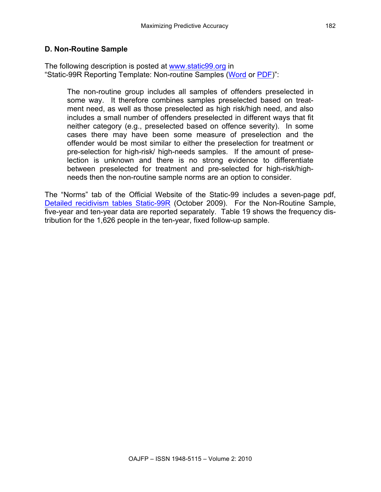#### **D. Non-Routine Sample**

The following description is posted at www.static99.org in "Static-99R Reporting Template: Non-routine Samples (Word or PDF)":

The non-routine group includes all samples of offenders preselected in some way. It therefore combines samples preselected based on treatment need, as well as those preselected as high risk/high need, and also includes a small number of offenders preselected in different ways that fit neither category (e.g., preselected based on offence severity). In some cases there may have been some measure of preselection and the offender would be most similar to either the preselection for treatment or pre-selection for high-risk/ high-needs samples. If the amount of preselection is unknown and there is no strong evidence to differentiate between preselected for treatment and pre-selected for high-risk/highneeds then the non-routine sample norms are an option to consider.

The "Norms" tab of the Official Website of the Static-99 includes a seven-page pdf, Detailed recidivism tables Static-99R (October 2009). For the Non-Routine Sample, five-year and ten-year data are reported separately. Table 19 shows the frequency distribution for the 1,626 people in the ten-year, fixed follow-up sample.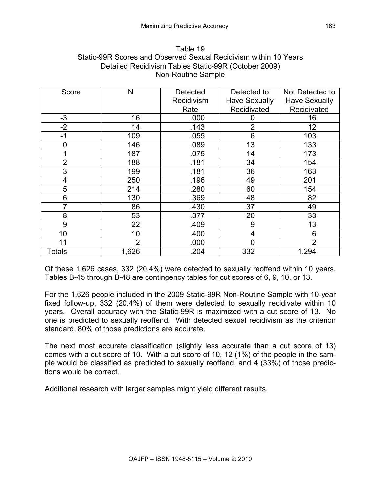| Table 19                                                         |  |  |  |  |  |
|------------------------------------------------------------------|--|--|--|--|--|
| Static-99R Scores and Observed Sexual Recidivism within 10 Years |  |  |  |  |  |
| Detailed Recidivism Tables Static-99R (October 2009)             |  |  |  |  |  |
| Non-Routine Sample                                               |  |  |  |  |  |

| Score          | N              | Detected   | Detected to          | Not Detected to      |
|----------------|----------------|------------|----------------------|----------------------|
|                |                | Recidivism | <b>Have Sexually</b> | <b>Have Sexually</b> |
|                |                | Rate       | Recidivated          | Recidivated          |
| $-3$           | 16             | .000       | 0                    | 16                   |
| $-2$           | 14             | .143       | $\overline{2}$       | 12                   |
| $-1$           | 109            | .055       | 6                    | 103                  |
| $\overline{0}$ | 146            | .089       | 13                   | 133                  |
|                | 187            | .075       | 14                   | 173                  |
| $\overline{2}$ | 188            | .181       | 34                   | 154                  |
| 3              | 199            | .181       | 36                   | 163                  |
| 4              | 250            | .196       | 49                   | 201                  |
| 5              | 214            | .280       | 60                   | 154                  |
| 6              | 130            | .369       | 48                   | 82                   |
|                | 86             | .430       | 37                   | 49                   |
| 8              | 53             | .377       | 20                   | 33                   |
| 9              | 22             | .409       | 9                    | 13                   |
| 10             | 10             | .400       | 4                    | 6                    |
| 11             | $\overline{2}$ | .000       | 0                    | $\overline{2}$       |
| <b>Totals</b>  | 1,626          | .204       | 332                  | 1,294                |

Of these 1,626 cases, 332 (20.4%) were detected to sexually reoffend within 10 years. Tables B-45 through B-48 are contingency tables for cut scores of 6, 9, 10, or 13.

For the 1,626 people included in the 2009 Static-99R Non-Routine Sample with 10-year fixed follow-up, 332 (20.4%) of them were detected to sexually recidivate within 10 years. Overall accuracy with the Static-99R is maximized with a cut score of 13. No one is predicted to sexually reoffend. With detected sexual recidivism as the criterion standard, 80% of those predictions are accurate.

The next most accurate classification (slightly less accurate than a cut score of 13) comes with a cut score of 10. With a cut score of 10, 12 (1%) of the people in the sample would be classified as predicted to sexually reoffend, and 4 (33%) of those predictions would be correct.

Additional research with larger samples might yield different results.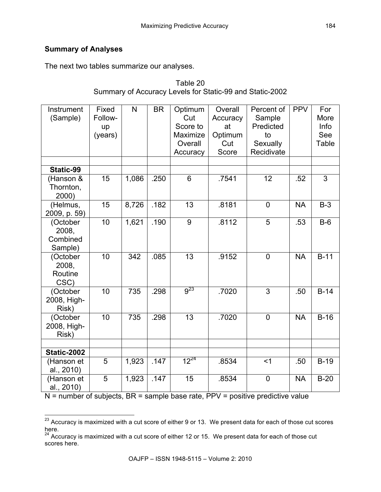# **Summary of Analyses**

The next two tables summarize our analyses.

| Instrument<br>(Sample)                   | Fixed<br>Follow-<br>up<br>(years) | $\mathsf{N}$ | <b>BR</b> | Optimum<br>Cut<br>Score to<br>Maximize<br>Overall<br>Accuracy | Overall<br>Accuracy<br>at<br>Optimum<br>Cut<br>Score | Percent of<br>Sample<br>Predicted<br>to<br>Sexually<br>Recidivate | <b>PPV</b> | For<br>More<br>Info<br>See<br>Table |
|------------------------------------------|-----------------------------------|--------------|-----------|---------------------------------------------------------------|------------------------------------------------------|-------------------------------------------------------------------|------------|-------------------------------------|
| Static-99                                |                                   |              |           |                                                               |                                                      |                                                                   |            |                                     |
| (Hanson &<br>Thornton,<br>2000)          | 15                                | 1,086        | .250      | $6\phantom{1}$                                                | .7541                                                | 12                                                                | .52        | 3                                   |
| (Helmus,<br>2009, p. 59)                 | 15                                | 8,726        | .182      | 13                                                            | .8181                                                | $\overline{0}$                                                    | <b>NA</b>  | $B-3$                               |
| (October<br>2008,<br>Combined<br>Sample) | 10                                | 1,621        | .190      | 9                                                             | .8112                                                | 5                                                                 | .53        | $B-6$                               |
| (October<br>2008,<br>Routine<br>CSC)     | 10                                | 342          | .085      | 13                                                            | .9152                                                | $\overline{0}$                                                    | <b>NA</b>  | $B-11$                              |
| (October<br>2008, High-<br>Risk)         | 10                                | 735          | .298      | $9^{23}$                                                      | .7020                                                | $\overline{3}$                                                    | .50        | $B-14$                              |
| (October<br>2008, High-<br>Risk)         | 10                                | 735          | .298      | 13                                                            | .7020                                                | $\overline{0}$                                                    | <b>NA</b>  | $B-16$                              |
| Static-2002                              |                                   |              |           |                                                               |                                                      |                                                                   |            |                                     |
| (Hanson et<br>al., 2010)                 | 5                                 | 1,923        | .147      | $12^{24}$                                                     | .8534                                                | $<$ 1                                                             | .50        | $B-19$                              |
| (Hanson et<br>al., 2010)                 | 5                                 | 1,923        | .147      | 15                                                            | .8534                                                | $\mathbf 0$                                                       | <b>NA</b>  | $B-20$                              |

| Table 20                                                 |
|----------------------------------------------------------|
| Summary of Accuracy Levels for Static-99 and Static-2002 |

N = number of subjects, BR = sample base rate, PPV = positive predictive value

 $23$  Accuracy is maximized with a cut score of either 9 or 13. We present data for each of those cut scores here.

 $24$  Accuracy is maximized with a cut score of either 12 or 15. We present data for each of those cut scores here.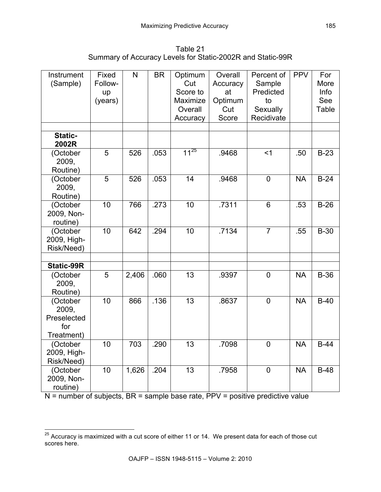Table 21 Summary of Accuracy Levels for Static-2002R and Static-99R

| Instrument<br>(Sample)                                | Fixed<br>Follow-<br>up<br>(years) | $\mathsf{N}$ | <b>BR</b> | Optimum<br>Cut<br>Score to<br>Maximize<br>Overall | Overall<br>Accuracy<br>at<br>Optimum<br>Cut<br>Score | Percent of<br>Sample<br>Predicted<br>to<br>Sexually<br>Recidivate | <b>PPV</b> | For<br>More<br>Info<br>See<br>Table |
|-------------------------------------------------------|-----------------------------------|--------------|-----------|---------------------------------------------------|------------------------------------------------------|-------------------------------------------------------------------|------------|-------------------------------------|
|                                                       |                                   |              |           | Accuracy                                          |                                                      |                                                                   |            |                                     |
| Static-<br>2002R                                      |                                   |              |           |                                                   |                                                      |                                                                   |            |                                     |
| (October<br>2009,<br>Routine)                         | 5                                 | 526          | .053      | $11^{25}$                                         | .9468                                                | $<$ 1                                                             | .50        | $B-23$                              |
| (October<br>2009,<br>Routine)                         | 5                                 | 526          | .053      | 14                                                | .9468                                                | $\mathbf 0$                                                       | <b>NA</b>  | $B-24$                              |
| (October<br>2009, Non-<br>routine)                    | 10                                | 766          | .273      | 10                                                | .7311                                                | 6                                                                 | .53        | $B-26$                              |
| (October<br>2009, High-<br>Risk/Need)                 | $\overline{10}$                   | 642          | .294      | 10                                                | .7134                                                | $\overline{7}$                                                    | .55        | $B-30$                              |
|                                                       |                                   |              |           |                                                   |                                                      |                                                                   |            |                                     |
| <b>Static-99R</b>                                     |                                   |              |           |                                                   |                                                      |                                                                   |            |                                     |
| (October<br>2009,<br>Routine)                         | 5                                 | 2,406        | .060      | 13                                                | .9397                                                | $\mathbf 0$                                                       | <b>NA</b>  | $B-36$                              |
| (October<br>2009,<br>Preselected<br>for<br>Treatment) | 10                                | 866          | .136      | $\overline{13}$                                   | .8637                                                | $\overline{0}$                                                    | <b>NA</b>  | $B-40$                              |
| (October<br>2009, High-<br>Risk/Need)                 | 10                                | 703          | .290      | 13                                                | .7098                                                | $\overline{0}$                                                    | <b>NA</b>  | $B-44$                              |
| (October<br>2009, Non-<br>routine)                    | 10                                | 1,626        | .204      | 13                                                | .7958                                                | $\overline{0}$                                                    | <b>NA</b>  | $B-48$                              |

 $N$  = number of subjects, BR = sample base rate, PPV = positive predictive value

<sup>&</sup>lt;sup>25</sup> Accuracy is maximized with a cut score of either 11 or 14. We present data for each of those cut scores here.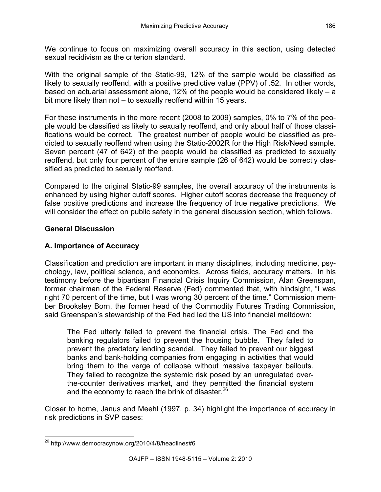We continue to focus on maximizing overall accuracy in this section, using detected sexual recidivism as the criterion standard.

With the original sample of the Static-99, 12% of the sample would be classified as likely to sexually reoffend, with a positive predictive value (PPV) of .52. In other words, based on actuarial assessment alone, 12% of the people would be considered likely – a bit more likely than not – to sexually reoffend within 15 years.

For these instruments in the more recent (2008 to 2009) samples, 0% to 7% of the people would be classified as likely to sexually reoffend, and only about half of those classifications would be correct. The greatest number of people would be classified as predicted to sexually reoffend when using the Static-2002R for the High Risk/Need sample. Seven percent (47 of 642) of the people would be classified as predicted to sexually reoffend, but only four percent of the entire sample (26 of 642) would be correctly classified as predicted to sexually reoffend.

Compared to the original Static-99 samples, the overall accuracy of the instruments is enhanced by using higher cutoff scores. Higher cutoff scores decrease the frequency of false positive predictions and increase the frequency of true negative predictions. We will consider the effect on public safety in the general discussion section, which follows.

## **General Discussion**

# **A. Importance of Accuracy**

Classification and prediction are important in many disciplines, including medicine, psychology, law, political science, and economics. Across fields, accuracy matters. In his testimony before the bipartisan Financial Crisis Inquiry Commission, Alan Greenspan, former chairman of the Federal Reserve (Fed) commented that, with hindsight, "I was right 70 percent of the time, but I was wrong 30 percent of the time." Commission member Brooksley Born, the former head of the Commodity Futures Trading Commission, said Greenspan's stewardship of the Fed had led the US into financial meltdown:

The Fed utterly failed to prevent the financial crisis. The Fed and the banking regulators failed to prevent the housing bubble. They failed to prevent the predatory lending scandal. They failed to prevent our biggest banks and bank-holding companies from engaging in activities that would bring them to the verge of collapse without massive taxpayer bailouts. They failed to recognize the systemic risk posed by an unregulated overthe-counter derivatives market, and they permitted the financial system and the economy to reach the brink of disaster. $^{26}$ 

Closer to home, Janus and Meehl (1997, p. 34) highlight the importance of accuracy in risk predictions in SVP cases:

 <sup>26</sup> http://www.democracynow.org/2010/4/8/headlines#6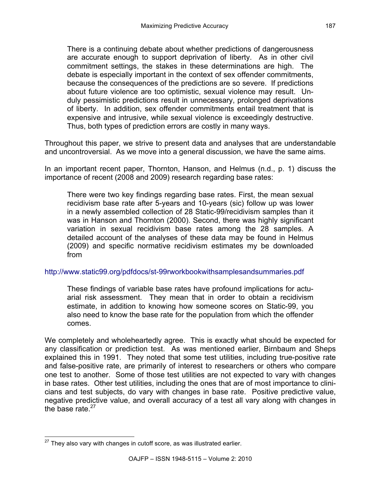There is a continuing debate about whether predictions of dangerousness are accurate enough to support deprivation of liberty. As in other civil commitment settings, the stakes in these determinations are high. The debate is especially important in the context of sex offender commitments, because the consequences of the predictions are so severe. If predictions about future violence are too optimistic, sexual violence may result. Unduly pessimistic predictions result in unnecessary, prolonged deprivations of liberty. In addition, sex offender commitments entail treatment that is expensive and intrusive, while sexual violence is exceedingly destructive. Thus, both types of prediction errors are costly in many ways.

Throughout this paper, we strive to present data and analyses that are understandable and uncontroversial. As we move into a general discussion, we have the same aims.

In an important recent paper, Thornton, Hanson, and Helmus (n.d., p. 1) discuss the importance of recent (2008 and 2009) research regarding base rates:

There were two key findings regarding base rates. First, the mean sexual recidivism base rate after 5-years and 10-years (sic) follow up was lower in a newly assembled collection of 28 Static-99/recidivism samples than it was in Hanson and Thornton (2000). Second, there was highly significant variation in sexual recidivism base rates among the 28 samples. A detailed account of the analyses of these data may be found in Helmus (2009) and specific normative recidivism estimates my be downloaded from

#### http://www.static99.org/pdfdocs/st-99rworkbookwithsamplesandsummaries.pdf

These findings of variable base rates have profound implications for actuarial risk assessment. They mean that in order to obtain a recidivism estimate, in addition to knowing how someone scores on Static-99, you also need to know the base rate for the population from which the offender comes.

We completely and wholeheartedly agree. This is exactly what should be expected for any classification or prediction test. As was mentioned earlier, Birnbaum and Sheps explained this in 1991. They noted that some test utilities, including true-positive rate and false-positive rate, are primarily of interest to researchers or others who compare one test to another. Some of those test utilities are not expected to vary with changes in base rates. Other test utilities, including the ones that are of most importance to clinicians and test subjects, do vary with changes in base rate. Positive predictive value, negative predictive value, and overall accuracy of a test all vary along with changes in the base rate  $27$ 

 $27$  They also vary with changes in cutoff score, as was illustrated earlier.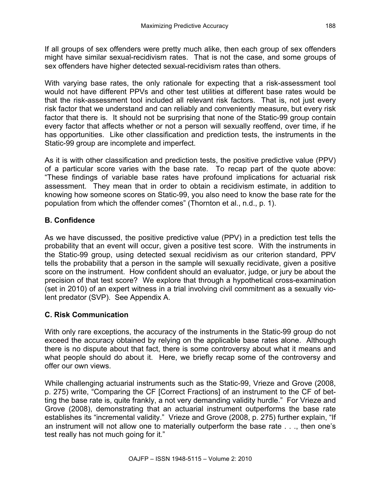If all groups of sex offenders were pretty much alike, then each group of sex offenders might have similar sexual-recidivism rates. That is not the case, and some groups of sex offenders have higher detected sexual-recidivism rates than others.

With varying base rates, the only rationale for expecting that a risk-assessment tool would not have different PPVs and other test utilities at different base rates would be that the risk-assessment tool included all relevant risk factors. That is, not just every risk factor that we understand and can reliably and conveniently measure, but every risk factor that there is. It should not be surprising that none of the Static-99 group contain every factor that affects whether or not a person will sexually reoffend, over time, if he has opportunities. Like other classification and prediction tests, the instruments in the Static-99 group are incomplete and imperfect.

As it is with other classification and prediction tests, the positive predictive value (PPV) of a particular score varies with the base rate. To recap part of the quote above: "These findings of variable base rates have profound implications for actuarial risk assessment. They mean that in order to obtain a recidivism estimate, in addition to knowing how someone scores on Static-99, you also need to know the base rate for the population from which the offender comes" (Thornton et al., n.d., p. 1).

# **B. Confidence**

As we have discussed, the positive predictive value (PPV) in a prediction test tells the probability that an event will occur, given a positive test score. With the instruments in the Static-99 group, using detected sexual recidivism as our criterion standard, PPV tells the probability that a person in the sample will sexually recidivate, given a positive score on the instrument. How confident should an evaluator, judge, or jury be about the precision of that test score? We explore that through a hypothetical cross-examination (set in 2010) of an expert witness in a trial involving civil commitment as a sexually violent predator (SVP). See Appendix A.

# **C. Risk Communication**

With only rare exceptions, the accuracy of the instruments in the Static-99 group do not exceed the accuracy obtained by relying on the applicable base rates alone. Although there is no dispute about that fact, there is some controversy about what it means and what people should do about it. Here, we briefly recap some of the controversy and offer our own views.

While challenging actuarial instruments such as the Static-99, Vrieze and Grove (2008, p. 275) write, "Comparing the CF [Correct Fractions] of an instrument to the CF of betting the base rate is, quite frankly, a not very demanding validity hurdle." For Vrieze and Grove (2008), demonstrating that an actuarial instrument outperforms the base rate establishes its "incremental validity." Vrieze and Grove (2008, p. 275) further explain, "If an instrument will not allow one to materially outperform the base rate . . ., then one's test really has not much going for it."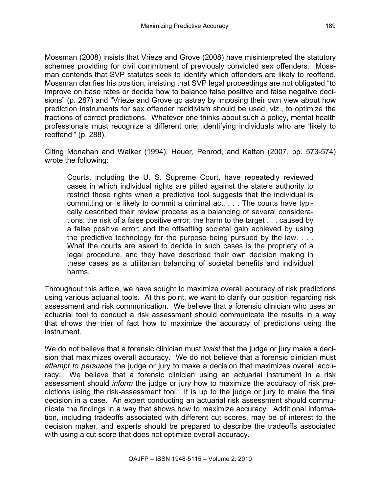Mossman (2008) insists that Vrieze and Grove (2008) have misinterpreted the statutory schemes providing for civil commitment of previously convicted sex offenders. Mossman contends that SVP statutes seek to identify which offenders are likely to reoffend. Mossman clarifies his position, insisting that SVP legal proceedings are not obligated "to improve on base rates or decide how to balance false positive and false negative decisions" (p. 287) and "Vrieze and Grove go astray by imposing their own view about how prediction instruments for sex offender recidivism should be used, viz., to optimize the fractions of correct predictions. Whatever one thinks about such a policy, mental health professionals must recognize a different one; identifying individuals who are 'likely to reoffend'" (p. 288).

Citing Monahan and Walker (1994), Heuer, Penrod, and Kattan (2007, pp. 573-574) wrote the following:

Courts, including the U. S. Supreme Court, have repeatedly reviewed cases in which individual rights are pitted against the state's authority to restrict those rights when a predictive tool suggests that the individual is committing or is likely to commit a criminal act. . . . The courts have typically described their review process as a balancing of several considerations: the risk of a false positive error; the harm to the target . . . caused by a false positive error; and the offsetting societal gain achieved by using the predictive technology for the purpose being pursued by the law. . . . What the courts are asked to decide in such cases is the propriety of a legal procedure, and they have described their own decision making in these cases as a utilitarian balancing of societal benefits and individual harms.

Throughout this article, we have sought to maximize overall accuracy of risk predictions using various actuarial tools. At this point, we want to clarify our position regarding risk assessment and risk communication. We believe that a forensic clinician who uses an actuarial tool to conduct a risk assessment should communicate the results in a way that shows the trier of fact how to maximize the accuracy of predictions using the instrument.

We do not believe that a forensic clinician must *insist* that the judge or jury make a decision that maximizes overall accuracy. We do not believe that a forensic clinician must *attempt to persuade* the judge or jury to make a decision that maximizes overall accuracy. We believe that a forensic clinician using an actuarial instrument in a risk assessment should *inform* the judge or jury how to maximize the accuracy of risk predictions using the risk-assessment tool. It is up to the judge or jury to make the final decision in a case. An expert conducting an actuarial risk assessment should communicate the findings in a way that shows how to maximize accuracy. Additional information, including tradeoffs associated with different cut scores, may be of interest to the decision maker, and experts should be prepared to describe the tradeoffs associated with using a cut score that does not optimize overall accuracy.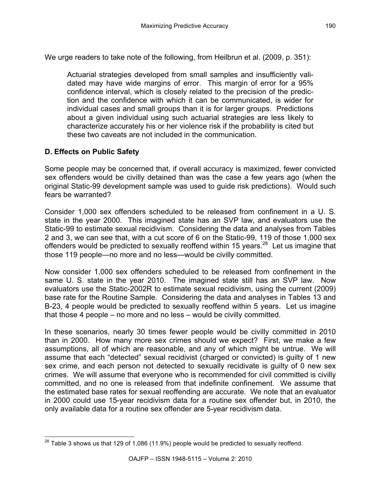We urge readers to take note of the following, from Heilbrun et al. (2009, p. 351):

Actuarial strategies developed from small samples and insufficiently validated may have wide margins of error. This margin of error for a 95% confidence interval, which is closely related to the precision of the prediction and the confidence with which it can be communicated, is wider for individual cases and small groups than it is for larger groups. Predictions about a given individual using such actuarial strategies are less likely to characterize accurately his or her violence risk if the probability is cited but these two caveats are not included in the communication.

## **D. Effects on Public Safety**

Some people may be concerned that, if overall accuracy is maximized, fewer convicted sex offenders would be civilly detained than was the case a few years ago (when the original Static-99 development sample was used to guide risk predictions). Would such fears be warranted?

Consider 1,000 sex offenders scheduled to be released from confinement in a U. S. state in the year 2000. This imagined state has an SVP law, and evaluators use the Static-99 to estimate sexual recidivism. Considering the data and analyses from Tables 2 and 3, we can see that, with a cut score of 6 on the Static-99, 119 of those 1,000 sex offenders would be predicted to sexually reoffend within 15 years.<sup>28</sup> Let us imagine that those 119 people—no more and no less—would be civilly committed.

Now consider 1,000 sex offenders scheduled to be released from confinement in the same U. S. state in the year 2010. The imagined state still has an SVP law. Now evaluators use the Static-2002R to estimate sexual recidivism, using the current (2009) base rate for the Routine Sample. Considering the data and analyses in Tables 13 and B-23, 4 people would be predicted to sexually reoffend within 5 years. Let us imagine that those 4 people – no more and no less – would be civilly committed.

In these scenarios, nearly 30 times fewer people would be civilly committed in 2010 than in 2000. How many more sex crimes should we expect? First, we make a few assumptions, all of which are reasonable, and any of which might be untrue. We will assume that each "detected" sexual recidivist (charged or convicted) is guilty of 1 new sex crime, and each person not detected to sexually recidivate is guilty of 0 new sex crimes. We will assume that everyone who is recommended for civil committed is civilly committed, and no one is released from that indefinite confinement. We assume that the estimated base rates for sexual reoffending are accurate. We note that an evaluator in 2000 could use 15-year recidivism data for a routine sex offender but, in 2010, the only available data for a routine sex offender are 5-year recidivism data.

 $^{28}$  Table 3 shows us that 129 of 1,086 (11.9%) people would be predicted to sexually reoffend.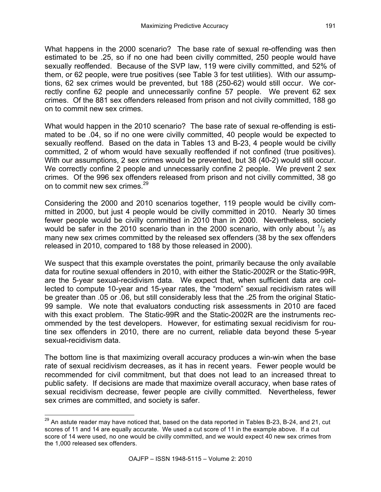What happens in the 2000 scenario? The base rate of sexual re-offending was then estimated to be .25, so if no one had been civilly committed, 250 people would have sexually reoffended. Because of the SVP law, 119 were civilly committed, and 52% of them, or 62 people, were true positives (see Table 3 for test utilities). With our assumptions, 62 sex crimes would be prevented, but 188 (250-62) would still occur. We correctly confine 62 people and unnecessarily confine 57 people. We prevent 62 sex crimes. Of the 881 sex offenders released from prison and not civilly committed, 188 go on to commit new sex crimes.

What would happen in the 2010 scenario? The base rate of sexual re-offending is estimated to be .04, so if no one were civilly committed, 40 people would be expected to sexually reoffend. Based on the data in Tables 13 and B-23, 4 people would be civilly committed, 2 of whom would have sexually reoffended if not confined (true positives). With our assumptions, 2 sex crimes would be prevented, but 38 (40-2) would still occur. We correctly confine 2 people and unnecessarily confine 2 people. We prevent 2 sex crimes. Of the 996 sex offenders released from prison and not civilly committed, 38 go on to commit new sex crimes.<sup>29</sup>

Considering the 2000 and 2010 scenarios together, 119 people would be civilly committed in 2000, but just 4 people would be civilly committed in 2010. Nearly 30 times fewer people would be civilly committed in 2010 than in 2000. Nevertheless, society would be safer in the 2010 scenario than in the 2000 scenario, with only about  $\frac{1}{5}$  as many new sex crimes committed by the released sex offenders (38 by the sex offenders released in 2010, compared to 188 by those released in 2000).

We suspect that this example overstates the point, primarily because the only available data for routine sexual offenders in 2010, with either the Static-2002R or the Static-99R, are the 5-year sexual-recidivism data. We expect that, when sufficient data are collected to compute 10-year and 15-year rates, the "modern" sexual recidivism rates will be greater than .05 or .06, but still considerably less that the .25 from the original Static-99 sample. We note that evaluators conducting risk assessments in 2010 are faced with this exact problem. The Static-99R and the Static-2002R are the instruments recommended by the test developers. However, for estimating sexual recidivism for routine sex offenders in 2010, there are no current, reliable data beyond these 5-year sexual-recidivism data.

The bottom line is that maximizing overall accuracy produces a win-win when the base rate of sexual recidivism decreases, as it has in recent years. Fewer people would be recommended for civil commitment, but that does not lead to an increased threat to public safety. If decisions are made that maximize overall accuracy, when base rates of sexual recidivism decrease, fewer people are civilly committed. Nevertheless, fewer sex crimes are committed, and society is safer.

<sup>&</sup>lt;sup>29</sup> An astute reader may have noticed that, based on the data reported in Tables B-23, B-24, and 21, cut scores of 11 and 14 are equally accurate. We used a cut score of 11 in the example above. If a cut score of 14 were used, no one would be civilly committed, and we would expect 40 new sex crimes from the 1,000 released sex offenders.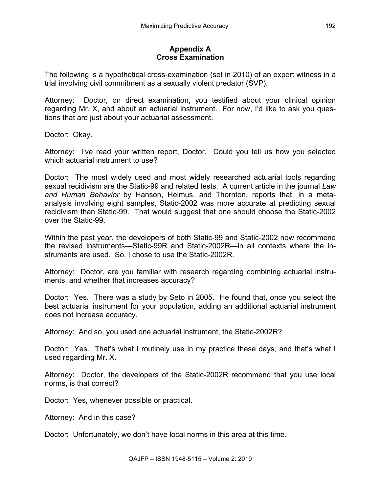## **Appendix A Cross Examination**

The following is a hypothetical cross-examination (set in 2010) of an expert witness in a trial involving civil commitment as a sexually violent predator (SVP).

Attorney: Doctor, on direct examination, you testified about your clinical opinion regarding Mr. X, and about an actuarial instrument. For now, I'd like to ask you questions that are just about your actuarial assessment.

Doctor: Okay.

Attorney: I've read your written report, Doctor. Could you tell us how you selected which actuarial instrument to use?

Doctor: The most widely used and most widely researched actuarial tools regarding sexual recidivism are the Static-99 and related tests. A current article in the journal *Law and Human Behavior* by Hanson, Helmus, and Thornton, reports that, in a metaanalysis involving eight samples, Static-2002 was more accurate at predicting sexual recidivism than Static-99. That would suggest that one should choose the Static-2002 over the Static-99.

Within the past year, the developers of both Static-99 and Static-2002 now recommend the revised instruments—Static-99R and Static-2002R—in all contexts where the instruments are used. So, I chose to use the Static-2002R.

Attorney: Doctor, are you familiar with research regarding combining actuarial instruments, and whether that increases accuracy?

Doctor: Yes. There was a study by Seto in 2005. He found that, once you select the best actuarial instrument for your population, adding an additional actuarial instrument does not increase accuracy.

Attorney: And so, you used one actuarial instrument, the Static-2002R?

Doctor: Yes. That's what I routinely use in my practice these days, and that's what I used regarding Mr. X.

Attorney: Doctor, the developers of the Static-2002R recommend that you use local norms, is that correct?

Doctor: Yes, whenever possible or practical.

Attorney: And in this case?

Doctor: Unfortunately, we don't have local norms in this area at this time.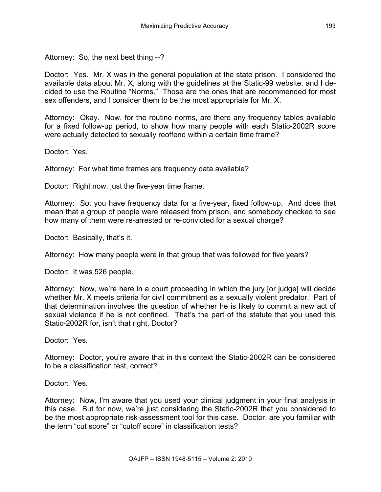Attorney: So, the next best thing --?

Doctor: Yes. Mr. X was in the general population at the state prison. I considered the available data about Mr. X, along with the guidelines at the Static-99 website, and I decided to use the Routine "Norms." Those are the ones that are recommended for most sex offenders, and I consider them to be the most appropriate for Mr. X.

Attorney: Okay. Now, for the routine norms, are there any frequency tables available for a fixed follow-up period, to show how many people with each Static-2002R score were actually detected to sexually reoffend within a certain time frame?

Doctor: Yes.

Attorney: For what time frames are frequency data available?

Doctor: Right now, just the five-year time frame.

Attorney: So, you have frequency data for a five-year, fixed follow-up. And does that mean that a group of people were released from prison, and somebody checked to see how many of them were re-arrested or re-convicted for a sexual charge?

Doctor: Basically, that's it.

Attorney: How many people were in that group that was followed for five years?

Doctor: It was 526 people.

Attorney: Now, we're here in a court proceeding in which the jury [or judge] will decide whether Mr. X meets criteria for civil commitment as a sexually violent predator. Part of that determination involves the question of whether he is likely to commit a new act of sexual violence if he is not confined. That's the part of the statute that you used this Static-2002R for, isn't that right, Doctor?

Doctor: Yes.

Attorney: Doctor, you're aware that in this context the Static-2002R can be considered to be a classification test, correct?

Doctor: Yes.

Attorney: Now, I'm aware that you used your clinical judgment in your final analysis in this case. But for now, we're just considering the Static-2002R that you considered to be the most appropriate risk-assessment tool for this case. Doctor, are you familiar with the term "cut score" or "cutoff score" in classification tests?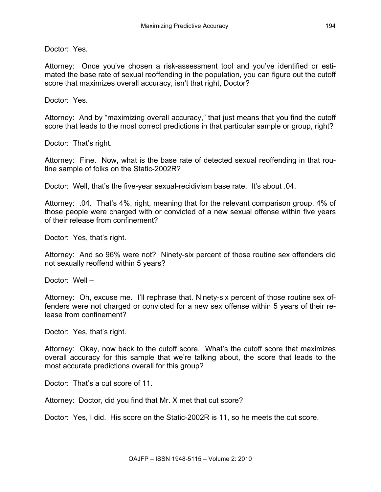Doctor: Yes.

Attorney: Once you've chosen a risk-assessment tool and you've identified or estimated the base rate of sexual reoffending in the population, you can figure out the cutoff score that maximizes overall accuracy, isn't that right, Doctor?

Doctor: Yes.

Attorney: And by "maximizing overall accuracy," that just means that you find the cutoff score that leads to the most correct predictions in that particular sample or group, right?

Doctor: That's right.

Attorney: Fine. Now, what is the base rate of detected sexual reoffending in that routine sample of folks on the Static-2002R?

Doctor: Well, that's the five-year sexual-recidivism base rate. It's about .04.

Attorney: .04. That's 4%, right, meaning that for the relevant comparison group, 4% of those people were charged with or convicted of a new sexual offense within five years of their release from confinement?

Doctor: Yes, that's right.

Attorney: And so 96% were not? Ninety-six percent of those routine sex offenders did not sexually reoffend within 5 years?

Doctor: Well –

Attorney: Oh, excuse me. I'll rephrase that. Ninety-six percent of those routine sex offenders were not charged or convicted for a new sex offense within 5 years of their release from confinement?

Doctor: Yes, that's right.

Attorney: Okay, now back to the cutoff score. What's the cutoff score that maximizes overall accuracy for this sample that we're talking about, the score that leads to the most accurate predictions overall for this group?

Doctor: That's a cut score of 11.

Attorney: Doctor, did you find that Mr. X met that cut score?

Doctor: Yes, I did. His score on the Static-2002R is 11, so he meets the cut score.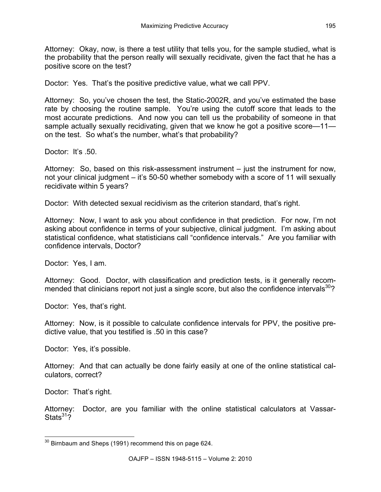Attorney: Okay, now, is there a test utility that tells you, for the sample studied, what is the probability that the person really will sexually recidivate, given the fact that he has a positive score on the test?

Doctor: Yes. That's the positive predictive value, what we call PPV.

Attorney: So, you've chosen the test, the Static-2002R, and you've estimated the base rate by choosing the routine sample. You're using the cutoff score that leads to the most accurate predictions. And now you can tell us the probability of someone in that sample actually sexually recidivating, given that we know he got a positive score—11 on the test. So what's the number, what's that probability?

Doctor: It's 50

Attorney: So, based on this risk-assessment instrument – just the instrument for now, not your clinical judgment – it's 50-50 whether somebody with a score of 11 will sexually recidivate within 5 years?

Doctor: With detected sexual recidivism as the criterion standard, that's right.

Attorney: Now, I want to ask you about confidence in that prediction. For now, I'm not asking about confidence in terms of your subjective, clinical judgment. I'm asking about statistical confidence, what statisticians call "confidence intervals." Are you familiar with confidence intervals, Doctor?

Doctor: Yes, I am.

Attorney: Good. Doctor, with classification and prediction tests, is it generally recommended that clinicians report not just a single score, but also the confidence intervals<sup>30</sup>?

Doctor: Yes, that's right.

Attorney: Now, is it possible to calculate confidence intervals for PPV, the positive predictive value, that you testified is .50 in this case?

Doctor: Yes, it's possible.

Attorney: And that can actually be done fairly easily at one of the online statistical calculators, correct?

Doctor: That's right.

Attorney: Doctor, are you familiar with the online statistical calculators at Vassar-Stats $31\overline{2}$ 

 $30$  Birnbaum and Sheps (1991) recommend this on page 624.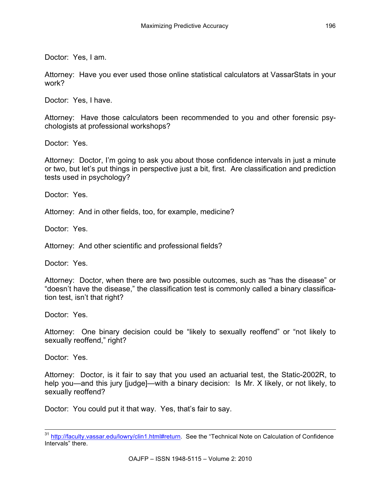Doctor: Yes, I am.

Attorney: Have you ever used those online statistical calculators at VassarStats in your work?

Doctor: Yes, I have.

Attorney: Have those calculators been recommended to you and other forensic psychologists at professional workshops?

Doctor: Yes.

Attorney: Doctor, I'm going to ask you about those confidence intervals in just a minute or two, but let's put things in perspective just a bit, first. Are classification and prediction tests used in psychology?

Doctor: Yes.

Attorney: And in other fields, too, for example, medicine?

Doctor: Yes.

Attorney: And other scientific and professional fields?

Doctor: Yes.

Attorney: Doctor, when there are two possible outcomes, such as "has the disease" or "doesn't have the disease," the classification test is commonly called a binary classification test, isn't that right?

Doctor: Yes.

Attorney: One binary decision could be "likely to sexually reoffend" or "not likely to sexually reoffend," right?

Doctor: Yes.

Attorney: Doctor, is it fair to say that you used an actuarial test, the Static-2002R, to help you—and this jury [judge]—with a binary decision: Is Mr. X likely, or not likely, to sexually reoffend?

Doctor: You could put it that way. Yes, that's fair to say.

<sup>31</sup> http://faculty.vassar.edu/lowry/clin1.html#return. See the "Technical Note on Calculation of Confidence Intervals" there.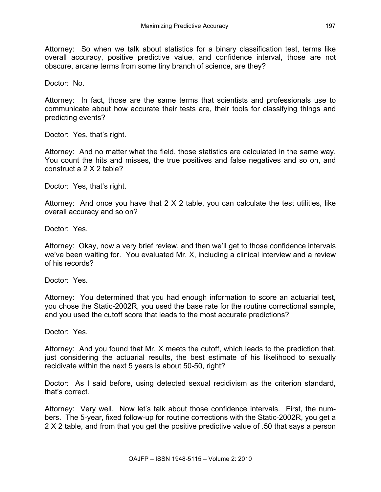Attorney: So when we talk about statistics for a binary classification test, terms like overall accuracy, positive predictive value, and confidence interval, those are not obscure, arcane terms from some tiny branch of science, are they?

Doctor: No.

Attorney: In fact, those are the same terms that scientists and professionals use to communicate about how accurate their tests are, their tools for classifying things and predicting events?

Doctor: Yes, that's right.

Attorney: And no matter what the field, those statistics are calculated in the same way. You count the hits and misses, the true positives and false negatives and so on, and construct a 2 X 2 table?

Doctor: Yes, that's right.

Attorney: And once you have that 2 X 2 table, you can calculate the test utilities, like overall accuracy and so on?

Doctor: Yes.

Attorney: Okay, now a very brief review, and then we'll get to those confidence intervals we've been waiting for. You evaluated Mr. X, including a clinical interview and a review of his records?

Doctor: Yes.

Attorney: You determined that you had enough information to score an actuarial test, you chose the Static-2002R, you used the base rate for the routine correctional sample, and you used the cutoff score that leads to the most accurate predictions?

Doctor: Yes.

Attorney: And you found that Mr. X meets the cutoff, which leads to the prediction that, just considering the actuarial results, the best estimate of his likelihood to sexually recidivate within the next 5 years is about 50-50, right?

Doctor: As I said before, using detected sexual recidivism as the criterion standard, that's correct.

Attorney: Very well. Now let's talk about those confidence intervals. First, the numbers. The 5-year, fixed follow-up for routine corrections with the Static-2002R, you get a 2 X 2 table, and from that you get the positive predictive value of .50 that says a person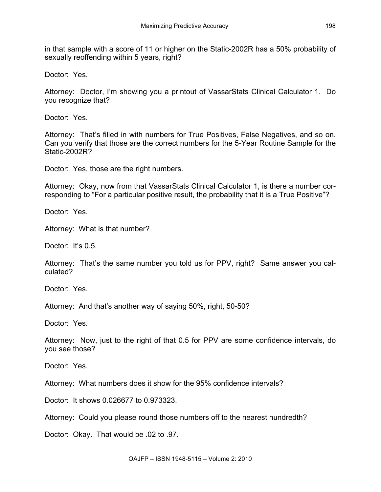in that sample with a score of 11 or higher on the Static-2002R has a 50% probability of sexually reoffending within 5 years, right?

Doctor: Yes.

Attorney: Doctor, I'm showing you a printout of VassarStats Clinical Calculator 1. Do you recognize that?

Doctor: Yes.

Attorney: That's filled in with numbers for True Positives, False Negatives, and so on. Can you verify that those are the correct numbers for the 5-Year Routine Sample for the Static-2002R2

Doctor: Yes, those are the right numbers.

Attorney: Okay, now from that VassarStats Clinical Calculator 1, is there a number corresponding to "For a particular positive result, the probability that it is a True Positive"?

Doctor: Yes.

Attorney: What is that number?

Doctor: It's 0.5.

Attorney: That's the same number you told us for PPV, right? Same answer you calculated?

Doctor: Yes.

Attorney: And that's another way of saying 50%, right, 50-50?

Doctor: Yes.

Attorney: Now, just to the right of that 0.5 for PPV are some confidence intervals, do you see those?

Doctor: Yes.

Attorney: What numbers does it show for the 95% confidence intervals?

Doctor: It shows 0.026677 to 0.973323.

Attorney: Could you please round those numbers off to the nearest hundredth?

Doctor: Okay. That would be .02 to .97.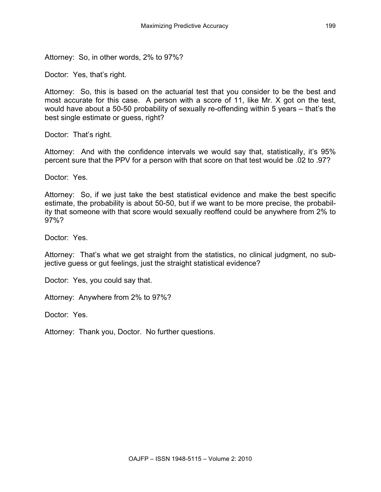Attorney: So, in other words, 2% to 97%?

Doctor: Yes, that's right.

Attorney: So, this is based on the actuarial test that you consider to be the best and most accurate for this case. A person with a score of 11, like Mr. X got on the test, would have about a 50-50 probability of sexually re-offending within 5 years – that's the best single estimate or guess, right?

Doctor: That's right.

Attorney: And with the confidence intervals we would say that, statistically, it's 95% percent sure that the PPV for a person with that score on that test would be .02 to .97?

Doctor: Yes.

Attorney: So, if we just take the best statistical evidence and make the best specific estimate, the probability is about 50-50, but if we want to be more precise, the probability that someone with that score would sexually reoffend could be anywhere from 2% to 97%?

Doctor: Yes.

Attorney: That's what we get straight from the statistics, no clinical judgment, no subjective guess or gut feelings, just the straight statistical evidence?

Doctor: Yes, you could say that.

Attorney: Anywhere from 2% to 97%?

Doctor: Yes.

Attorney: Thank you, Doctor. No further questions.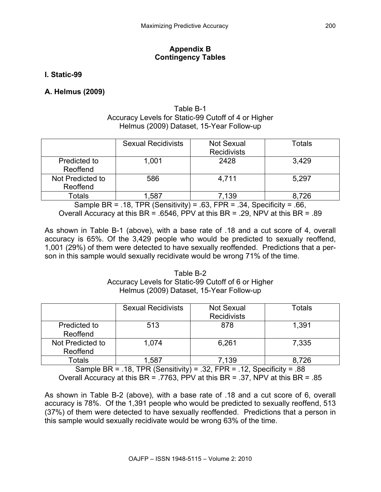## **Appendix B Contingency Tables**

## **I. Static-99**

## **A. Helmus (2009)**

### Table B-1 Accuracy Levels for Static-99 Cutoff of 4 or Higher Helmus (2009) Dataset, 15-Year Follow-up

|                              | <b>Sexual Recidivists</b> | <b>Not Sexual</b><br><b>Recidivists</b> | Totals |
|------------------------------|---------------------------|-----------------------------------------|--------|
| Predicted to<br>Reoffend     | 1,001                     | 2428                                    | 3,429  |
| Not Predicted to<br>Reoffend | 586                       | 4,711                                   | 5,297  |
| <b>Fotals</b>                | .587                      | .139                                    | 8.726  |

Sample BR = .18, TPR (Sensitivity) = .63, FPR = .34, Specificity = .66, Overall Accuracy at this BR = .6546, PPV at this BR = .29, NPV at this BR = .89

As shown in Table B-1 (above), with a base rate of .18 and a cut score of 4, overall accuracy is 65%. Of the 3,429 people who would be predicted to sexually reoffend, 1,001 (29%) of them were detected to have sexually reoffended. Predictions that a person in this sample would sexually recidivate would be wrong 71% of the time.

### Table B-2 Accuracy Levels for Static-99 Cutoff of 6 or Higher Helmus (2009) Dataset, 15-Year Follow-up

|                              | <b>Sexual Recidivists</b> | <b>Not Sexual</b><br><b>Recidivists</b> | Totals |
|------------------------------|---------------------------|-----------------------------------------|--------|
| Predicted to<br>Reoffend     | 513                       | 878                                     | 1,391  |
| Not Predicted to<br>Reoffend | 1,074                     | 6,261                                   | 7,335  |
| Totals                       | ,587                      | .139                                    | 8,726  |

Sample BR = .18, TPR (Sensitivity) = .32, FPR = .12, Specificity = .88 Overall Accuracy at this BR = .7763, PPV at this BR = .37, NPV at this BR = .85

As shown in Table B-2 (above), with a base rate of .18 and a cut score of 6, overall accuracy is 78%. Of the 1,391 people who would be predicted to sexually reoffend, 513 (37%) of them were detected to have sexually reoffended. Predictions that a person in this sample would sexually recidivate would be wrong 63% of the time.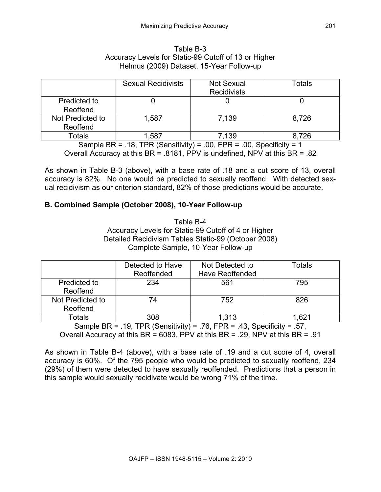| Table B-3 |                                                      |  |  |  |  |  |  |
|-----------|------------------------------------------------------|--|--|--|--|--|--|
|           | Accuracy Levels for Static-99 Cutoff of 13 or Higher |  |  |  |  |  |  |
|           | Helmus (2009) Dataset, 15-Year Follow-up             |  |  |  |  |  |  |

|                              | <b>Sexual Recidivists</b> | <b>Not Sexual</b><br><b>Recidivists</b> | Totals |
|------------------------------|---------------------------|-----------------------------------------|--------|
| Predicted to<br>Reoffend     |                           |                                         |        |
| Not Predicted to<br>Reoffend | 1,587                     | 7.139                                   | 8,726  |
| Totals                       | ,587                      | 139.'                                   | 8,726  |

Sample BR = .18, TPR (Sensitivity) = .00, FPR = .00, Specificity = 1

Overall Accuracy at this BR = .8181, PPV is undefined, NPV at this BR = .82

As shown in Table B-3 (above), with a base rate of .18 and a cut score of 13, overall accuracy is 82%. No one would be predicted to sexually reoffend. With detected sexual recidivism as our criterion standard, 82% of those predictions would be accurate.

## **B. Combined Sample (October 2008), 10-Year Follow-up**

Table B-4 Accuracy Levels for Static-99 Cutoff of 4 or Higher Detailed Recidivism Tables Static-99 (October 2008) Complete Sample, 10-Year Follow-up

|                              | Detected to Have<br>Reoffended | Not Detected to<br><b>Have Reoffended</b> | Totals |
|------------------------------|--------------------------------|-------------------------------------------|--------|
| Predicted to<br>Reoffend     | 234                            | 561                                       | 795    |
| Not Predicted to<br>Reoffend | 74                             | 752                                       | 826    |
| Totals                       | 308                            | 1,313                                     | .621   |

Sample BR = .19, TPR (Sensitivity) = .76, FPR = .43, Specificity = .57, Overall Accuracy at this BR = 6083, PPV at this BR = .29, NPV at this BR = .91

As shown in Table B-4 (above), with a base rate of .19 and a cut score of 4, overall accuracy is 60%. Of the 795 people who would be predicted to sexually reoffend, 234 (29%) of them were detected to have sexually reoffended. Predictions that a person in this sample would sexually recidivate would be wrong 71% of the time.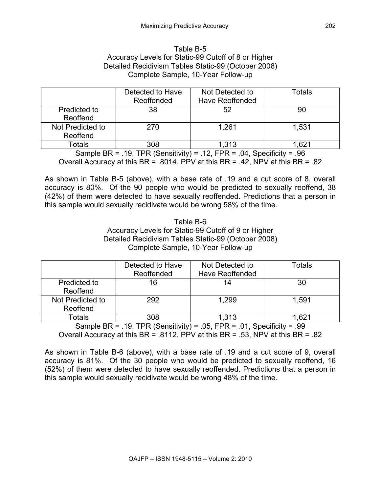### Table B-5 Accuracy Levels for Static-99 Cutoff of 8 or Higher Detailed Recidivism Tables Static-99 (October 2008) Complete Sample, 10-Year Follow-up

|                              | Detected to Have<br>Reoffended | Not Detected to<br><b>Have Reoffended</b> | Totals |
|------------------------------|--------------------------------|-------------------------------------------|--------|
| Predicted to<br>Reoffend     | 38                             | 52                                        | 90     |
| Not Predicted to<br>Reoffend | 270                            | 1.261                                     | 1,531  |
| Totals                       | 308                            | 1,313                                     | . 621  |

Sample BR = .19, TPR (Sensitivity) = .12, FPR = .04, Specificity = .96 Overall Accuracy at this  $BR = .8014$ , PPV at this  $BR = .42$ , NPV at this  $BR = .82$ 

As shown in Table B-5 (above), with a base rate of .19 and a cut score of 8, overall accuracy is 80%. Of the 90 people who would be predicted to sexually reoffend, 38 (42%) of them were detected to have sexually reoffended. Predictions that a person in this sample would sexually recidivate would be wrong 58% of the time.

#### Table B-6 Accuracy Levels for Static-99 Cutoff of 9 or Higher Detailed Recidivism Tables Static-99 (October 2008) Complete Sample, 10-Year Follow-up

|                              | Detected to Have<br>Reoffended | Not Detected to<br><b>Have Reoffended</b> | Totals           |
|------------------------------|--------------------------------|-------------------------------------------|------------------|
| Predicted to<br>Reoffend     | 16                             | 14                                        | 30               |
| Not Predicted to<br>Reoffend | 292                            | 1.299                                     | 1.591            |
| Totals                       | 308                            | 1,313                                     | .62 <sup>4</sup> |

Sample BR = .19, TPR (Sensitivity) = .05, FPR = .01, Specificity = .99 Overall Accuracy at this BR = .8112, PPV at this BR = .53, NPV at this BR = .82

As shown in Table B-6 (above), with a base rate of .19 and a cut score of 9, overall accuracy is 81%. Of the 30 people who would be predicted to sexually reoffend, 16 (52%) of them were detected to have sexually reoffended. Predictions that a person in this sample would sexually recidivate would be wrong 48% of the time.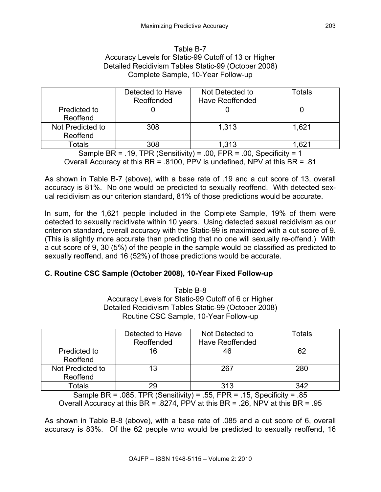### Table B-7 Accuracy Levels for Static-99 Cutoff of 13 or Higher Detailed Recidivism Tables Static-99 (October 2008) Complete Sample, 10-Year Follow-up

|                              | Detected to Have<br>Reoffended | Not Detected to<br><b>Have Reoffended</b> | Totals           |
|------------------------------|--------------------------------|-------------------------------------------|------------------|
| Predicted to<br>Reoffend     |                                |                                           |                  |
| Not Predicted to<br>Reoffend | 308                            | 1,313                                     | 1.621            |
| Totals                       | 308                            | 1,313                                     | .62 <sup>2</sup> |

Sample BR = .19, TPR (Sensitivity) = .00, FPR = .00, Specificity = 1 Overall Accuracy at this BR = .8100, PPV is undefined, NPV at this BR = .81

As shown in Table B-7 (above), with a base rate of .19 and a cut score of 13, overall accuracy is 81%. No one would be predicted to sexually reoffend. With detected sexual recidivism as our criterion standard, 81% of those predictions would be accurate.

In sum, for the 1,621 people included in the Complete Sample, 19% of them were detected to sexually recidivate within 10 years. Using detected sexual recidivism as our criterion standard, overall accuracy with the Static-99 is maximized with a cut score of 9. (This is slightly more accurate than predicting that no one will sexually re-offend.) With a cut score of 9, 30 (5%) of the people in the sample would be classified as predicted to sexually reoffend, and 16 (52%) of those predictions would be accurate.

## **C. Routine CSC Sample (October 2008), 10-Year Fixed Follow-up**

Table B-8 Accuracy Levels for Static-99 Cutoff of 6 or Higher Detailed Recidivism Tables Static-99 (October 2008) Routine CSC Sample, 10-Year Follow-up

|                  | Detected to Have | Not Detected to        | Totals |
|------------------|------------------|------------------------|--------|
|                  | Reoffended       | <b>Have Reoffended</b> |        |
| Predicted to     | 16               | 46                     | 62     |
| Reoffend         |                  |                        |        |
| Not Predicted to | 13               | 267                    | 280    |
| Reoffend         |                  |                        |        |
| Totals           | 29               | 313                    |        |

Sample BR = .085, TPR (Sensitivity) = .55, FPR = .15, Specificity = .85 Overall Accuracy at this BR = .8274, PPV at this BR = .26, NPV at this BR = .95

As shown in Table B-8 (above), with a base rate of .085 and a cut score of 6, overall accuracy is 83%. Of the 62 people who would be predicted to sexually reoffend, 16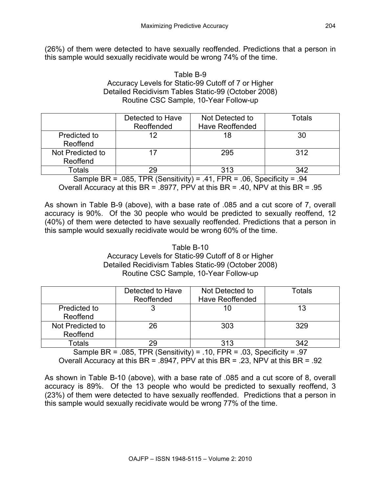(26%) of them were detected to have sexually reoffended. Predictions that a person in this sample would sexually recidivate would be wrong 74% of the time.

### Table B-9 Accuracy Levels for Static-99 Cutoff of 7 or Higher Detailed Recidivism Tables Static-99 (October 2008) Routine CSC Sample, 10-Year Follow-up

|                  | Detected to Have | Not Detected to        | Totals |
|------------------|------------------|------------------------|--------|
|                  | Reoffended       | <b>Have Reoffended</b> |        |
| Predicted to     | 12               | 18                     | 30     |
| Reoffend         |                  |                        |        |
| Not Predicted to |                  | 295                    | 312    |
| Reoffend         |                  |                        |        |
| Totals           | 29               | 313                    | 342    |

Sample BR =  $.085$ , TPR (Sensitivity) = .41, FPR =  $.06$ , Specificity =  $.94$ Overall Accuracy at this BR = .8977, PPV at this BR = .40, NPV at this BR = .95

As shown in Table B-9 (above), with a base rate of .085 and a cut score of 7, overall accuracy is 90%. Of the 30 people who would be predicted to sexually reoffend, 12 (40%) of them were detected to have sexually reoffended. Predictions that a person in this sample would sexually recidivate would be wrong 60% of the time.

### Table B-10 Accuracy Levels for Static-99 Cutoff of 8 or Higher Detailed Recidivism Tables Static-99 (October 2008) Routine CSC Sample, 10-Year Follow-up

|                  | Detected to Have | Not Detected to        | Totals |
|------------------|------------------|------------------------|--------|
|                  | Reoffended       | <b>Have Reoffended</b> |        |
| Predicted to     |                  | 10                     | 13     |
| Reoffend         |                  |                        |        |
| Not Predicted to | 26               | 303                    | 329    |
| Reoffend         |                  |                        |        |
| Totals           | 29               | 313                    | 342    |

Sample BR = .085, TPR (Sensitivity) = .10, FPR = .03, Specificity = .97 Overall Accuracy at this BR = .8947, PPV at this BR = .23, NPV at this BR = .92

As shown in Table B-10 (above), with a base rate of .085 and a cut score of 8, overall accuracy is 89%. Of the 13 people who would be predicted to sexually reoffend, 3 (23%) of them were detected to have sexually reoffended. Predictions that a person in this sample would sexually recidivate would be wrong 77% of the time.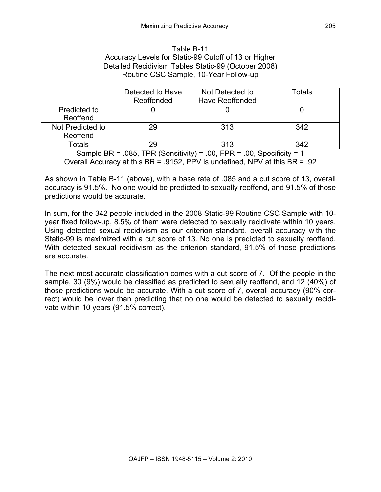### Table B-11 Accuracy Levels for Static-99 Cutoff of 13 or Higher Detailed Recidivism Tables Static-99 (October 2008) Routine CSC Sample, 10-Year Follow-up

|                              | Detected to Have<br>Reoffended | Not Detected to<br><b>Have Reoffended</b> | Totals |
|------------------------------|--------------------------------|-------------------------------------------|--------|
| Predicted to<br>Reoffend     |                                |                                           |        |
| Not Predicted to<br>Reoffend | 29                             | 313                                       | 342    |
| Totals                       | 29                             | 313                                       | 342    |

Sample BR = .085, TPR (Sensitivity) = .00, FPR = .00, Specificity = 1 Overall Accuracy at this BR = .9152, PPV is undefined, NPV at this BR = .92

As shown in Table B-11 (above), with a base rate of .085 and a cut score of 13, overall accuracy is 91.5%. No one would be predicted to sexually reoffend, and 91.5% of those predictions would be accurate.

In sum, for the 342 people included in the 2008 Static-99 Routine CSC Sample with 10 year fixed follow-up, 8.5% of them were detected to sexually recidivate within 10 years. Using detected sexual recidivism as our criterion standard, overall accuracy with the Static-99 is maximized with a cut score of 13. No one is predicted to sexually reoffend. With detected sexual recidivism as the criterion standard, 91.5% of those predictions are accurate.

The next most accurate classification comes with a cut score of 7. Of the people in the sample, 30 (9%) would be classified as predicted to sexually reoffend, and 12 (40%) of those predictions would be accurate. With a cut score of 7, overall accuracy (90% correct) would be lower than predicting that no one would be detected to sexually recidivate within 10 years (91.5% correct).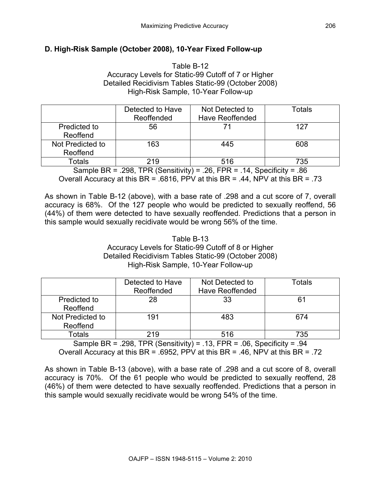## **D. High-Risk Sample (October 2008), 10-Year Fixed Follow-up**

Table B-12 Accuracy Levels for Static-99 Cutoff of 7 or Higher Detailed Recidivism Tables Static-99 (October 2008) High-Risk Sample, 10-Year Follow-up

|                              | Detected to Have<br>Reoffended | Not Detected to<br>Have Reoffended | Totals |
|------------------------------|--------------------------------|------------------------------------|--------|
| Predicted to<br>Reoffend     | 56                             |                                    | 127    |
| Not Predicted to<br>Reoffend | 163                            | 445                                | 608    |
| Totals                       | 219                            | 516                                | 735    |

Sample BR = .298, TPR (Sensitivity) = .26, FPR = .14, Specificity = .86 Overall Accuracy at this BR = .6816, PPV at this BR = .44, NPV at this BR = .73

As shown in Table B-12 (above), with a base rate of .298 and a cut score of 7, overall accuracy is 68%. Of the 127 people who would be predicted to sexually reoffend, 56 (44%) of them were detected to have sexually reoffended. Predictions that a person in this sample would sexually recidivate would be wrong 56% of the time.

> Table B-13 Accuracy Levels for Static-99 Cutoff of 8 or Higher Detailed Recidivism Tables Static-99 (October 2008) High-Risk Sample, 10-Year Follow-up

|                              | Detected to Have<br>Reoffended | Not Detected to<br><b>Have Reoffended</b> | Totals |
|------------------------------|--------------------------------|-------------------------------------------|--------|
| Predicted to<br>Reoffend     | 28                             | 33                                        |        |
| Not Predicted to<br>Reoffend | 191                            | 483                                       | 674    |
| Totals                       | 219                            | 516                                       | 735    |

Sample BR = .298, TPR (Sensitivity) = .13, FPR = .06, Specificity = .94 Overall Accuracy at this BR = .6952, PPV at this BR = .46, NPV at this BR = .72

As shown in Table B-13 (above), with a base rate of .298 and a cut score of 8, overall accuracy is 70%. Of the 61 people who would be predicted to sexually reoffend, 28 (46%) of them were detected to have sexually reoffended. Predictions that a person in this sample would sexually recidivate would be wrong 54% of the time.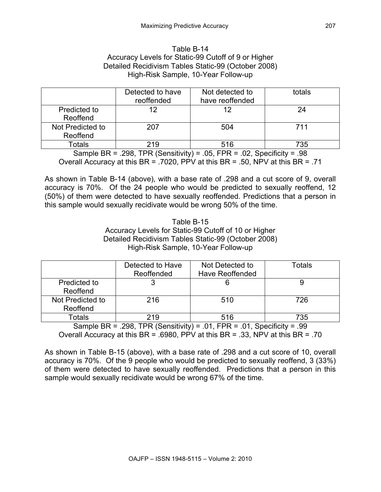### Table B-14 Accuracy Levels for Static-99 Cutoff of 9 or Higher Detailed Recidivism Tables Static-99 (October 2008) High-Risk Sample, 10-Year Follow-up

|                              | Detected to have<br>reoffended | Not detected to<br>have reoffended | totals |
|------------------------------|--------------------------------|------------------------------------|--------|
| Predicted to<br>Reoffend     | 12                             | 12                                 | 24     |
| Not Predicted to<br>Reoffend | 207                            | 504                                | 711    |
| Totals                       | 219                            | 516                                | 735    |

Sample BR = .298, TPR (Sensitivity) = .05, FPR = .02, Specificity = .98 Overall Accuracy at this BR = .7020, PPV at this BR = .50, NPV at this BR = .71

As shown in Table B-14 (above), with a base rate of .298 and a cut score of 9, overall accuracy is 70%. Of the 24 people who would be predicted to sexually reoffend, 12 (50%) of them were detected to have sexually reoffended. Predictions that a person in this sample would sexually recidivate would be wrong 50% of the time.

### Table B-15 Accuracy Levels for Static-99 Cutoff of 10 or Higher Detailed Recidivism Tables Static-99 (October 2008) High-Risk Sample, 10-Year Follow-up

|                              | Detected to Have<br>Reoffended | Not Detected to<br><b>Have Reoffended</b> | Totals |
|------------------------------|--------------------------------|-------------------------------------------|--------|
| Predicted to<br>Reoffend     |                                |                                           |        |
| Not Predicted to<br>Reoffend | 216                            | 510                                       | 726    |
| Totals                       | 219                            | 516                                       | 735    |

Sample BR = .298, TPR (Sensitivity) = .01, FPR = .01, Specificity = .99 Overall Accuracy at this BR = .6980, PPV at this BR = .33, NPV at this BR = .70

As shown in Table B-15 (above), with a base rate of .298 and a cut score of 10, overall accuracy is 70%. Of the 9 people who would be predicted to sexually reoffend, 3 (33%) of them were detected to have sexually reoffended. Predictions that a person in this sample would sexually recidivate would be wrong 67% of the time.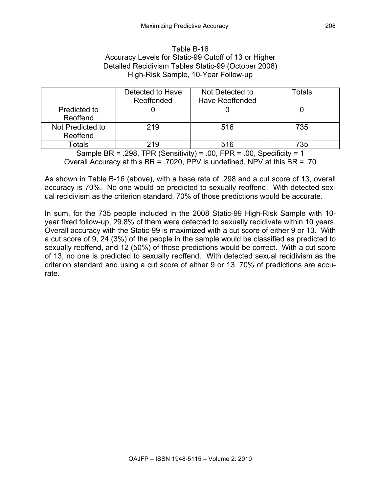### Table B-16 Accuracy Levels for Static-99 Cutoff of 13 or Higher Detailed Recidivism Tables Static-99 (October 2008) High-Risk Sample, 10-Year Follow-up

|                              | Detected to Have<br>Reoffended | Not Detected to<br><b>Have Reoffended</b> | Totals |
|------------------------------|--------------------------------|-------------------------------------------|--------|
| Predicted to<br>Reoffend     |                                |                                           |        |
| Not Predicted to<br>Reoffend | 219                            | 516                                       | 735    |
| Totals                       | 219                            | 516                                       | 735    |

Sample BR = .298, TPR (Sensitivity) = .00, FPR = .00, Specificity = 1 Overall Accuracy at this BR = .7020, PPV is undefined, NPV at this BR = .70

As shown in Table B-16 (above), with a base rate of .298 and a cut score of 13, overall accuracy is 70%. No one would be predicted to sexually reoffend. With detected sexual recidivism as the criterion standard, 70% of those predictions would be accurate.

In sum, for the 735 people included in the 2008 Static-99 High-Risk Sample with 10 year fixed follow-up, 29.8% of them were detected to sexually recidivate within 10 years. Overall accuracy with the Static-99 is maximized with a cut score of either 9 or 13. With a cut score of 9, 24 (3%) of the people in the sample would be classified as predicted to sexually reoffend, and 12 (50%) of those predictions would be correct. With a cut score of 13, no one is predicted to sexually reoffend. With detected sexual recidivism as the criterion standard and using a cut score of either 9 or 13, 70% of predictions are accurate.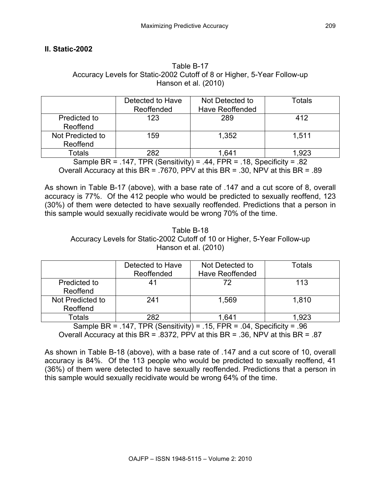## **II. Static-2002**

### Table B-17 Accuracy Levels for Static-2002 Cutoff of 8 or Higher, 5-Year Follow-up Hanson et al. (2010)

|                              | Detected to Have<br>Reoffended | Not Detected to<br><b>Have Reoffended</b> | Totals |
|------------------------------|--------------------------------|-------------------------------------------|--------|
| Predicted to<br>Reoffend     | 123                            | 289                                       | 412    |
| Not Predicted to<br>Reoffend | 159                            | 1,352                                     | 1.511  |
| <b>Totals</b>                | 282                            | 1,641                                     | 1,923  |

Sample BR = .147, TPR (Sensitivity) = .44, FPR = .18, Specificity = .82 Overall Accuracy at this BR = .7670, PPV at this BR = .30, NPV at this BR = .89

As shown in Table B-17 (above), with a base rate of .147 and a cut score of 8, overall accuracy is 77%. Of the 412 people who would be predicted to sexually reoffend, 123 (30%) of them were detected to have sexually reoffended. Predictions that a person in this sample would sexually recidivate would be wrong 70% of the time.

### Table B-18 Accuracy Levels for Static-2002 Cutoff of 10 or Higher, 5-Year Follow-up Hanson et al. (2010)

|                              | Detected to Have<br>Reoffended | Not Detected to<br><b>Have Reoffended</b> | Totals |
|------------------------------|--------------------------------|-------------------------------------------|--------|
| Predicted to<br>Reoffend     |                                | 72                                        | 113    |
| Not Predicted to<br>Reoffend | 241                            | 1,569                                     | 1,810  |
| Totals                       | 282                            | 641.،                                     | 1.923  |

Sample BR = .147, TPR (Sensitivity) = .15, FPR = .04, Specificity = .96 Overall Accuracy at this BR = .8372, PPV at this BR = .36, NPV at this BR = .87

As shown in Table B-18 (above), with a base rate of .147 and a cut score of 10, overall accuracy is 84%. Of the 113 people who would be predicted to sexually reoffend, 41 (36%) of them were detected to have sexually reoffended. Predictions that a person in this sample would sexually recidivate would be wrong 64% of the time.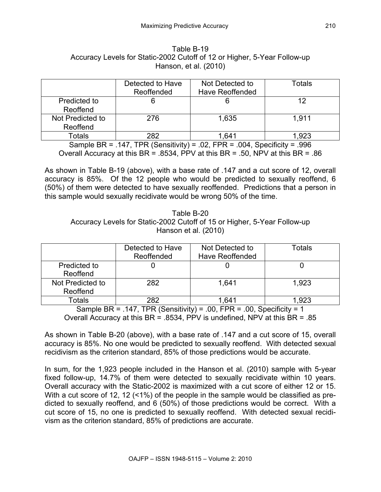| Table B-19                                                               |
|--------------------------------------------------------------------------|
| Accuracy Levels for Static-2002 Cutoff of 12 or Higher, 5-Year Follow-up |
| Hanson, et al. (2010)                                                    |

|                  | Detected to Have<br>Reoffended | Not Detected to<br><b>Have Reoffended</b> | Totals |
|------------------|--------------------------------|-------------------------------------------|--------|
| Predicted to     |                                |                                           |        |
| Reoffend         |                                |                                           |        |
| Not Predicted to | 276                            | 1,635                                     | 1.911  |
| Reoffend         |                                |                                           |        |
| Totals           | 282                            | 164∘.                                     | ∣.923  |

Sample BR = .147, TPR (Sensitivity) = .02, FPR = .004, Specificity = .996 Overall Accuracy at this BR = .8534, PPV at this BR = .50, NPV at this BR = .86

As shown in Table B-19 (above), with a base rate of .147 and a cut score of 12, overall accuracy is 85%. Of the 12 people who would be predicted to sexually reoffend, 6 (50%) of them were detected to have sexually reoffended. Predictions that a person in this sample would sexually recidivate would be wrong 50% of the time.

Table B-20 Accuracy Levels for Static-2002 Cutoff of 15 or Higher, 5-Year Follow-up Hanson et al. (2010)

|                              | Detected to Have<br>Reoffended | Not Detected to<br><b>Have Reoffended</b> | Totals |
|------------------------------|--------------------------------|-------------------------------------------|--------|
| Predicted to<br>Reoffend     |                                |                                           |        |
| Not Predicted to<br>Reoffend | 282                            | 1.641                                     | 1,923  |
| Totals                       | 282                            | $.64^{\circ}$                             | 1,923  |

Sample BR = .147, TPR (Sensitivity) = .00, FPR = .00, Specificity = 1 Overall Accuracy at this BR = .8534, PPV is undefined, NPV at this BR = .85

As shown in Table B-20 (above), with a base rate of .147 and a cut score of 15, overall accuracy is 85%. No one would be predicted to sexually reoffend. With detected sexual recidivism as the criterion standard, 85% of those predictions would be accurate.

In sum, for the 1,923 people included in the Hanson et al. (2010) sample with 5-year fixed follow-up, 14.7% of them were detected to sexually recidivate within 10 years. Overall accuracy with the Static-2002 is maximized with a cut score of either 12 or 15. With a cut score of 12, 12 (<1%) of the people in the sample would be classified as predicted to sexually reoffend, and 6 (50%) of those predictions would be correct. With a cut score of 15, no one is predicted to sexually reoffend. With detected sexual recidivism as the criterion standard, 85% of predictions are accurate.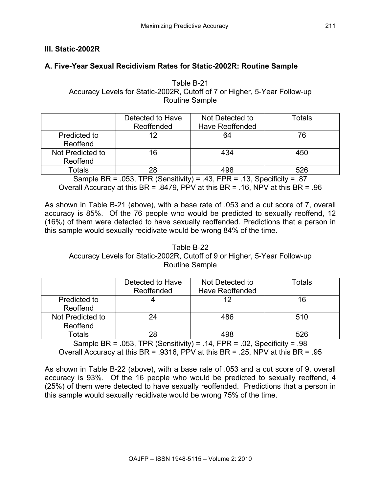# **III. Static-2002R**

# **A. Five-Year Sexual Recidivism Rates for Static-2002R: Routine Sample**

Table B-21 Accuracy Levels for Static-2002R, Cutoff of 7 or Higher, 5-Year Follow-up Routine Sample

|                  | Detected to Have | Not Detected to        | Totals |
|------------------|------------------|------------------------|--------|
|                  | Reoffended       | <b>Have Reoffended</b> |        |
| Predicted to     | 12               | 64                     | 76     |
| Reoffend         |                  |                        |        |
| Not Predicted to | 16               | 434                    | 450    |
| Reoffend         |                  |                        |        |
| Totals           | 28               | 498                    | 526    |

Sample BR = .053, TPR (Sensitivity) = .43, FPR = .13, Specificity = .87 Overall Accuracy at this BR = .8479, PPV at this BR = .16, NPV at this BR = .96

As shown in Table B-21 (above), with a base rate of .053 and a cut score of 7, overall accuracy is 85%. Of the 76 people who would be predicted to sexually reoffend, 12 (16%) of them were detected to have sexually reoffended. Predictions that a person in this sample would sexually recidivate would be wrong 84% of the time.

Table B-22 Accuracy Levels for Static-2002R, Cutoff of 9 or Higher, 5-Year Follow-up Routine Sample

|                              | Detected to Have<br>Reoffended | Not Detected to<br><b>Have Reoffended</b> | Totals |
|------------------------------|--------------------------------|-------------------------------------------|--------|
| Predicted to<br>Reoffend     |                                | 12                                        | 16     |
| Not Predicted to<br>Reoffend | 24                             | 486                                       | 510    |
| Totals                       | 28                             | 498                                       | 526    |

Sample BR = .053, TPR (Sensitivity) = .14, FPR = .02, Specificity = .98 Overall Accuracy at this BR = .9316, PPV at this BR = .25, NPV at this BR = .95

As shown in Table B-22 (above), with a base rate of .053 and a cut score of 9, overall accuracy is 93%. Of the 16 people who would be predicted to sexually reoffend, 4 (25%) of them were detected to have sexually reoffended. Predictions that a person in this sample would sexually recidivate would be wrong 75% of the time.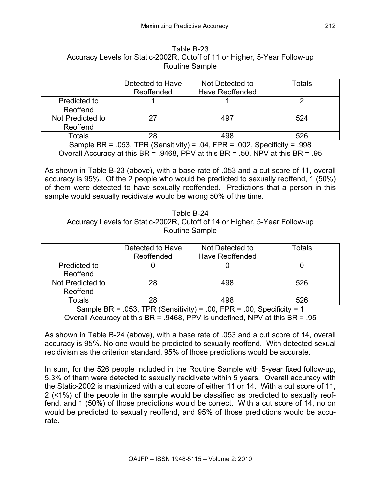| Table B-23                                                                 |  |  |  |
|----------------------------------------------------------------------------|--|--|--|
| Accuracy Levels for Static-2002R, Cutoff of 11 or Higher, 5-Year Follow-up |  |  |  |
| <b>Routine Sample</b>                                                      |  |  |  |

|                  | Detected to Have<br>Reoffended | Not Detected to<br><b>Have Reoffended</b> | Totals |
|------------------|--------------------------------|-------------------------------------------|--------|
| Predicted to     |                                |                                           |        |
| Reoffend         |                                |                                           |        |
| Not Predicted to | 27                             | 497                                       | 524    |
| Reoffend         |                                |                                           |        |
| <b>Totals</b>    | 28                             | 498                                       | 526    |

Sample BR = .053, TPR (Sensitivity) = .04, FPR = .002, Specificity = .998 Overall Accuracy at this BR = .9468, PPV at this BR = .50, NPV at this BR = .95

As shown in Table B-23 (above), with a base rate of .053 and a cut score of 11, overall accuracy is 95%. Of the 2 people who would be predicted to sexually reoffend, 1 (50%) of them were detected to have sexually reoffended. Predictions that a person in this sample would sexually recidivate would be wrong 50% of the time.

| Table B-24                                                                 |  |  |  |
|----------------------------------------------------------------------------|--|--|--|
| Accuracy Levels for Static-2002R, Cutoff of 14 or Higher, 5-Year Follow-up |  |  |  |
| <b>Routine Sample</b>                                                      |  |  |  |

|                              | Detected to Have<br>Reoffended | Not Detected to<br>Have Reoffended | Totals |
|------------------------------|--------------------------------|------------------------------------|--------|
| Predicted to<br>Reoffend     |                                |                                    |        |
| Not Predicted to<br>Reoffend | 28                             | 498                                | 526    |
| Totals                       | 28                             | 498                                | 526    |

Sample BR = .053, TPR (Sensitivity) = .00, FPR = .00, Specificity = 1 Overall Accuracy at this BR = .9468, PPV is undefined, NPV at this BR = .95

As shown in Table B-24 (above), with a base rate of .053 and a cut score of 14, overall accuracy is 95%. No one would be predicted to sexually reoffend. With detected sexual recidivism as the criterion standard, 95% of those predictions would be accurate.

In sum, for the 526 people included in the Routine Sample with 5-year fixed follow-up, 5.3% of them were detected to sexually recidivate within 5 years. Overall accuracy with the Static-2002 is maximized with a cut score of either 11 or 14. With a cut score of 11, 2 (<1%) of the people in the sample would be classified as predicted to sexually reoffend, and 1 (50%) of those predictions would be correct. With a cut score of 14, no on would be predicted to sexually reoffend, and 95% of those predictions would be accurate.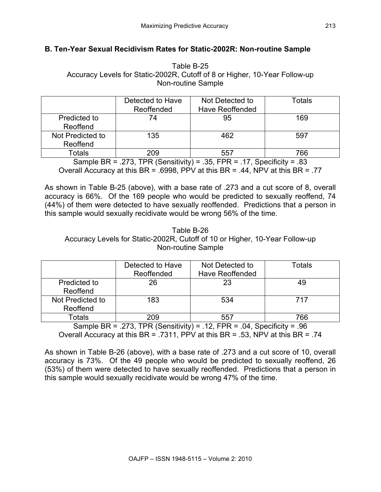# **B. Ten-Year Sexual Recidivism Rates for Static-2002R: Non-routine Sample**

Table B-25 Accuracy Levels for Static-2002R, Cutoff of 8 or Higher, 10-Year Follow-up Non-routine Sample

|                              | Detected to Have<br>Reoffended | Not Detected to<br><b>Have Reoffended</b> | Totals |
|------------------------------|--------------------------------|-------------------------------------------|--------|
| Predicted to<br>Reoffend     | 74                             | 95                                        | 169    |
| Not Predicted to<br>Reoffend | 135                            | 462                                       | 597    |
| Totals                       | 209                            | 557                                       | 766    |

Sample BR = .273, TPR (Sensitivity) = .35, FPR = .17, Specificity = .83 Overall Accuracy at this BR = .6998, PPV at this BR = .44, NPV at this BR = .77

As shown in Table B-25 (above), with a base rate of .273 and a cut score of 8, overall accuracy is 66%. Of the 169 people who would be predicted to sexually reoffend, 74 (44%) of them were detected to have sexually reoffended. Predictions that a person in this sample would sexually recidivate would be wrong 56% of the time.

### Table B-26 Accuracy Levels for Static-2002R, Cutoff of 10 or Higher, 10-Year Follow-up Non-routine Sample

|                              | Detected to Have<br>Reoffended | Not Detected to<br><b>Have Reoffended</b> | <b>Totals</b> |
|------------------------------|--------------------------------|-------------------------------------------|---------------|
| Predicted to<br>Reoffend     | 26                             | 23                                        |               |
| Not Predicted to<br>Reoffend | 183                            | 534                                       | 717           |
| Totals                       | 209                            | 557                                       | 766           |

Sample BR = .273, TPR (Sensitivity) = .12, FPR = .04, Specificity = .96 Overall Accuracy at this BR = .7311, PPV at this BR = .53, NPV at this BR = .74

As shown in Table B-26 (above), with a base rate of .273 and a cut score of 10, overall accuracy is 73%. Of the 49 people who would be predicted to sexually reoffend, 26 (53%) of them were detected to have sexually reoffended. Predictions that a person in this sample would sexually recidivate would be wrong 47% of the time.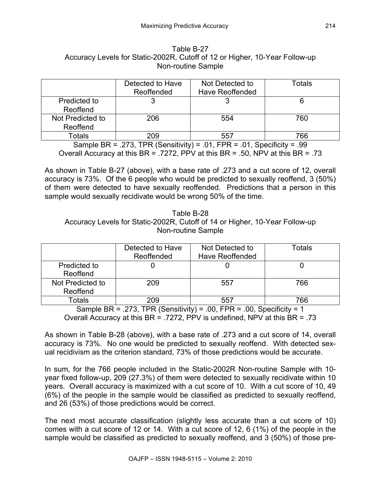| Table B-27                                                                  |
|-----------------------------------------------------------------------------|
| Accuracy Levels for Static-2002R, Cutoff of 12 or Higher, 10-Year Follow-up |
| Non-routine Sample                                                          |

|                  | Detected to Have<br>Reoffended | Not Detected to<br><b>Have Reoffended</b> | Totals |
|------------------|--------------------------------|-------------------------------------------|--------|
| Predicted to     |                                |                                           |        |
| Reoffend         |                                |                                           |        |
| Not Predicted to | 206                            | 554                                       | 760    |
| Reoffend         |                                |                                           |        |
| Totals           | 209                            | 557                                       | 766    |

Sample BR = .273, TPR (Sensitivity) = .01, FPR = .01, Specificity = .99 Overall Accuracy at this BR = .7272, PPV at this BR = .50, NPV at this BR = .73

As shown in Table B-27 (above), with a base rate of .273 and a cut score of 12, overall accuracy is 73%. Of the 6 people who would be predicted to sexually reoffend, 3 (50%) of them were detected to have sexually reoffended. Predictions that a person in this sample would sexually recidivate would be wrong 50% of the time.

Table B-28 Accuracy Levels for Static-2002R, Cutoff of 14 or Higher, 10-Year Follow-up Non-routine Sample

|                              | Detected to Have<br>Reoffended | Not Detected to<br>Have Reoffended | Totals |
|------------------------------|--------------------------------|------------------------------------|--------|
| Predicted to<br>Reoffend     |                                |                                    |        |
| Not Predicted to<br>Reoffend | 209                            | 557                                | 766    |
| Totals                       | 209                            | 557                                | 766    |

Sample BR = .273, TPR (Sensitivity) = .00, FPR = .00, Specificity = 1 Overall Accuracy at this BR = .7272, PPV is undefined, NPV at this BR = .73

As shown in Table B-28 (above), with a base rate of .273 and a cut score of 14, overall accuracy is 73%. No one would be predicted to sexually reoffend. With detected sexual recidivism as the criterion standard, 73% of those predictions would be accurate.

In sum, for the 766 people included in the Static-2002R Non-routine Sample with 10 year fixed follow-up, 209 (27.3%) of them were detected to sexually recidivate within 10 years. Overall accuracy is maximized with a cut score of 10. With a cut score of 10, 49 (6%) of the people in the sample would be classified as predicted to sexually reoffend, and 26 (53%) of those predictions would be correct.

The next most accurate classification (slightly less accurate than a cut score of 10) comes with a cut score of 12 or 14. With a cut score of 12, 6 (1%) of the people in the sample would be classified as predicted to sexually reoffend, and 3 (50%) of those pre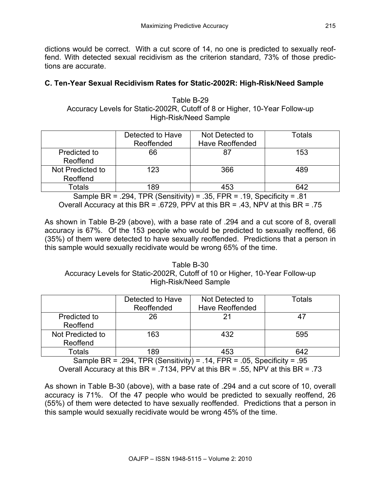dictions would be correct. With a cut score of 14, no one is predicted to sexually reoffend. With detected sexual recidivism as the criterion standard, 73% of those predictions are accurate.

## **C. Ten-Year Sexual Recidivism Rates for Static-2002R: High-Risk/Need Sample**

Table B-29 Accuracy Levels for Static-2002R, Cutoff of 8 or Higher, 10-Year Follow-up High-Risk/Need Sample

|                  | Detected to Have | Not Detected to        | Totals |
|------------------|------------------|------------------------|--------|
|                  | Reoffended       | <b>Have Reoffended</b> |        |
| Predicted to     | 66               | 87                     | 153    |
| Reoffend         |                  |                        |        |
| Not Predicted to | 123              | 366                    | 489    |
| Reoffend         |                  |                        |        |
| Totals           | 189              | 453                    | 642    |

Sample BR = .294, TPR (Sensitivity) = .35, FPR = .19, Specificity = .81 Overall Accuracy at this BR = .6729, PPV at this BR = .43, NPV at this BR = .75

As shown in Table B-29 (above), with a base rate of .294 and a cut score of 8, overall accuracy is 67%. Of the 153 people who would be predicted to sexually reoffend, 66 (35%) of them were detected to have sexually reoffended. Predictions that a person in this sample would sexually recidivate would be wrong 65% of the time.

Table B-30 Accuracy Levels for Static-2002R, Cutoff of 10 or Higher, 10-Year Follow-up High-Risk/Need Sample

|                              | Detected to Have<br>Reoffended | Not Detected to<br><b>Have Reoffended</b> | Totals |
|------------------------------|--------------------------------|-------------------------------------------|--------|
| Predicted to<br>Reoffend     | 26                             | 21                                        |        |
| Not Predicted to<br>Reoffend | 163                            | 432                                       | 595    |
| Totals                       | 189                            | 453                                       | 642    |

Sample BR = .294, TPR (Sensitivity) = .14, FPR = .05, Specificity = .95 Overall Accuracy at this BR = .7134, PPV at this BR = .55, NPV at this BR = .73

As shown in Table B-30 (above), with a base rate of .294 and a cut score of 10, overall accuracy is 71%. Of the 47 people who would be predicted to sexually reoffend, 26 (55%) of them were detected to have sexually reoffended. Predictions that a person in this sample would sexually recidivate would be wrong 45% of the time.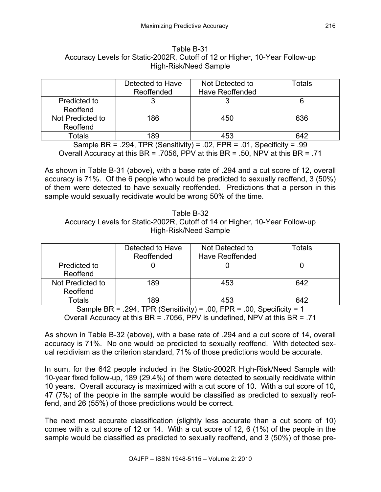| Table B-31                                                                  |
|-----------------------------------------------------------------------------|
| Accuracy Levels for Static-2002R, Cutoff of 12 or Higher, 10-Year Follow-up |
| High-Risk/Need Sample                                                       |

|                  | Detected to Have<br>Reoffended | Not Detected to<br><b>Have Reoffended</b> | Totals |
|------------------|--------------------------------|-------------------------------------------|--------|
| Predicted to     |                                |                                           |        |
| Reoffend         |                                |                                           |        |
| Not Predicted to | 186                            | 450                                       | 636    |
| Reoffend         |                                |                                           |        |
| Totals           | 189                            | 453                                       | 642    |

Sample BR = .294, TPR (Sensitivity) = .02, FPR = .01, Specificity = .99 Overall Accuracy at this BR = .7056, PPV at this BR = .50, NPV at this BR = .71

As shown in Table B-31 (above), with a base rate of .294 and a cut score of 12, overall accuracy is 71%. Of the 6 people who would be predicted to sexually reoffend, 3 (50%) of them were detected to have sexually reoffended. Predictions that a person in this sample would sexually recidivate would be wrong 50% of the time.

Table B-32 Accuracy Levels for Static-2002R, Cutoff of 14 or Higher, 10-Year Follow-up High-Risk/Need Sample

|                              | Detected to Have<br>Reoffended | Not Detected to<br>Have Reoffended | <b>Totals</b> |
|------------------------------|--------------------------------|------------------------------------|---------------|
| Predicted to<br>Reoffend     |                                |                                    |               |
| Not Predicted to<br>Reoffend | 189                            | 453                                | 642           |
| Totals                       | 189                            | 453                                |               |

Sample BR = .294, TPR (Sensitivity) = .00, FPR = .00, Specificity = 1 Overall Accuracy at this BR = .7056, PPV is undefined, NPV at this BR = .71

As shown in Table B-32 (above), with a base rate of .294 and a cut score of 14, overall accuracy is 71%. No one would be predicted to sexually reoffend. With detected sexual recidivism as the criterion standard, 71% of those predictions would be accurate.

In sum, for the 642 people included in the Static-2002R High-Risk/Need Sample with 10-year fixed follow-up, 189 (29.4%) of them were detected to sexually recidivate within 10 years. Overall accuracy is maximized with a cut score of 10. With a cut score of 10, 47 (7%) of the people in the sample would be classified as predicted to sexually reoffend, and 26 (55%) of those predictions would be correct.

The next most accurate classification (slightly less accurate than a cut score of 10) comes with a cut score of 12 or 14. With a cut score of 12, 6 (1%) of the people in the sample would be classified as predicted to sexually reoffend, and 3 (50%) of those pre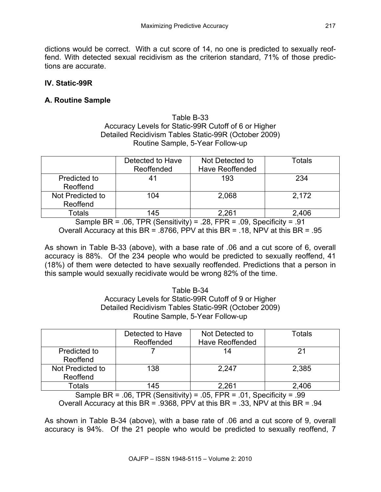dictions would be correct. With a cut score of 14, no one is predicted to sexually reoffend. With detected sexual recidivism as the criterion standard, 71% of those predictions are accurate.

## **IV. Static-99R**

## **A. Routine Sample**

### Table B-33 Accuracy Levels for Static-99R Cutoff of 6 or Higher Detailed Recidivism Tables Static-99R (October 2009) Routine Sample, 5-Year Follow-up

|                              | Detected to Have | Not Detected to        | Totals |
|------------------------------|------------------|------------------------|--------|
|                              | Reoffended       | <b>Have Reoffended</b> |        |
| Predicted to<br>Reoffend     | 41               | 193                    | 234    |
| Not Predicted to<br>Reoffend | 104              | 2,068                  | 2,172  |
| Totals                       | 145              | 2,261                  | 2,406  |

Sample BR = .06, TPR (Sensitivity) = .28, FPR = .09, Specificity = .91 Overall Accuracy at this BR = .8766, PPV at this BR = .18, NPV at this BR = .95

As shown in Table B-33 (above), with a base rate of .06 and a cut score of 6, overall accuracy is 88%. Of the 234 people who would be predicted to sexually reoffend, 41 (18%) of them were detected to have sexually reoffended. Predictions that a person in this sample would sexually recidivate would be wrong 82% of the time.

### Table B-34 Accuracy Levels for Static-99R Cutoff of 9 or Higher Detailed Recidivism Tables Static-99R (October 2009) Routine Sample, 5-Year Follow-up

|                              | Detected to Have<br>Reoffended | Not Detected to<br><b>Have Reoffended</b> | Totals |
|------------------------------|--------------------------------|-------------------------------------------|--------|
| Predicted to<br>Reoffend     |                                | 14                                        |        |
| Not Predicted to<br>Reoffend | 138                            | 2,247                                     | 2,385  |
| Totals                       | 145                            | 261                                       | 2,406  |

Sample BR =  $.06$ , TPR (Sensitivity) =  $.05$ , FPR =  $.01$ , Specificity =  $.99$ Overall Accuracy at this BR = .9368, PPV at this BR = .33, NPV at this BR = .94

As shown in Table B-34 (above), with a base rate of .06 and a cut score of 9, overall accuracy is 94%. Of the 21 people who would be predicted to sexually reoffend, 7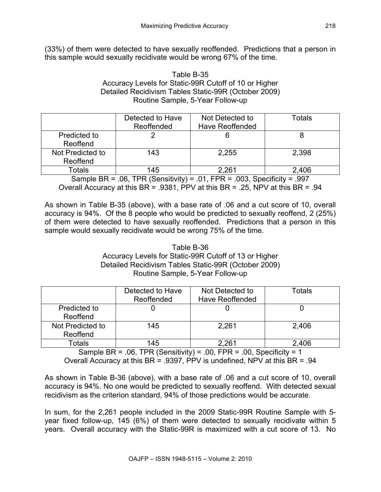(33%) of them were detected to have sexually reoffended. Predictions that a person in this sample would sexually recidivate would be wrong 67% of the time.

### Table B-35 Accuracy Levels for Static-99R Cutoff of 10 or Higher Detailed Recidivism Tables Static-99R (October 2009) Routine Sample, 5-Year Follow-up

|                  | Detected to Have | Not Detected to | Totals |
|------------------|------------------|-----------------|--------|
|                  | Reoffended       | Have Reoffended |        |
| Predicted to     |                  |                 |        |
| Reoffend         |                  |                 |        |
| Not Predicted to | 143              | 2,255           | 2,398  |
| Reoffend         |                  |                 |        |
| Totals           | 145              | 2,261           | 2,406  |

Sample BR =  $.06$ , TPR (Sensitivity) =  $.01$ , FPR =  $.003$ , Specificity =  $.997$ Overall Accuracy at this BR = .9381, PPV at this BR = .25, NPV at this BR = .94

As shown in Table B-35 (above), with a base rate of .06 and a cut score of 10, overall accuracy is 94%. Of the 8 people who would be predicted to sexually reoffend, 2 (25%) of them were detected to have sexually reoffended. Predictions that a person in this sample would sexually recidivate would be wrong 75% of the time.

### Table B-36 Accuracy Levels for Static-99R Cutoff of 13 or Higher Detailed Recidivism Tables Static-99R (October 2009) Routine Sample, 5-Year Follow-up

|                              | Detected to Have<br>Reoffended | Not Detected to<br>Have Reoffended | Totals |
|------------------------------|--------------------------------|------------------------------------|--------|
| Predicted to<br>Reoffend     |                                |                                    |        |
| Not Predicted to<br>Reoffend | 145                            | 2,261                              | 2,406  |
| Totals                       | 145                            | 2,261                              | 2,406  |

Sample BR =  $.06$ , TPR (Sensitivity) =  $.00$ , FPR =  $.00$ , Specificity = 1 Overall Accuracy at this BR = .9397, PPV is undefined, NPV at this BR = .94

As shown in Table B-36 (above), with a base rate of .06 and a cut score of 10, overall accuracy is 94%. No one would be predicted to sexually reoffend. With detected sexual recidivism as the criterion standard, 94% of those predictions would be accurate.

In sum, for the 2,261 people included in the 2009 Static-99R Routine Sample with 5 year fixed follow-up, 145 (6%) of them were detected to sexually recidivate within 5 years. Overall accuracy with the Static-99R is maximized with a cut score of 13. No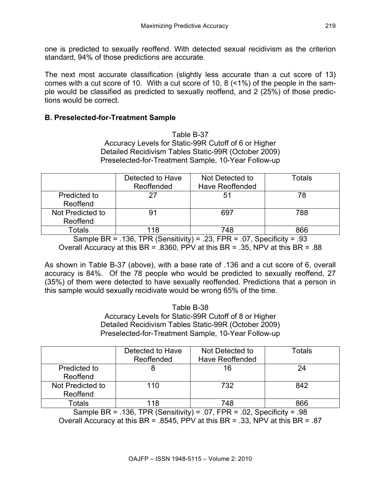one is predicted to sexually reoffend. With detected sexual recidivism as the criterion standard, 94% of those predictions are accurate.

The next most accurate classification (slightly less accurate than a cut score of 13) comes with a cut score of 10. With a cut score of 10, 8 (<1%) of the people in the sample would be classified as predicted to sexually reoffend, and 2 (25%) of those predictions would be correct.

## **B. Preselected-for-Treatment Sample**

Table B-37 Accuracy Levels for Static-99R Cutoff of 6 or Higher Detailed Recidivism Tables Static-99R (October 2009) Preselected-for-Treatment Sample, 10-Year Follow-up

|                              | Detected to Have<br>Reoffended | Not Detected to<br><b>Have Reoffended</b> | Totals |
|------------------------------|--------------------------------|-------------------------------------------|--------|
| Predicted to<br>Reoffend     | 27                             | 51                                        | 78     |
| Not Predicted to<br>Reoffend |                                | 697                                       | 788    |
| Totals                       | 18                             | 748                                       | 866    |

Sample BR = .136, TPR (Sensitivity) = .23, FPR = .07, Specificity = .93 Overall Accuracy at this BR = .8360, PPV at this BR = .35, NPV at this BR = .88

As shown in Table B-37 (above), with a base rate of .136 and a cut score of 6, overall accuracy is 84%. Of the 78 people who would be predicted to sexually reoffend, 27 (35%) of them were detected to have sexually reoffended. Predictions that a person in this sample would sexually recidivate would be wrong 65% of the time.

> Table B-38 Accuracy Levels for Static-99R Cutoff of 8 or Higher Detailed Recidivism Tables Static-99R (October 2009) Preselected-for-Treatment Sample, 10-Year Follow-up

|                              | Detected to Have<br>Reoffended | Not Detected to<br><b>Have Reoffended</b> | Totals |
|------------------------------|--------------------------------|-------------------------------------------|--------|
| Predicted to<br>Reoffend     |                                | 16                                        | 24     |
| Not Predicted to<br>Reoffend | 110                            | 732                                       | 842    |
| Totals                       | 18                             | 748                                       | 866    |

Sample BR = .136, TPR (Sensitivity) = .07, FPR = .02, Specificity = .98 Overall Accuracy at this BR = .8545, PPV at this BR = .33, NPV at this BR = .87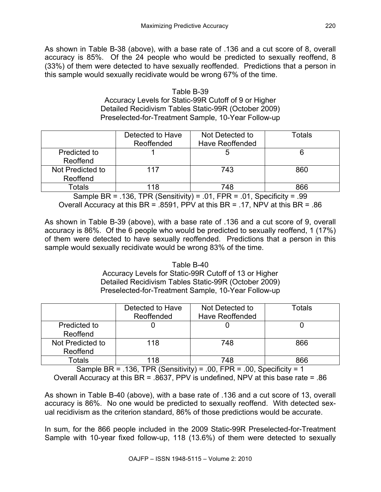As shown in Table B-38 (above), with a base rate of .136 and a cut score of 8, overall accuracy is 85%. Of the 24 people who would be predicted to sexually reoffend, 8 (33%) of them were detected to have sexually reoffended. Predictions that a person in this sample would sexually recidivate would be wrong 67% of the time.

## Table B-39 Accuracy Levels for Static-99R Cutoff of 9 or Higher Detailed Recidivism Tables Static-99R (October 2009) Preselected-for-Treatment Sample, 10-Year Follow-up

|                  | Detected to Have | Not Detected to        | Totals |
|------------------|------------------|------------------------|--------|
|                  | Reoffended       | <b>Have Reoffended</b> |        |
| Predicted to     |                  |                        |        |
| Reoffend         |                  |                        |        |
| Not Predicted to | 117              | 743                    | 860    |
| Reoffend         |                  |                        |        |
| Totals           | 18               | 748                    | 866    |

Sample BR = .136, TPR (Sensitivity) = .01, FPR = .01, Specificity = .99 Overall Accuracy at this BR = .8591, PPV at this BR = .17, NPV at this BR = .86

As shown in Table B-39 (above), with a base rate of .136 and a cut score of 9, overall accuracy is 86%. Of the 6 people who would be predicted to sexually reoffend, 1 (17%) of them were detected to have sexually reoffended. Predictions that a person in this sample would sexually recidivate would be wrong 83% of the time.

### Table B-40 Accuracy Levels for Static-99R Cutoff of 13 or Higher Detailed Recidivism Tables Static-99R (October 2009) Preselected-for-Treatment Sample, 10-Year Follow-up

|                  | Detected to Have | Not Detected to        | Totals |
|------------------|------------------|------------------------|--------|
|                  | Reoffended       | <b>Have Reoffended</b> |        |
| Predicted to     |                  |                        |        |
| Reoffend         |                  |                        |        |
| Not Predicted to | 118              | 748                    | 866    |
| Reoffend         |                  |                        |        |
| Totals           | 118              | 748                    | 866    |

Sample BR = .136, TPR (Sensitivity) = .00, FPR = .00, Specificity = 1 Overall Accuracy at this BR = .8637, PPV is undefined, NPV at this base rate = .86

As shown in Table B-40 (above), with a base rate of .136 and a cut score of 13, overall accuracy is 86%. No one would be predicted to sexually reoffend. With detected sexual recidivism as the criterion standard, 86% of those predictions would be accurate.

In sum, for the 866 people included in the 2009 Static-99R Preselected-for-Treatment Sample with 10-year fixed follow-up, 118 (13.6%) of them were detected to sexually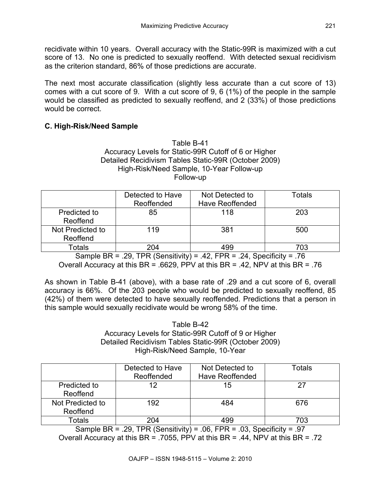recidivate within 10 years. Overall accuracy with the Static-99R is maximized with a cut score of 13. No one is predicted to sexually reoffend. With detected sexual recidivism as the criterion standard, 86% of those predictions are accurate.

The next most accurate classification (slightly less accurate than a cut score of 13) comes with a cut score of 9. With a cut score of 9, 6 (1%) of the people in the sample would be classified as predicted to sexually reoffend, and 2 (33%) of those predictions would be correct.

# **C. High-Risk/Need Sample**

#### Table B-41 Accuracy Levels for Static-99R Cutoff of 6 or Higher Detailed Recidivism Tables Static-99R (October 2009) High-Risk/Need Sample, 10-Year Follow-up Follow-up

|                              | Detected to Have<br>Reoffended | Not Detected to<br><b>Have Reoffended</b> | Totals |
|------------------------------|--------------------------------|-------------------------------------------|--------|
| Predicted to<br>Reoffend     | 85                             | 118                                       | 203    |
| Not Predicted to<br>Reoffend | 119                            | 381                                       | 500    |
| Totals                       | 204                            | 499                                       | 703    |

Sample BR = .29, TPR (Sensitivity) = .42, FPR = .24, Specificity = .76 Overall Accuracy at this BR = .6629, PPV at this BR = .42, NPV at this BR = .76

As shown in Table B-41 (above), with a base rate of .29 and a cut score of 6, overall accuracy is 66%. Of the 203 people who would be predicted to sexually reoffend, 85 (42%) of them were detected to have sexually reoffended. Predictions that a person in this sample would sexually recidivate would be wrong 58% of the time.

> Table B-42 Accuracy Levels for Static-99R Cutoff of 9 or Higher Detailed Recidivism Tables Static-99R (October 2009) High-Risk/Need Sample, 10-Year

|                              | Detected to Have<br>Reoffended | Not Detected to<br><b>Have Reoffended</b> | <b>Totals</b> |
|------------------------------|--------------------------------|-------------------------------------------|---------------|
| Predicted to<br>Reoffend     | 12                             | 15                                        |               |
| Not Predicted to<br>Reoffend | 192                            | 484                                       | 676           |
| Totals                       | 204                            | 499                                       | 703           |

Sample BR = .29, TPR (Sensitivity) = .06, FPR = .03, Specificity = .97 Overall Accuracy at this BR = .7055, PPV at this BR = .44, NPV at this BR = .72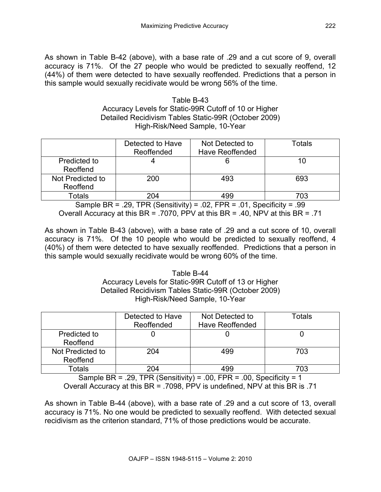As shown in Table B-42 (above), with a base rate of .29 and a cut score of 9, overall accuracy is 71%. Of the 27 people who would be predicted to sexually reoffend, 12 (44%) of them were detected to have sexually reoffended. Predictions that a person in this sample would sexually recidivate would be wrong 56% of the time.

> Table B-43 Accuracy Levels for Static-99R Cutoff of 10 or Higher Detailed Recidivism Tables Static-99R (October 2009) High-Risk/Need Sample, 10-Year

|                              | Detected to Have<br>Reoffended | Not Detected to<br><b>Have Reoffended</b> | Totals |
|------------------------------|--------------------------------|-------------------------------------------|--------|
| Predicted to<br>Reoffend     |                                |                                           |        |
| Not Predicted to<br>Reoffend | 200                            | 493                                       | 693    |
| Totals                       | 204                            | 499                                       | 703    |

Sample BR = .29, TPR (Sensitivity) = .02, FPR = .01, Specificity = .99 Overall Accuracy at this BR = .7070, PPV at this BR = .40, NPV at this BR = .71

As shown in Table B-43 (above), with a base rate of .29 and a cut score of 10, overall accuracy is 71%. Of the 10 people who would be predicted to sexually reoffend, 4 (40%) of them were detected to have sexually reoffended. Predictions that a person in this sample would sexually recidivate would be wrong 60% of the time.

> Table B-44 Accuracy Levels for Static-99R Cutoff of 13 or Higher Detailed Recidivism Tables Static-99R (October 2009) High-Risk/Need Sample, 10-Year

|                              | Detected to Have<br>Reoffended | Not Detected to<br><b>Have Reoffended</b> | Totals |
|------------------------------|--------------------------------|-------------------------------------------|--------|
| Predicted to<br>Reoffend     |                                |                                           |        |
| Not Predicted to<br>Reoffend | 204                            | 499                                       | 703    |
| Totals                       | 204                            | 499                                       | 703    |

Sample BR = .29, TPR (Sensitivity) = .00, FPR = .00, Specificity = 1 Overall Accuracy at this BR = .7098, PPV is undefined, NPV at this BR is .71

As shown in Table B-44 (above), with a base rate of .29 and a cut score of 13, overall accuracy is 71%. No one would be predicted to sexually reoffend. With detected sexual recidivism as the criterion standard, 71% of those predictions would be accurate.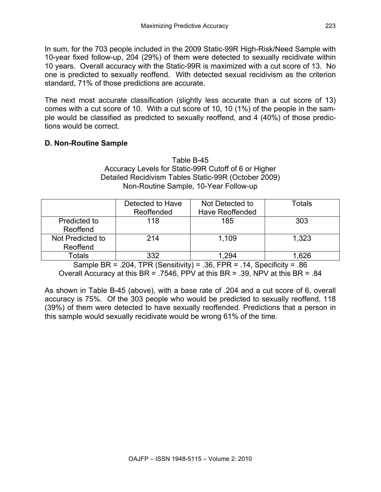In sum, for the 703 people included in the 2009 Static-99R High-Risk/Need Sample with 10-year fixed follow-up, 204 (29%) of them were detected to sexually recidivate within 10 years. Overall accuracy with the Static-99R is maximized with a cut score of 13. No one is predicted to sexually reoffend. With detected sexual recidivism as the criterion standard, 71% of those predictions are accurate.

The next most accurate classification (slightly less accurate than a cut score of 13) comes with a cut score of 10. With a cut score of 10, 10 (1%) of the people in the sample would be classified as predicted to sexually reoffend, and 4 (40%) of those predictions would be correct.

# **D. Non-Routine Sample**

#### Table B-45 Accuracy Levels for Static-99R Cutoff of 6 or Higher Detailed Recidivism Tables Static-99R (October 2009) Non-Routine Sample, 10-Year Follow-up

|                              | Detected to Have<br>Reoffended | Not Detected to<br><b>Have Reoffended</b> | Totals |
|------------------------------|--------------------------------|-------------------------------------------|--------|
| Predicted to<br>Reoffend     | 118                            | 185                                       | 303    |
| Not Predicted to<br>Reoffend | 214                            | 1,109                                     | 1,323  |
| Totals                       | 332                            | .294                                      | .626   |

Sample BR = .204, TPR (Sensitivity) = .36, FPR = .14, Specificity = .86 Overall Accuracy at this BR = .7546, PPV at this BR = .39, NPV at this BR = .84

As shown in Table B-45 (above), with a base rate of .204 and a cut score of 6, overall accuracy is 75%. Of the 303 people who would be predicted to sexually reoffend, 118 (39%) of them were detected to have sexually reoffended. Predictions that a person in this sample would sexually recidivate would be wrong 61% of the time.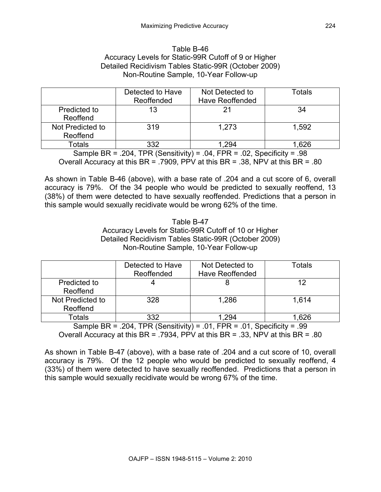#### Table B-46 Accuracy Levels for Static-99R Cutoff of 9 or Higher Detailed Recidivism Tables Static-99R (October 2009) Non-Routine Sample, 10-Year Follow-up

|                              | Detected to Have<br>Reoffended | Not Detected to<br><b>Have Reoffended</b> | Totals |
|------------------------------|--------------------------------|-------------------------------------------|--------|
| Predicted to<br>Reoffend     | 13                             |                                           | 34     |
| Not Predicted to<br>Reoffend | 319                            | 1.273                                     | 1,592  |
| Totals                       | 332                            |                                           | .626   |

Sample BR = .204, TPR (Sensitivity) = .04, FPR = .02, Specificity = .98 Overall Accuracy at this BR = .7909, PPV at this BR = .38, NPV at this BR = .80

As shown in Table B-46 (above), with a base rate of .204 and a cut score of 6, overall accuracy is 79%. Of the 34 people who would be predicted to sexually reoffend, 13 (38%) of them were detected to have sexually reoffended. Predictions that a person in this sample would sexually recidivate would be wrong 62% of the time.

#### Table B-47 Accuracy Levels for Static-99R Cutoff of 10 or Higher Detailed Recidivism Tables Static-99R (October 2009) Non-Routine Sample, 10-Year Follow-up

|                              | Detected to Have<br>Reoffended | Not Detected to<br><b>Have Reoffended</b> | Totals |
|------------------------------|--------------------------------|-------------------------------------------|--------|
| Predicted to<br>Reoffend     |                                |                                           | 12     |
| Not Predicted to<br>Reoffend | 328                            | 1,286                                     | 1.614  |
| Totals                       | 332                            | .294                                      | .626   |

Sample BR = .204, TPR (Sensitivity) = .01, FPR = .01, Specificity = .99 Overall Accuracy at this BR = .7934, PPV at this BR = .33, NPV at this BR = .80

As shown in Table B-47 (above), with a base rate of .204 and a cut score of 10, overall accuracy is 79%. Of the 12 people who would be predicted to sexually reoffend, 4 (33%) of them were detected to have sexually reoffended. Predictions that a person in this sample would sexually recidivate would be wrong 67% of the time.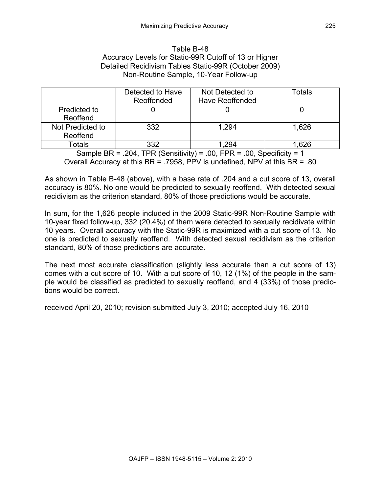#### Table B-48 Accuracy Levels for Static-99R Cutoff of 13 or Higher Detailed Recidivism Tables Static-99R (October 2009) Non-Routine Sample, 10-Year Follow-up

|                              | Detected to Have<br>Reoffended | Not Detected to<br><b>Have Reoffended</b> | Totals |
|------------------------------|--------------------------------|-------------------------------------------|--------|
| Predicted to<br>Reoffend     |                                |                                           |        |
| Not Predicted to<br>Reoffend | 332                            | 1.294                                     | 1,626  |
| Totals                       | 332                            |                                           | .626   |

Sample BR = .204, TPR (Sensitivity) = .00, FPR = .00, Specificity = 1 Overall Accuracy at this BR = .7958, PPV is undefined, NPV at this BR = .80

As shown in Table B-48 (above), with a base rate of .204 and a cut score of 13, overall accuracy is 80%. No one would be predicted to sexually reoffend. With detected sexual recidivism as the criterion standard, 80% of those predictions would be accurate.

In sum, for the 1,626 people included in the 2009 Static-99R Non-Routine Sample with 10-year fixed follow-up, 332 (20.4%) of them were detected to sexually recidivate within 10 years. Overall accuracy with the Static-99R is maximized with a cut score of 13. No one is predicted to sexually reoffend. With detected sexual recidivism as the criterion standard, 80% of those predictions are accurate.

The next most accurate classification (slightly less accurate than a cut score of 13) comes with a cut score of 10. With a cut score of 10, 12 (1%) of the people in the sample would be classified as predicted to sexually reoffend, and 4 (33%) of those predictions would be correct.

received April 20, 2010; revision submitted July 3, 2010; accepted July 16, 2010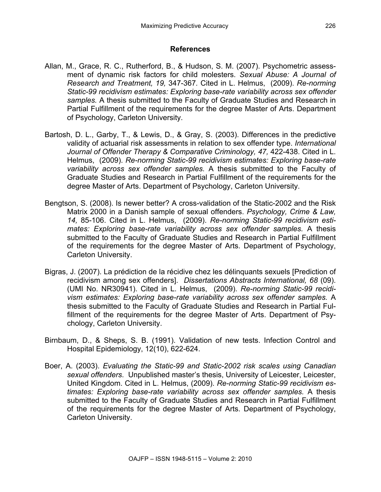### **References**

- Allan, M., Grace, R. C., Rutherford, B., & Hudson, S. M. (2007). Psychometric assessment of dynamic risk factors for child molesters. *Sexual Abuse: A Journal of Research and Treatment, 19,* 347-367*.* Cited in L. Helmus, (2009). *Re-norming Static-99 recidivism estimates: Exploring base-rate variability across sex offender samples.* A thesis submitted to the Faculty of Graduate Studies and Research in Partial Fulfillment of the requirements for the degree Master of Arts. Department of Psychology, Carleton University.
- Bartosh, D. L., Garby, T., & Lewis, D., & Gray, S. (2003). Differences in the predictive validity of actuarial risk assessments in relation to sex offender type. *International Journal of Offender Therapy & Comparative Criminology, 47,* 422-438. Cited in L. Helmus, (2009). *Re-norming Static-99 recidivism estimates: Exploring base-rate variability across sex offender samples.* A thesis submitted to the Faculty of Graduate Studies and Research in Partial Fulfillment of the requirements for the degree Master of Arts. Department of Psychology, Carleton University.
- Bengtson, S. (2008). Is newer better? A cross-validation of the Static-2002 and the Risk Matrix 2000 in a Danish sample of sexual offenders. *Psychology, Crime & Law, 14,* 85-106. Cited in L. Helmus, (2009). *Re-norming Static-99 recidivism estimates: Exploring base-rate variability across sex offender samples.* A thesis submitted to the Faculty of Graduate Studies and Research in Partial Fulfillment of the requirements for the degree Master of Arts. Department of Psychology, Carleton University.
- Bigras, J. (2007). La prédiction de la récidive chez les délinquants sexuels [Prediction of recidivism among sex offenders]. *Dissertations Abstracts International, 68* (09). (UMI No. NR30941). Cited in L. Helmus, (2009). *Re-norming Static-99 recidivism estimates: Exploring base-rate variability across sex offender samples.* A thesis submitted to the Faculty of Graduate Studies and Research in Partial Fulfillment of the requirements for the degree Master of Arts. Department of Psychology, Carleton University.
- Birnbaum, D., & Sheps, S. B. (1991). Validation of new tests. Infection Control and Hospital Epidemiology, 12(10), 622-624.
- Boer, A. (2003). *Evaluating the Static-99 and Static-2002 risk scales using Canadian sexual offenders*. Unpublished master's thesis, University of Leicester, Leicester, United Kingdom. Cited in L. Helmus, (2009). *Re-norming Static-99 recidivism estimates: Exploring base-rate variability across sex offender samples.* A thesis submitted to the Faculty of Graduate Studies and Research in Partial Fulfillment of the requirements for the degree Master of Arts. Department of Psychology, Carleton University.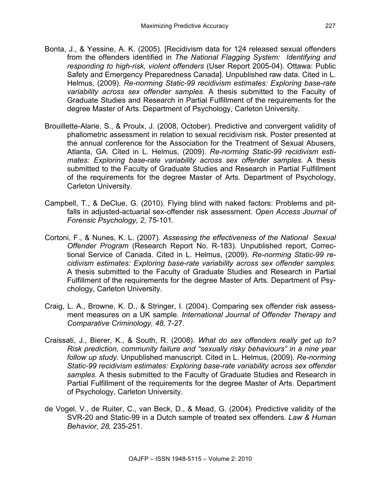- Bonta, J., & Yessine, A. K. (2005). [Recidivism data for 124 released sexual offenders from the offenders identified in *The National Flagging System: Identifying and responding to high-risk, violent offenders* (User Report 2005-04). Ottawa: Public Safety and Emergency Preparedness Canada]. Unpublished raw data. Cited in L. Helmus, (2009). *Re-norming Static-99 recidivism estimates: Exploring base-rate variability across sex offender samples.* A thesis submitted to the Faculty of Graduate Studies and Research in Partial Fulfillment of the requirements for the degree Master of Arts. Department of Psychology, Carleton University.
- Brouillette-Alarie, S., & Proulx, J. (2008, October). Predictive and convergent validity of phallometric assessment in relation to sexual recidivism risk. Poster presented at the annual conference for the Association for the Treatment of Sexual Abusers, Atlanta, GA. Cited in L. Helmus, (2009). *Re-norming Static-99 recidivism estimates: Exploring base-rate variability across sex offender samples.* A thesis submitted to the Faculty of Graduate Studies and Research in Partial Fulfillment of the requirements for the degree Master of Arts. Department of Psychology, Carleton University.
- Campbell, T., & DeClue, G. (2010). Flying blind with naked factors: Problems and pitfalls in adjusted-actuarial sex-offender risk assessment. *Open Access Journal of Forensic Psychology, 2,* 75-101.
- Cortoni, F., & Nunes, K. L. (2007). *Assessing the effectiveness of the National Sexual Offender Program* (Research Report No. R-183). Unpublished report, Correctional Service of Canada. Cited in L. Helmus, (2009). *Re-norming Static-99 recidivism estimates: Exploring base-rate variability across sex offender samples.* A thesis submitted to the Faculty of Graduate Studies and Research in Partial Fulfillment of the requirements for the degree Master of Arts. Department of Psychology, Carleton University.
- Craig, L. A., Browne, K. D., & Stringer, I. (2004). Comparing sex offender risk assessment measures on a UK sample. *International Journal of Offender Therapy and Comparative Criminology, 48,* 7-27.
- Craissati, J., Bierer, K., & South, R. (2008). *What do sex offenders really get up to? Risk prediction, community failure and "sexually risky behaviours" in a nine year follow up study.* Unpublished manuscript. Cited in L. Helmus, (2009). *Re-norming Static-99 recidivism estimates: Exploring base-rate variability across sex offender samples.* A thesis submitted to the Faculty of Graduate Studies and Research in Partial Fulfillment of the requirements for the degree Master of Arts. Department of Psychology, Carleton University.
- de Vogel, V., de Ruiter, C., van Beck, D., & Mead, G. (2004). Predictive validity of the SVR-20 and Static-99 in a Dutch sample of treated sex offenders. *Law & Human Behavior, 28,* 235-251.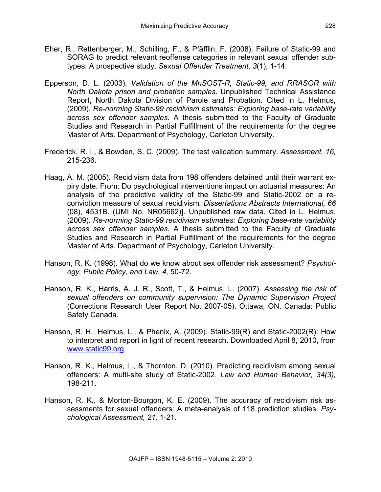- Eher, R., Rettenberger, M., Schilling, F., & Pfäfflin, F. (2008). Failure of Static-99 and SORAG to predict relevant reoffense categories in relevant sexual offender subtypes: A prospective study. *Sexual Offender Treatment, 3*(1), 1-14.
- Epperson, D. L. (2003). *Validation of the MnSOST-R, Static-99, and RRASOR with North Dakota prison and probation samples*. Unpublished Technical Assistance Report, North Dakota Division of Parole and Probation. Cited in L. Helmus, (2009). *Re-norming Static-99 recidivism estimates: Exploring base-rate variability across sex offender samples.* A thesis submitted to the Faculty of Graduate Studies and Research in Partial Fulfillment of the requirements for the degree Master of Arts. Department of Psychology, Carleton University.
- Frederick, R. I., & Bowden, S. C. (2009). The test validation summary. *Assessment, 16,* 215-236.
- Haag, A. M. (2005). Recidivism data from 198 offenders detained until their warrant expiry date. From: Do psychological interventions impact on actuarial measures: An analysis of the predictive validity of the Static-99 and Static-2002 on a reconviction measure of sexual recidivism*. Dissertations Abstracts International, 66*  (08), 4531B. (UMI No. NR05662)]. Unpublished raw data. Cited in L. Helmus, (2009). *Re-norming Static-99 recidivism estimates: Exploring base-rate variability across sex offender samples.* A thesis submitted to the Faculty of Graduate Studies and Research in Partial Fulfillment of the requirements for the degree Master of Arts. Department of Psychology, Carleton University.
- Hanson, R. K. (1998). What do we know about sex offender risk assessment? *Psychology, Public Policy, and Law, 4,* 50-72.
- Hanson, R. K., Harris, A. J. R., Scott, T., & Helmus, L. (2007). *Assessing the risk of sexual offenders on community supervision: The Dynamic Supervision Project* (Corrections Research User Report No. 2007-05). Ottawa, ON, Canada: Public Safety Canada.
- Hanson, R. H., Helmus, L., & Phenix, A. (2009). Static-99(R) and Static-2002(R): How to interpret and report in light of recent research. Downloaded April 8, 2010, from www.static99.org
- Hanson, R. K., Helmus, L., & Thornton, D. (2010). Predicting recidivism among sexual offenders: A multi-site study of Static-2002. *Law and Human Behavior, 34(3),* 198-211.
- Hanson, R. K., & Morton-Bourgon, K. E. (2009). The accuracy of recidivism risk assessments for sexual offenders: A meta-analysis of 118 prediction studies. *Psychological Assessment, 21,* 1-21*.*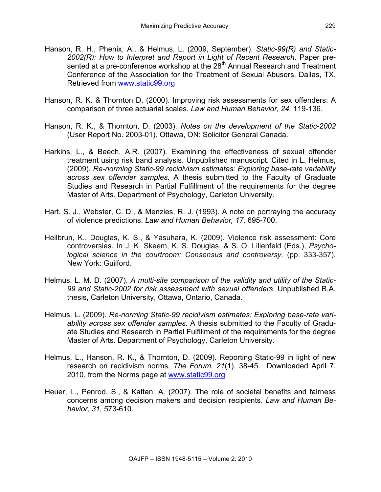- Hanson, R. H., Phenix, A., & Helmus, L. (2009, September). *Static-99(R) and Static-2002(R): How to Interpret and Report in Light of Recent Research*. Paper presented at a pre-conference workshop at the 28<sup>th</sup> Annual Research and Treatment Conference of the Association for the Treatment of Sexual Abusers, Dallas, TX. Retrieved from www.static99.org
- Hanson, R. K. & Thornton D. (2000). Improving risk assessments for sex offenders: A comparison of three actuarial scales. *Law and Human Behavior, 24,* 119-136.
- Hanson, R. K., & Thornton, D. (2003). *Notes on the development of the Static-2002*  (User Report No. 2003-01). Ottawa, ON: Solicitor General Canada.
- Harkins, L., & Beech, A.R. (2007). Examining the effectiveness of sexual offender treatment using risk band analysis. Unpublished manuscript. Cited in L. Helmus, (2009). *Re-norming Static-99 recidivism estimates: Exploring base-rate variability across sex offender samples.* A thesis submitted to the Faculty of Graduate Studies and Research in Partial Fulfillment of the requirements for the degree Master of Arts. Department of Psychology, Carleton University.
- Hart, S. J., Webster, C. D., & Menzies, R. J. (1993). A note on portraying the accuracy of violence predictions. *Law and Human Behavior, 17,* 695-700.
- Heilbrun, K., Douglas, K. S., & Yasuhara, K. (2009). Violence risk assessment: Core controversies. In J. K. Skeem, K. S. Douglas, & S. O. Lilienfeld (Eds.), *Psychological science in the courtroom: Consensus and controversy,* (pp. 333-357). New York: Guilford.
- Helmus, L. M. D. (2007). *A multi-site comparison of the validity and utility of the Static-99 and Static-2002 for risk assessment with sexual offenders*. Unpublished B.A. thesis, Carleton University, Ottawa, Ontario, Canada.
- Helmus, L. (2009). *Re-norming Static-99 recidivism estimates: Exploring base-rate variability across sex offender samples.* A thesis submitted to the Faculty of Graduate Studies and Research in Partial Fulfillment of the requirements for the degree Master of Arts. Department of Psychology, Carleton University.
- Helmus, L., Hanson, R. K., & Thornton, D. (2009). Reporting Static-99 in light of new research on recidivism norms. *The Forum, 21*(1), 38-45. Downloaded April 7, 2010, from the Norms page at www.static99.org
- Heuer, L., Penrod, S., & Kattan, A. (2007). The role of societal benefits and fairness concerns among decision makers and decision recipients. *Law and Human Behavior, 31,* 573-610.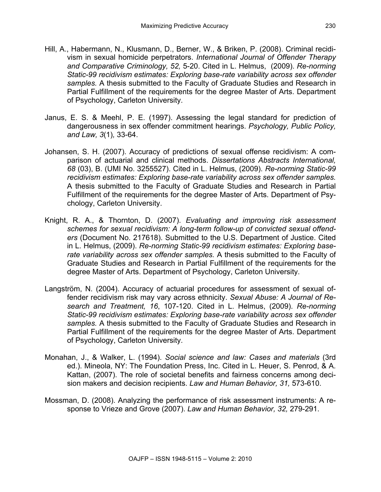- Hill, A., Habermann, N., Klusmann, D., Berner, W., & Briken, P. (2008). Criminal recidivism in sexual homicide perpetrators. *International Journal of Offender Therapy and Comparative Criminology, 52,* 5-20. Cited in L. Helmus, (2009). *Re-norming Static-99 recidivism estimates: Exploring base-rate variability across sex offender samples.* A thesis submitted to the Faculty of Graduate Studies and Research in Partial Fulfillment of the requirements for the degree Master of Arts. Department of Psychology, Carleton University.
- Janus, E. S. & Meehl, P. E. (1997). Assessing the legal standard for prediction of dangerousness in sex offender commitment hearings. *Psychology, Public Policy, and Law, 3*(1)*,* 33-64.
- Johansen, S. H. (2007). Accuracy of predictions of sexual offense recidivism: A comparison of actuarial and clinical methods. *Dissertations Abstracts International, 68* (03), B. (UMI No. 3255527). Cited in L. Helmus, (2009). *Re-norming Static-99 recidivism estimates: Exploring base-rate variability across sex offender samples.* A thesis submitted to the Faculty of Graduate Studies and Research in Partial Fulfillment of the requirements for the degree Master of Arts. Department of Psychology, Carleton University.
- Knight, R. A., & Thornton, D. (2007). *Evaluating and improving risk assessment schemes for sexual recidivism: A long-term follow-up of convicted sexual offenders* (Document No. 217618). Submitted to the U.S. Department of Justice. Cited in L. Helmus, (2009). *Re-norming Static-99 recidivism estimates: Exploring baserate variability across sex offender samples.* A thesis submitted to the Faculty of Graduate Studies and Research in Partial Fulfillment of the requirements for the degree Master of Arts. Department of Psychology, Carleton University.
- Langström, N. (2004). Accuracy of actuarial procedures for assessment of sexual offender recidivism risk may vary across ethnicity. *Sexual Abuse: A Journal of Research and Treatment, 16*, 107-120. Cited in L. Helmus, (2009). *Re-norming Static-99 recidivism estimates: Exploring base-rate variability across sex offender samples.* A thesis submitted to the Faculty of Graduate Studies and Research in Partial Fulfillment of the requirements for the degree Master of Arts. Department of Psychology, Carleton University.
- Monahan, J., & Walker, L. (1994). *Social science and law: Cases and materials* (3rd ed.). Mineola, NY: The Foundation Press, Inc. Cited in L. Heuer, S. Penrod, & A. Kattan, (2007). The role of societal benefits and fairness concerns among decision makers and decision recipients. *Law and Human Behavior, 31,* 573-610.
- Mossman, D. (2008). Analyzing the performance of risk assessment instruments: A response to Vrieze and Grove (2007). *Law and Human Behavior, 32,* 279-291.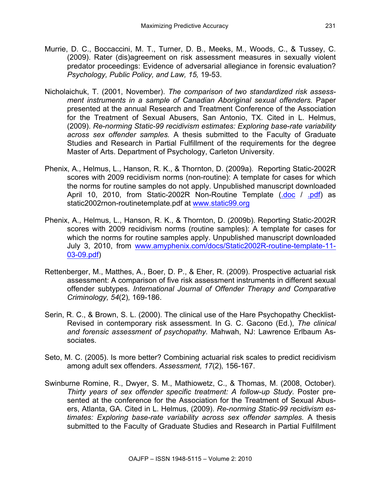- Murrie, D. C., Boccaccini, M. T., Turner, D. B., Meeks, M., Woods, C., & Tussey, C. (2009). Rater (dis)agreement on risk assessment measures in sexually violent predator proceedings: Evidence of adversarial allegiance in forensic evaluation? *Psychology, Public Policy, and Law, 15,* 19-53.
- Nicholaichuk, T. (2001, November). *The comparison of two standardized risk assessment instruments in a sample of Canadian Aboriginal sexual offenders.* Paper presented at the annual Research and Treatment Conference of the Association for the Treatment of Sexual Abusers, San Antonio, TX. Cited in L. Helmus, (2009). *Re-norming Static-99 recidivism estimates: Exploring base-rate variability across sex offender samples.* A thesis submitted to the Faculty of Graduate Studies and Research in Partial Fulfillment of the requirements for the degree Master of Arts. Department of Psychology, Carleton University.
- Phenix, A., Helmus, L., Hanson, R. K., & Thornton, D. (2009a). Reporting Static-2002R scores with 2009 recidivism norms (non-routine): A template for cases for which the norms for routine samples do not apply. Unpublished manuscript downloaded April 10, 2010, from Static-2002R Non-Routine Template (.doc / .pdf) as static2002rnon-routinetemplate.pdf at www.static99.org
- Phenix, A., Helmus, L., Hanson, R. K., & Thornton, D. (2009b). Reporting Static-2002R scores with 2009 recidivism norms (routine samples): A template for cases for which the norms for routine samples apply. Unpublished manuscript downloaded July 3, 2010, from www.amyphenix.com/docs/Static2002R-routine-template-11- 03-09.pdf)
- Rettenberger, M., Matthes, A., Boer, D. P., & Eher, R. (2009). Prospective actuarial risk assessment: A comparison of five risk assessment instruments in different sexual offender subtypes. *International Journal of Offender Therapy and Comparative Criminology, 54*(2)*,* 169-186.
- Serin, R. C., & Brown, S. L. (2000). The clinical use of the Hare Psychopathy Checklist-Revised in contemporary risk assessment. In G. C. Gacono (Ed.), *The clinical and forensic assessment of psychopathy.* Mahwah, NJ: Lawrence Erlbaum Associates.
- Seto, M. C. (2005). Is more better? Combining actuarial risk scales to predict recidivism among adult sex offenders. *Assessment, 17*(2)*,* 156-167.
- Swinburne Romine, R., Dwyer, S. M., Mathiowetz, C., & Thomas, M. (2008, October). *Thirty years of sex offender specific treatment: A follow-up Study*. Poster presented at the conference for the Association for the Treatment of Sexual Abusers, Atlanta, GA. Cited in L. Helmus, (2009). *Re-norming Static-99 recidivism estimates: Exploring base-rate variability across sex offender samples.* A thesis submitted to the Faculty of Graduate Studies and Research in Partial Fulfillment